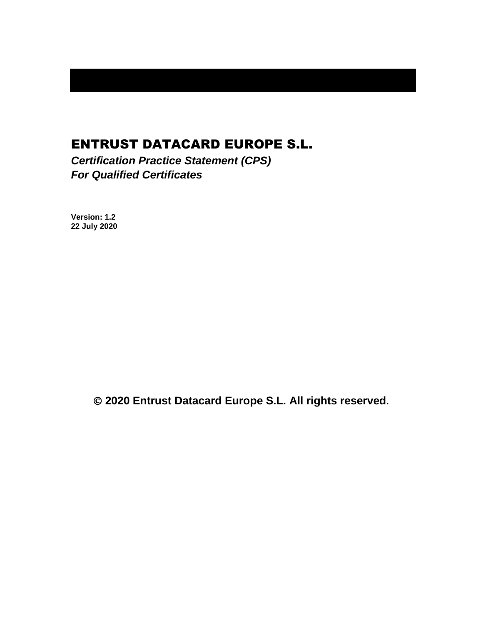# ENTRUST DATACARD EUROPE S.L.

*Certification Practice Statement (CPS) For Qualified Certificates*

**Version: 1.2 22 July 2020**

© **2020 Entrust Datacard Europe S.L. All rights reserved**.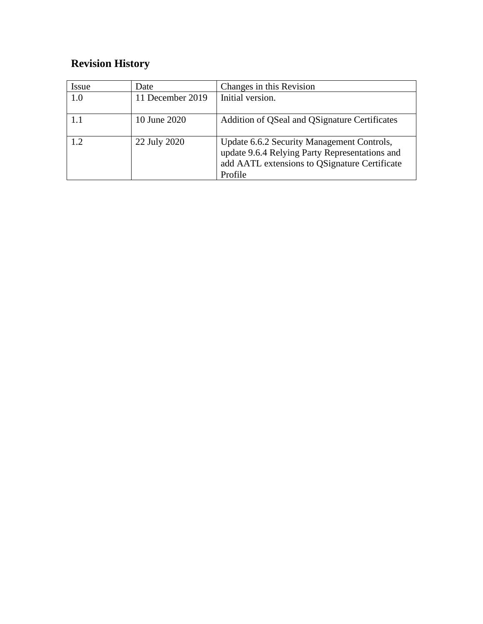# **Revision History**

| <i>Issue</i> | Date             | Changes in this Revision                                                                                                                                 |
|--------------|------------------|----------------------------------------------------------------------------------------------------------------------------------------------------------|
| 1.0          | 11 December 2019 | Initial version.                                                                                                                                         |
| 1.1          | 10 June 2020     | Addition of QSeal and QSignature Certificates                                                                                                            |
| 12           | 22 July 2020     | Update 6.6.2 Security Management Controls,<br>update 9.6.4 Relying Party Representations and<br>add AATL extensions to QSignature Certificate<br>Profile |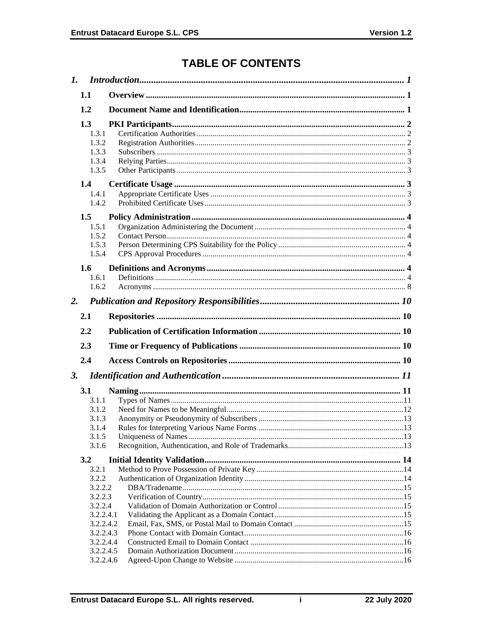# **TABLE OF CONTENTS**

| $\mathbf{I}$ . |                        |  |
|----------------|------------------------|--|
| 1.1            |                        |  |
| 1.2            |                        |  |
| 1.3            |                        |  |
| 1.3.1          |                        |  |
| 1.3.2          |                        |  |
| 1.3.3          |                        |  |
| 1.3.4          |                        |  |
| 1.3.5          |                        |  |
| $1.4^{\circ}$  |                        |  |
| 1.4.1          |                        |  |
| 1.4.2          |                        |  |
| 1.5            |                        |  |
| 1.5.1          |                        |  |
| 1.5.2          |                        |  |
| 1.5.3<br>1.5.4 |                        |  |
|                |                        |  |
| 1.6            |                        |  |
| 1.6.1          |                        |  |
| 1.6.2          |                        |  |
| 2.             |                        |  |
| 2.1            |                        |  |
|                |                        |  |
|                |                        |  |
| 2.2            |                        |  |
| 2.3            |                        |  |
| 2.4            |                        |  |
| 3.             |                        |  |
| <b>3.1</b>     |                        |  |
| 3.1.1          |                        |  |
| 3.1.2          |                        |  |
| 3.1.3          |                        |  |
| 3.1.4          |                        |  |
| 3.1.5          |                        |  |
| 3.1.6          |                        |  |
| 3.2            |                        |  |
| 3.2.1          |                        |  |
| 3.2.2          |                        |  |
|                | 3.2.2.2                |  |
|                | 3.2.2.3                |  |
|                | 3.2.2.4                |  |
|                | 3.2.2.4.1              |  |
|                | 3.2.2.4.2              |  |
|                | 3.2.2.4.3<br>3.2.2.4.4 |  |
|                | 3.2.2.4.5              |  |

 $\mathbf i$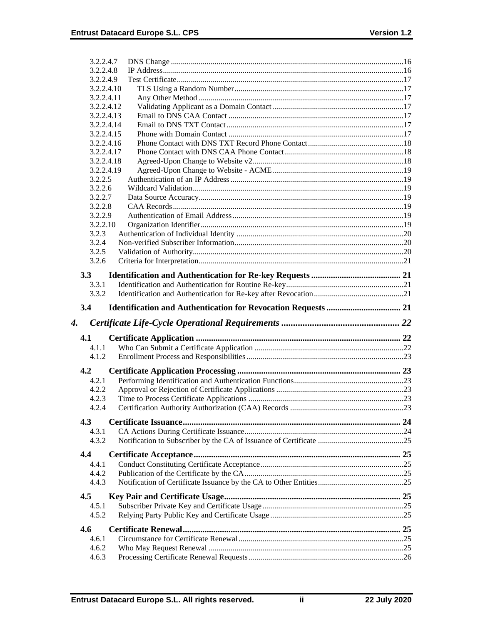| 3.2.2.4.7                |  |
|--------------------------|--|
| 3.2.2.4.8                |  |
| 3.2.2.4.9                |  |
| 3.2.2.4.10               |  |
| 3.2.2.4.11<br>3.2.2.4.12 |  |
| 3.2.2.4.13               |  |
| 3.2.2.4.14               |  |
| 3.2.2.4.15               |  |
| 3.2.2.4.16               |  |
| 3.2.2.4.17               |  |
| 3.2.2.4.18               |  |
| 3.2.2.4.19               |  |
| 3.2.2.5                  |  |
| 3.2.2.6                  |  |
| 3.2.2.7                  |  |
| 3.2.2.8                  |  |
| 3.2.2.9                  |  |
| 3.2.2.10                 |  |
| 3.2.3                    |  |
| 3.2.4                    |  |
| 3.2.5                    |  |
| 3.2.6                    |  |
|                          |  |
| 3.3                      |  |
| 3.3.1                    |  |
| 3.3.2                    |  |
| 3.4                      |  |
|                          |  |
| 4.                       |  |
| 4.1                      |  |
| 4.1.1                    |  |
| 4.1.2                    |  |
|                          |  |
| 4.2                      |  |
| 4.2.1                    |  |
| 4.2.2                    |  |
| 4.2.3                    |  |
| 4.2.4                    |  |
| 4.3                      |  |
| 4.3.1                    |  |
| 4.3.2                    |  |
|                          |  |
| 4.4                      |  |
| 4.4.1                    |  |
| 4.4.2                    |  |
| 4.4.3                    |  |
| 4.5                      |  |
| 4.5.1                    |  |
| 4.5.2                    |  |
|                          |  |
| 4.6                      |  |
| 4.6.1                    |  |
| 4.6.2<br>4.6.3           |  |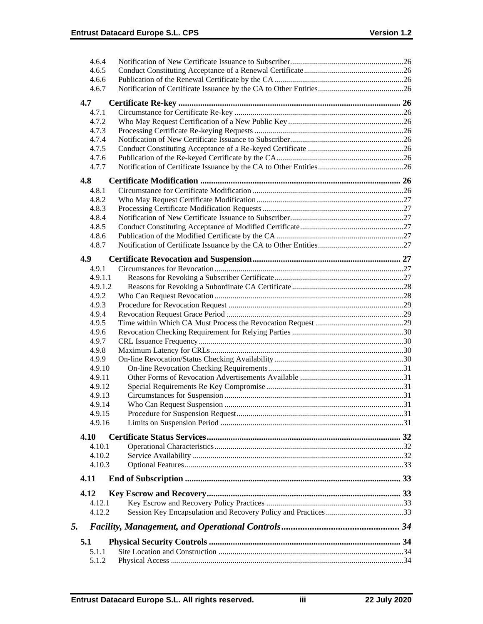| 4.6.4   |  |
|---------|--|
| 4.6.5   |  |
| 4.6.6   |  |
| 4.6.7   |  |
| 4.7     |  |
| 4.7.1   |  |
| 4.7.2   |  |
| 4.7.3   |  |
| 4.7.4   |  |
| 4.7.5   |  |
| 4.7.6   |  |
| 4.7.7   |  |
| 4.8     |  |
| 4.8.1   |  |
| 4.8.2   |  |
| 4.8.3   |  |
| 4.8.4   |  |
| 4.8.5   |  |
| 4.8.6   |  |
| 4.8.7   |  |
| 4.9     |  |
| 4.9.1   |  |
| 4.9.1.1 |  |
| 4.9.1.2 |  |
| 4.9.2   |  |
| 4.9.3   |  |
| 4.9.4   |  |
| 4.9.5   |  |
| 4.9.6   |  |
| 4.9.7   |  |
| 4.9.8   |  |
| 4.9.9   |  |
| 4.9.10  |  |
| 4.9.11  |  |
| 4.9.12  |  |
| 4.9.13  |  |
| 4.9.14  |  |
| 4.9.15  |  |
| 4.9.16  |  |
| 4.10    |  |
| 4.10.1  |  |
| 4.10.2  |  |
| 4.10.3  |  |
| 4.11    |  |
| 4.12    |  |
| 4.12.1  |  |
| 4.12.2  |  |
|         |  |
| 5.      |  |
| 5.1     |  |
| 5.1.1   |  |
| 5.1.2   |  |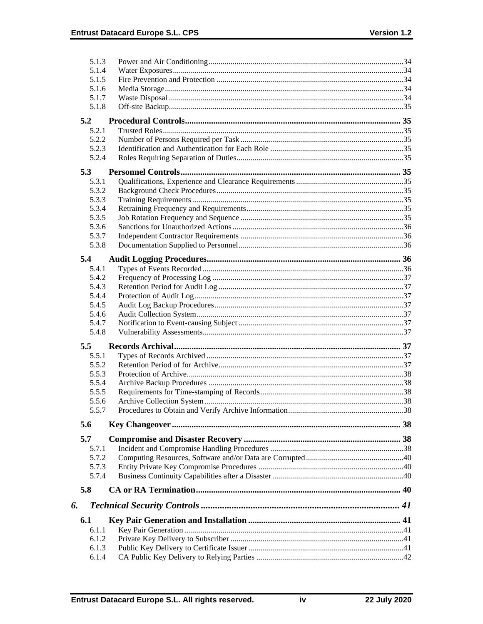|     | 5.1.3          |  |
|-----|----------------|--|
|     | 5.1.4          |  |
|     | 5.1.5          |  |
|     | 5.1.6          |  |
|     | 5.1.7          |  |
|     | 5.1.8          |  |
|     |                |  |
| 5.2 |                |  |
|     | 5.2.1          |  |
|     | 5.2.2          |  |
|     | 5.2.3          |  |
|     | 5.2.4          |  |
| 5.3 |                |  |
|     | 5.3.1          |  |
|     | 5.3.2          |  |
|     | 5.3.3          |  |
|     | 5.3.4          |  |
|     | 5.3.5          |  |
|     | 5.3.6          |  |
|     | 5.3.7          |  |
|     | 5.3.8          |  |
| 5.4 |                |  |
|     |                |  |
|     | 5.4.1          |  |
|     | 5.4.2          |  |
|     | 5.4.3          |  |
|     | 5.4.4          |  |
|     | 5.4.5<br>5.4.6 |  |
|     |                |  |
|     | 5.4.7          |  |
|     | 5.4.8          |  |
| 5.5 |                |  |
|     | 5.5.1          |  |
|     | 5.5.2          |  |
|     | 5.5.3          |  |
|     | 5.5.4          |  |
|     | 5.5.5          |  |
|     | 5.5.6          |  |
|     | 5.5.7          |  |
| 5.6 |                |  |
|     |                |  |
| 5.7 |                |  |
|     | 5.7.1          |  |
|     | 5.7.2          |  |
|     | 5.7.3          |  |
|     | 5.7.4          |  |
| 5.8 |                |  |
|     |                |  |
| 6.  |                |  |
| 6.1 |                |  |
|     | 6.1.1          |  |
|     | 6.1.2          |  |
|     |                |  |
|     | 6.1.3          |  |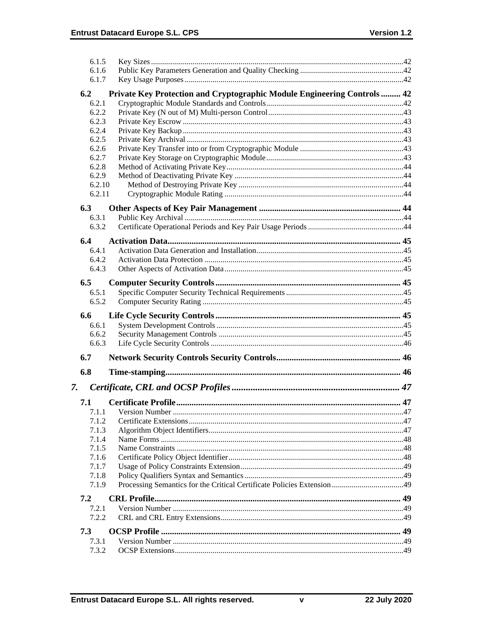| 6.1.5          |                                                                          |  |
|----------------|--------------------------------------------------------------------------|--|
| 6.1.6          |                                                                          |  |
| 6.1.7          |                                                                          |  |
|                |                                                                          |  |
| 6.2            | Private Key Protection and Cryptographic Module Engineering Controls  42 |  |
| 6.2.1          |                                                                          |  |
| 6.2.2          |                                                                          |  |
| 6.2.3          |                                                                          |  |
| 6.2.4          |                                                                          |  |
| 6.2.5          |                                                                          |  |
| 6.2.6          |                                                                          |  |
| 6.2.7          |                                                                          |  |
| 6.2.8          |                                                                          |  |
| 6.2.9          |                                                                          |  |
| 6.2.10         |                                                                          |  |
| 6.2.11         |                                                                          |  |
| 6.3            |                                                                          |  |
| 6.3.1          |                                                                          |  |
| 6.3.2          |                                                                          |  |
|                |                                                                          |  |
| 6.4            |                                                                          |  |
| 6.4.1          |                                                                          |  |
| 6.4.2          |                                                                          |  |
| 6.4.3          |                                                                          |  |
| 6.5            |                                                                          |  |
|                |                                                                          |  |
| 6.5.1<br>6.5.2 |                                                                          |  |
|                |                                                                          |  |
|                |                                                                          |  |
| 6.6            |                                                                          |  |
| 6.6.1          |                                                                          |  |
| 6.6.2          |                                                                          |  |
| 6.6.3          |                                                                          |  |
|                |                                                                          |  |
| 6.7            |                                                                          |  |
| 6.8            |                                                                          |  |
|                |                                                                          |  |
| 7.             |                                                                          |  |
|                |                                                                          |  |
| 7.1            |                                                                          |  |
| 7.1.1          |                                                                          |  |
| 7.1.2          |                                                                          |  |
| 7.1.3          |                                                                          |  |
| 7.1.4          |                                                                          |  |
| 7.1.5          |                                                                          |  |
| 7.1.6          |                                                                          |  |
| 7.1.7          |                                                                          |  |
| 7.1.8          |                                                                          |  |
| 7.1.9          |                                                                          |  |
| 7.2            |                                                                          |  |
| 7.2.1          |                                                                          |  |
| 7.2.2          |                                                                          |  |
|                |                                                                          |  |
| 7.3            |                                                                          |  |
| 7.3.1<br>7.3.2 |                                                                          |  |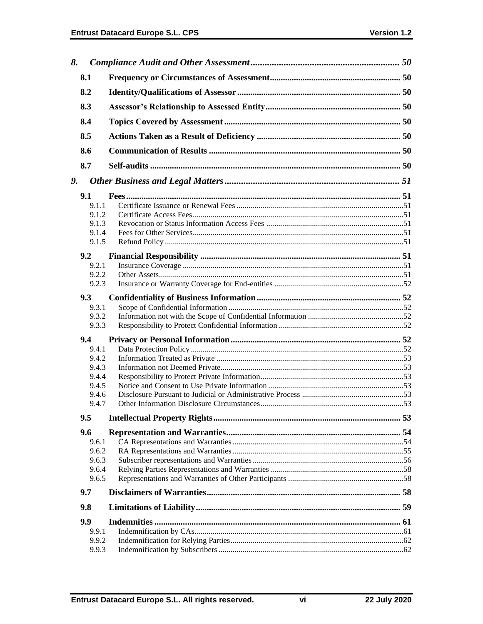| 8. |               |  |
|----|---------------|--|
|    | 8.1           |  |
|    | 8.2           |  |
|    | 8.3           |  |
|    | 8.4           |  |
|    | 8.5           |  |
|    |               |  |
|    | 8.6           |  |
|    | 8.7           |  |
| 9. |               |  |
|    | 9.1           |  |
|    | 9.1.1         |  |
|    | 9.1.2         |  |
|    | 9.1.3         |  |
|    | 9.1.4         |  |
|    | 9.1.5         |  |
|    | 9.2           |  |
|    | 9.2.1         |  |
|    | 9.2.2         |  |
|    | 9.2.3         |  |
|    | 9.3           |  |
|    | 9.3.1         |  |
|    | 9.3.2         |  |
|    | 9.3.3         |  |
|    | $9.4^{\circ}$ |  |
|    | 9.4.1         |  |
|    | 9.4.2         |  |
|    | 9.4.3         |  |
|    | 9.4.4         |  |
|    | 9.4.5         |  |
|    | 9.4.6         |  |
|    | 9.4.7         |  |
|    | 9.5           |  |
|    | 9.6           |  |
|    | 9.6.1         |  |
|    | 9.6.2         |  |
|    | 9.6.3         |  |
|    | 9.6.4         |  |
|    | 9.6.5         |  |
|    | 9.7           |  |
|    | 9.8           |  |
|    | 9.9           |  |
|    | 9.9.1         |  |
|    | 9.9.2         |  |
|    | 9.9.3         |  |

 $\overline{\mathsf{vi}}$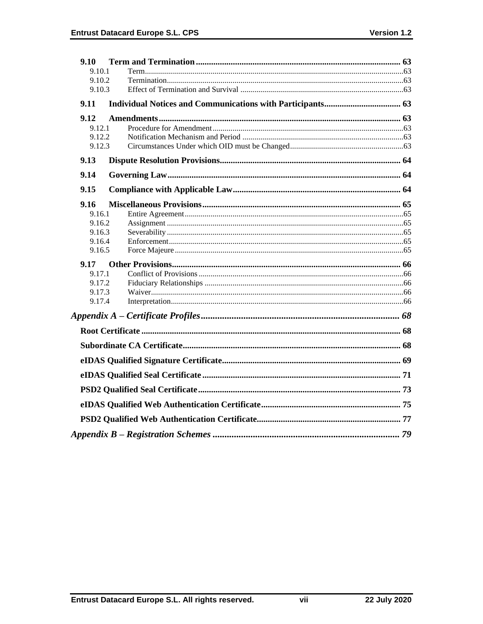| 9.10             |  |
|------------------|--|
| 9.10.1           |  |
| 9.10.2           |  |
| 9.10.3           |  |
| 9.11             |  |
| 9.12             |  |
| 9.12.1           |  |
| 9.12.2           |  |
| 9.12.3           |  |
| 9.13             |  |
| 9.14             |  |
| 9.15             |  |
| 9.16             |  |
| 9.16.1           |  |
| 9.16.2           |  |
| 9.16.3           |  |
| 9.16.4<br>9.16.5 |  |
|                  |  |
| 9.17<br>9.17.1   |  |
| 9.17.2           |  |
| 9.17.3           |  |
| 9.17.4           |  |
|                  |  |
|                  |  |
|                  |  |
|                  |  |
|                  |  |
|                  |  |
|                  |  |
|                  |  |
|                  |  |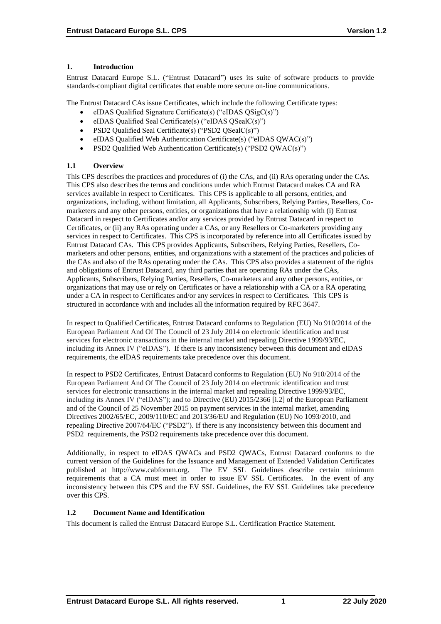# **1. Introduction**

Entrust Datacard Europe S.L. ("Entrust Datacard") uses its suite of software products to provide standards-compliant digital certificates that enable more secure on-line communications.

The Entrust Datacard CAs issue Certificates, which include the following Certificate types:

- eIDAS Qualified Signature Certificate(s) ("eIDAS QSigC(s)")
- eIDAS Qualified Seal Certificate(s) ("eIDAS QSealC(s)")
- PSD2 Qualified Seal Certificate(s) ("PSD2 QSealC(s)")
- eIDAS Qualified Web Authentication Certificate(s) ("eIDAS QWAC(s)")
- PSD2 Qualified Web Authentication Certificate(s) ("PSD2 QWAC(s)")

# **1.1 Overview**

This CPS describes the practices and procedures of (i) the CAs, and (ii) RAs operating under the CAs. This CPS also describes the terms and conditions under which Entrust Datacard makes CA and RA services available in respect to Certificates. This CPS is applicable to all persons, entities, and organizations, including, without limitation, all Applicants, Subscribers, Relying Parties, Resellers, Comarketers and any other persons, entities, or organizations that have a relationship with (i) Entrust Datacard in respect to Certificates and/or any services provided by Entrust Datacard in respect to Certificates, or (ii) any RAs operating under a CAs, or any Resellers or Co-marketers providing any services in respect to Certificates. This CPS is incorporated by reference into all Certificates issued by Entrust Datacard CAs. This CPS provides Applicants, Subscribers, Relying Parties, Resellers, Comarketers and other persons, entities, and organizations with a statement of the practices and policies of the CAs and also of the RAs operating under the CAs. This CPS also provides a statement of the rights and obligations of Entrust Datacard, any third parties that are operating RAs under the CAs, Applicants, Subscribers, Relying Parties, Resellers, Co-marketers and any other persons, entities, or organizations that may use or rely on Certificates or have a relationship with a CA or a RA operating under a CA in respect to Certificates and/or any services in respect to Certificates. This CPS is structured in accordance with and includes all the information required by RFC 3647.

In respect to Qualified Certificates, Entrust Datacard conforms to Regulation (EU) No 910/2014 of the European Parliament And Of The Council of 23 July 2014 on electronic identification and trust services for electronic transactions in the internal market and repealing Directive 1999/93/EC, including its Annex IV ("eIDAS"). If there is any inconsistency between this document and eIDAS requirements, the eIDAS requirements take precedence over this document.

In respect to PSD2 Certificates, Entrust Datacard conforms to Regulation (EU) No 910/2014 of the European Parliament And Of The Council of 23 July 2014 on electronic identification and trust services for electronic transactions in the internal market and repealing Directive 1999/93/EC, including its Annex IV ("eIDAS"); and to Directive (EU) 2015/2366 [i.2] of the European Parliament and of the Council of 25 November 2015 on payment services in the internal market, amending Directives 2002/65/EC, 2009/110/EC and 2013/36/EU and Regulation (EU) No 1093/2010, and repealing Directive 2007/64/EC ("PSD2"). If there is any inconsistency between this document and PSD2 requirements, the PSD2 requirements take precedence over this document.

Additionally, in respect to eIDAS QWACs and PSD2 QWACs, Entrust Datacard conforms to the current version of the Guidelines for the Issuance and Management of Extended Validation Certificates published at http://www.cabforum.org. The EV SSL Guidelines describe certain minimum requirements that a CA must meet in order to issue EV SSL Certificates. In the event of any inconsistency between this CPS and the EV SSL Guidelines, the EV SSL Guidelines take precedence over this CPS.

# **1.2 Document Name and Identification**

This document is called the Entrust Datacard Europe S.L. Certification Practice Statement.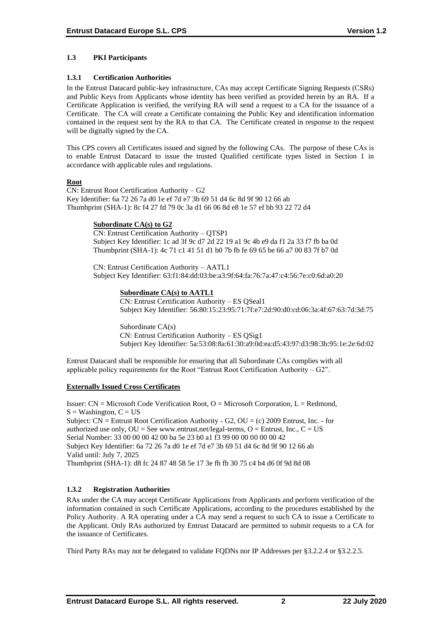# **1.3 PKI Participants**

#### **1.3.1 Certification Authorities**

In the Entrust Datacard public-key infrastructure, CAs may accept Certificate Signing Requests (CSRs) and Public Keys from Applicants whose identity has been verified as provided herein by an RA. If a Certificate Application is verified, the verifying RA will send a request to a CA for the issuance of a Certificate. The CA will create a Certificate containing the Public Key and identification information contained in the request sent by the RA to that CA. The Certificate created in response to the request will be digitally signed by the CA.

This CPS covers all Certificates issued and signed by the following CAs. The purpose of these CAs is to enable Entrust Datacard to issue the trusted Qualified certificate types listed in Section 1 in accordance with applicable rules and regulations.

#### **Root**

CN: Entrust Root Certification Authority – G2 Key Identifier: 6a 72 26 7a d0 1e ef 7d e7 3b 69 51 d4 6c 8d 9f 90 12 66 ab Thumbprint (SHA-1): 8c f4 27 fd 79 0c 3a d1 66 06 8d e8 1e 57 ef bb 93 22 72 d4

#### **Subordinate CA(s) to G2**

CN: Entrust Certification Authority – QTSP1 Subject Key Identifier: 1c ad 3f 9c d7 2d 22 19 a1 9c 4b e9 da f1 2a 33 f7 fb ba 0d Thumbprint (SHA-1): 4c 71 c1 41 51 d1 b0 7b fb fe 69 65 be 66 a7 00 83 7f b7 0d

CN: Entrust Certification Authority – AATL1 Subject Key Identifier: 63:f1:84:dd:03:be:a3:9f:64:fa:76:7a:47:c4:56:7e:c0:6d:a0:20

#### **Subordinate CA(s) to AATL1**

CN: Entrust Certification Authority – ES QSeal1 Subject Key Identifier: 56:80:15:23:95:71:7f:e7:2d:90:d0:cd:06:3a:4f:67:63:7d:3d:75

Subordinate CA(s) CN: Entrust Certification Authority – ES QSig1 Subject Key Identifier: 5a:53:08:8a:61:30:a9:0d:ea:d5:43:97:d3:98:3b:95:1e:2e:6d:02

Entrust Datacard shall be responsible for ensuring that all Subordinate CAs complies with all applicable policy requirements for the Root "Entrust Root Certification Authority –  $G2$ ".

# **Externally Issued Cross Certificates**

Issuer:  $CN = Microsoft Code Verification Root, O = Microsoft Corporation, L = Redmond,$  $S =$  Washington,  $C = US$ Subject: CN = Entrust Root Certification Authority - G2, OU = (c) 2009 Entrust, Inc. - for authorized use only,  $OU = See$  www.entrust.net/legal-terms,  $O =$  Entrust, Inc.,  $C = US$ Serial Number: 33 00 00 00 42 00 ba 5e 23 b0 a1 f3 99 00 00 00 00 00 42 Subject Key Identifier: 6a 72 26 7a d0 1e ef 7d e7 3b 69 51 d4 6c 8d 9f 90 12 66 ab Valid until: July 7, 2025 Thumbprint (SHA-1): d8 fc 24 87 48 58 5e 17 3e fb fb 30 75 c4 b4 d6 0f 9d 8d 08

# **1.3.2 Registration Authorities**

RAs under the CA may accept Certificate Applications from Applicants and perform verification of the information contained in such Certificate Applications, according to the procedures established by the Policy Authority. A RA operating under a CA may send a request to such CA to issue a Certificate to the Applicant. Only RAs authorized by Entrust Datacard are permitted to submit requests to a CA for the issuance of Certificates.

Third Party RAs may not be delegated to validate FQDNs nor IP Addresses per §3.2.2.4 or §3.2.2.5.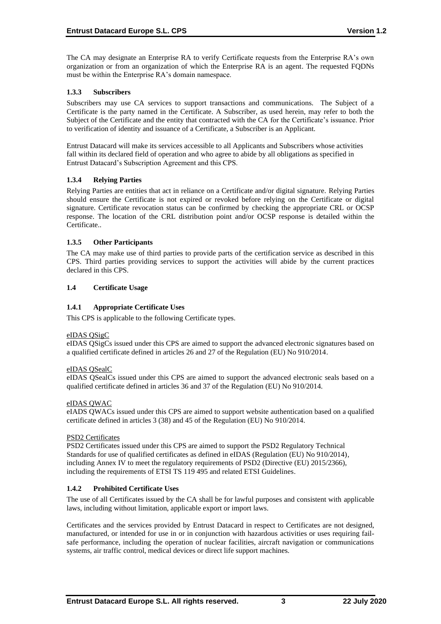The CA may designate an Enterprise RA to verify Certificate requests from the Enterprise RA's own organization or from an organization of which the Enterprise RA is an agent. The requested FQDNs must be within the Enterprise RA's domain namespace.

# **1.3.3 Subscribers**

Subscribers may use CA services to support transactions and communications. The Subject of a Certificate is the party named in the Certificate. A Subscriber, as used herein, may refer to both the Subject of the Certificate and the entity that contracted with the CA for the Certificate's issuance. Prior to verification of identity and issuance of a Certificate, a Subscriber is an Applicant.

Entrust Datacard will make its services accessible to all Applicants and Subscribers whose activities fall within its declared field of operation and who agree to abide by all obligations as specified in Entrust Datacard's Subscription Agreement and this CPS.

#### **1.3.4 Relying Parties**

Relying Parties are entities that act in reliance on a Certificate and/or digital signature. Relying Parties should ensure the Certificate is not expired or revoked before relying on the Certificate or digital signature. Certificate revocation status can be confirmed by checking the appropriate CRL or OCSP response. The location of the CRL distribution point and/or OCSP response is detailed within the Certificate..

#### **1.3.5 Other Participants**

The CA may make use of third parties to provide parts of the certification service as described in this CPS. Third parties providing services to support the activities will abide by the current practices declared in this CPS.

#### **1.4 Certificate Usage**

#### **1.4.1 Appropriate Certificate Uses**

This CPS is applicable to the following Certificate types.

#### eIDAS QSigC

eIDAS QSigCs issued under this CPS are aimed to support the advanced electronic signatures based on a qualified certificate defined in articles 26 and 27 of the Regulation (EU) No 910/2014.

#### eIDAS QSealC

eIDAS QSealCs issued under this CPS are aimed to support the advanced electronic seals based on a qualified certificate defined in articles 36 and 37 of the Regulation (EU) No 910/2014.

#### eIDAS QWAC

eIADS QWACs issued under this CPS are aimed to support website authentication based on a qualified certificate defined in articles 3 (38) and 45 of the Regulation (EU) No 910/2014.

#### PSD2 Certificates

PSD2 Certificates issued under this CPS are aimed to support the PSD2 Regulatory Technical Standards for use of qualified certificates as defined in eIDAS (Regulation (EU) No 910/2014), including Annex IV to meet the regulatory requirements of PSD2 (Directive (EU) 2015/2366), including the requirements of ETSI TS 119 495 and related ETSI Guidelines.

# **1.4.2 Prohibited Certificate Uses**

The use of all Certificates issued by the CA shall be for lawful purposes and consistent with applicable laws, including without limitation, applicable export or import laws.

Certificates and the services provided by Entrust Datacard in respect to Certificates are not designed, manufactured, or intended for use in or in conjunction with hazardous activities or uses requiring failsafe performance, including the operation of nuclear facilities, aircraft navigation or communications systems, air traffic control, medical devices or direct life support machines.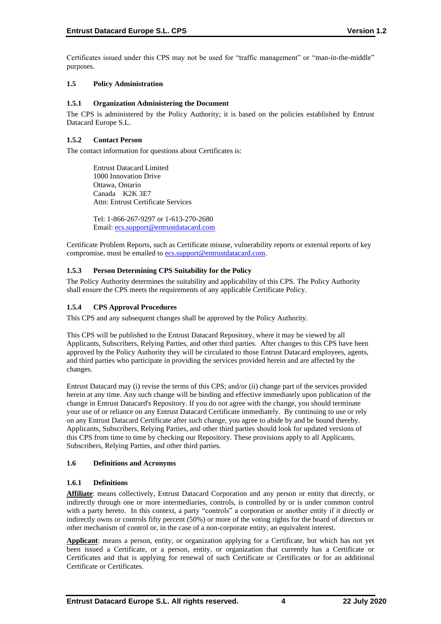Certificates issued under this CPS may not be used for "traffic management" or "man-in-the-middle" purposes.

#### **1.5 Policy Administration**

#### **1.5.1 Organization Administering the Document**

The CPS is administered by the Policy Authority; it is based on the policies established by Entrust Datacard Europe S.L.

# **1.5.2 Contact Person**

The contact information for questions about Certificates is:

Entrust Datacard Limited 1000 Innovation Drive Ottawa, Ontario Canada K2K 3E7 Attn: Entrust Certificate Services

Tel: 1-866-267-9297 or 1-613-270-2680 Email: [ecs.support@entrustdatacard.com](mailto:ecs.support@entrustdatacard.com)

Certificate Problem Reports, such as Certificate misuse, vulnerability reports or external reports of key compromise, must be emailed t[o ecs.support@entrustdatacard.com.](mailto:ecs.support@entrustdatacard.com)

#### **1.5.3 Person Determining CPS Suitability for the Policy**

The Policy Authority determines the suitability and applicability of this CPS. The Policy Authority shall ensure the CPS meets the requirements of any applicable Certificate Policy.

#### **1.5.4 CPS Approval Procedures**

This CPS and any subsequent changes shall be approved by the Policy Authority.

This CPS will be published to the Entrust Datacard Repository, where it may be viewed by all Applicants, Subscribers, Relying Parties, and other third parties. After changes to this CPS have been approved by the Policy Authority they will be circulated to those Entrust Datacard employees, agents, and third parties who participate in providing the services provided herein and are affected by the changes.

Entrust Datacard may (i) revise the terms of this CPS; and/or (ii) change part of the services provided herein at any time. Any such change will be binding and effective immediately upon publication of the change in Entrust Datacard's Repository. If you do not agree with the change, you should terminate your use of or reliance on any Entrust Datacard Certificate immediately. By continuing to use or rely on any Entrust Datacard Certificate after such change, you agree to abide by and be bound thereby. Applicants, Subscribers, Relying Parties, and other third parties should look for updated versions of this CPS from time to time by checking our Repository. These provisions apply to all Applicants, Subscribers, Relying Parties, and other third parties.

#### **1.6 Definitions and Acronyms**

#### **1.6.1 Definitions**

**Affiliate**: means collectively, Entrust Datacard Corporation and any person or entity that directly, or indirectly through one or more intermediaries, controls, is controlled by or is under common control with a party hereto. In this context, a party "controls" a corporation or another entity if it directly or indirectly owns or controls fifty percent (50%) or more of the voting rights for the board of directors or other mechanism of control or, in the case of a non-corporate entity, an equivalent interest.

**Applicant**: means a person, entity, or organization applying for a Certificate, but which has not yet been issued a Certificate, or a person, entity, or organization that currently has a Certificate or Certificates and that is applying for renewal of such Certificate or Certificates or for an additional Certificate or Certificates.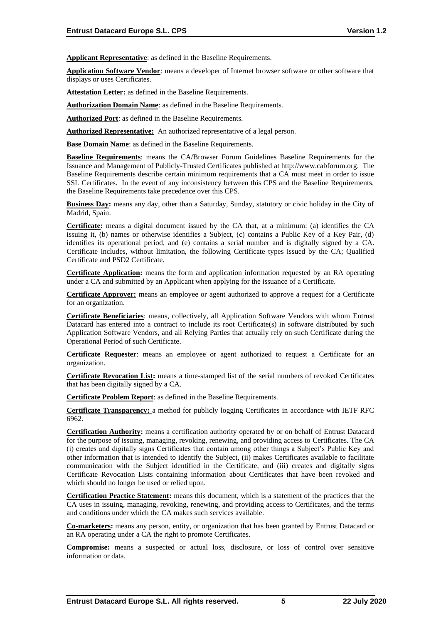**Applicant Representative**: as defined in the Baseline Requirements.

**Application Software Vendor**: means a developer of Internet browser software or other software that displays or uses Certificates.

**Attestation Letter:** as defined in the Baseline Requirements.

**Authorization Domain Name:** as defined in the Baseline Requirements.

**Authorized Port**: as defined in the Baseline Requirements.

**Authorized Representative:** An authorized representative of a legal person.

**Base Domain Name**: as defined in the Baseline Requirements.

**Baseline Requirements**: means the CA/Browser Forum Guidelines Baseline Requirements for the Issuance and Management of Publicly-Trusted Certificates published at http://www.cabforum.org. The Baseline Requirements describe certain minimum requirements that a CA must meet in order to issue SSL Certificates. In the event of any inconsistency between this CPS and the Baseline Requirements, the Baseline Requirements take precedence over this CPS.

**Business Day:** means any day, other than a Saturday, Sunday, statutory or civic holiday in the City of Madrid, Spain.

**Certificate:** means a digital document issued by the CA that, at a minimum: (a) identifies the CA issuing it, (b) names or otherwise identifies a Subject, (c) contains a Public Key of a Key Pair, (d) identifies its operational period, and (e) contains a serial number and is digitally signed by a CA. Certificate includes, without limitation, the following Certificate types issued by the CA; Qualified Certificate and PSD2 Certificate.

**Certificate Application:** means the form and application information requested by an RA operating under a CA and submitted by an Applicant when applying for the issuance of a Certificate.

**Certificate Approver:** means an employee or agent authorized to approve a request for a Certificate for an organization.

**Certificate Beneficiaries**: means, collectively, all Application Software Vendors with whom Entrust Datacard has entered into a contract to include its root Certificate(s) in software distributed by such Application Software Vendors, and all Relying Parties that actually rely on such Certificate during the Operational Period of such Certificate.

**Certificate Requester**: means an employee or agent authorized to request a Certificate for an organization.

**Certificate Revocation List:** means a time-stamped list of the serial numbers of revoked Certificates that has been digitally signed by a CA.

**Certificate Problem Report**: as defined in the Baseline Requirements.

**Certificate Transparency:** a method for publicly logging Certificates in accordance with IETF RFC 6962.

**Certification Authority:** means a certification authority operated by or on behalf of Entrust Datacard for the purpose of issuing, managing, revoking, renewing, and providing access to Certificates. The CA (i) creates and digitally signs Certificates that contain among other things a Subject's Public Key and other information that is intended to identify the Subject, (ii) makes Certificates available to facilitate communication with the Subject identified in the Certificate, and (iii) creates and digitally signs Certificate Revocation Lists containing information about Certificates that have been revoked and which should no longer be used or relied upon.

**Certification Practice Statement:** means this document, which is a statement of the practices that the CA uses in issuing, managing, revoking, renewing, and providing access to Certificates, and the terms and conditions under which the CA makes such services available.

**Co-marketers:** means any person, entity, or organization that has been granted by Entrust Datacard or an RA operating under a CA the right to promote Certificates.

**Compromise:** means a suspected or actual loss, disclosure, or loss of control over sensitive information or data.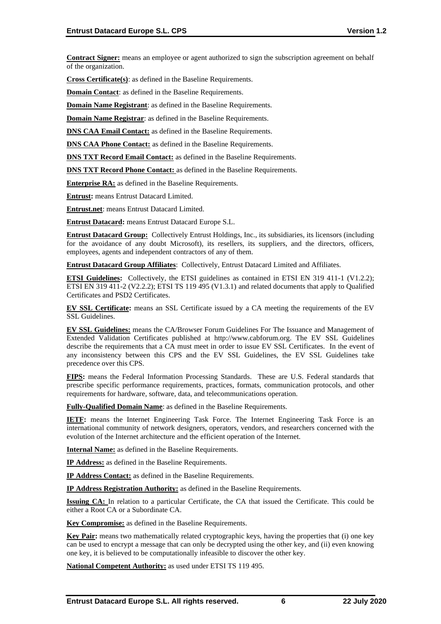**Contract Signer:** means an employee or agent authorized to sign the subscription agreement on behalf of the organization.

**Cross Certificate(s)**: as defined in the Baseline Requirements.

**Domain Contact**: as defined in the Baseline Requirements.

**Domain Name Registrant:** as defined in the Baseline Requirements.

**Domain Name Registrar**: as defined in the Baseline Requirements.

**DNS CAA Email Contact:** as defined in the Baseline Requirements.

**DNS CAA Phone Contact:** as defined in the Baseline Requirements.

**DNS TXT Record Email Contact:** as defined in the Baseline Requirements.

**DNS TXT Record Phone Contact:** as defined in the Baseline Requirements.

**Enterprise RA:** as defined in the Baseline Requirements.

**Entrust:** means Entrust Datacard Limited.

**Entrust.net**: means Entrust Datacard Limited.

**Entrust Datacard:** means Entrust Datacard Europe S.L.

**Entrust Datacard Group:** Collectively Entrust Holdings, Inc., its subsidiaries, its licensors (including for the avoidance of any doubt Microsoft), its resellers, its suppliers, and the directors, officers, employees, agents and independent contractors of any of them.

**Entrust Datacard Group Affiliates**: Collectively, Entrust Datacard Limited and Affiliates.

**ETSI Guidelines:** Collectively, the ETSI guidelines as contained in ETSI EN 319 411-1 (V1.2.2); ETSI EN 319 411-2 (V2.2.2); ETSI TS 119 495 (V1.3.1) and related documents that apply to Qualified Certificates and PSD2 Certificates.

**EV SSL Certificate:** means an SSL Certificate issued by a CA meeting the requirements of the EV SSL Guidelines.

**EV SSL Guidelines:** means the CA/Browser Forum Guidelines For The Issuance and Management of Extended Validation Certificates published at http://www.cabforum.org. The EV SSL Guidelines describe the requirements that a CA must meet in order to issue EV SSL Certificates. In the event of any inconsistency between this CPS and the EV SSL Guidelines, the EV SSL Guidelines take precedence over this CPS.

**FIPS:** means the Federal Information Processing Standards. These are U.S. Federal standards that prescribe specific performance requirements, practices, formats, communication protocols, and other requirements for hardware, software, data, and telecommunications operation.

**Fully-Qualified Domain Name**: as defined in the Baseline Requirements.

**IETF:** means the Internet Engineering Task Force. The Internet Engineering Task Force is an international community of network designers, operators, vendors, and researchers concerned with the evolution of the Internet architecture and the efficient operation of the Internet.

**Internal Name:** as defined in the Baseline Requirements.

**IP Address:** as defined in the Baseline Requirements.

**IP Address Contact:** as defined in the Baseline Requirements.

**IP Address Registration Authority:** as defined in the Baseline Requirements.

**Issuing CA:** In relation to a particular Certificate, the CA that issued the Certificate. This could be either a Root CA or a Subordinate CA.

**Key Compromise:** as defined in the Baseline Requirements.

**Key Pair:** means two mathematically related cryptographic keys, having the properties that (i) one key can be used to encrypt a message that can only be decrypted using the other key, and (ii) even knowing one key, it is believed to be computationally infeasible to discover the other key.

**National Competent Authority:** as used under ETSI TS 119 495.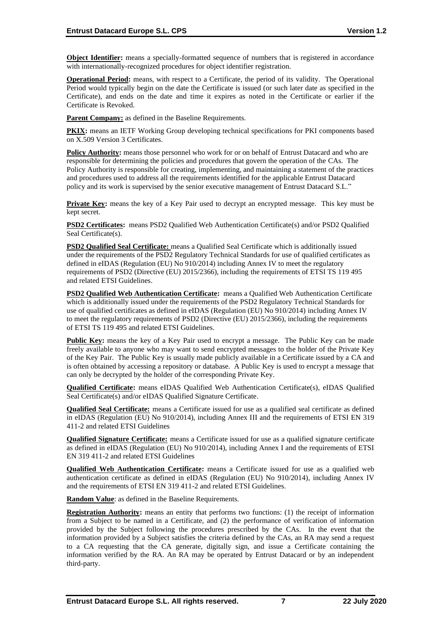**Object Identifier:** means a specially-formatted sequence of numbers that is registered in accordance with internationally-recognized procedures for object identifier registration.

**Operational Period:** means, with respect to a Certificate, the period of its validity. The Operational Period would typically begin on the date the Certificate is issued (or such later date as specified in the Certificate), and ends on the date and time it expires as noted in the Certificate or earlier if the Certificate is Revoked.

**Parent Company:** as defined in the Baseline Requirements.

**PKIX:** means an IETF Working Group developing technical specifications for PKI components based on X.509 Version 3 Certificates.

**Policy Authority:** means those personnel who work for or on behalf of Entrust Datacard and who are responsible for determining the policies and procedures that govern the operation of the CAs. The Policy Authority is responsible for creating, implementing, and maintaining a statement of the practices and procedures used to address all the requirements identified for the applicable Entrust Datacard policy and its work is supervised by the senior executive management of Entrust Datacard S.L."

**Private Key:** means the key of a Key Pair used to decrypt an encrypted message. This key must be kept secret.

**PSD2 Certificates:** means PSD2 Qualified Web Authentication Certificate(s) and/or PSD2 Qualified Seal Certificate(s).

**PSD2 Qualified Seal Certificate:** means a Qualified Seal Certificate which is additionally issued under the requirements of the PSD2 Regulatory Technical Standards for use of qualified certificates as defined in eIDAS (Regulation (EU) No 910/2014) including Annex IV to meet the regulatory requirements of PSD2 (Directive (EU) 2015/2366), including the requirements of ETSI TS 119 495 and related ETSI Guidelines.

**PSD2 Qualified Web Authentication Certificate:** means a Qualified Web Authentication Certificate which is additionally issued under the requirements of the PSD2 Regulatory Technical Standards for use of qualified certificates as defined in eIDAS (Regulation (EU) No 910/2014) including Annex IV to meet the regulatory requirements of PSD2 (Directive (EU) 2015/2366), including the requirements of ETSI TS 119 495 and related ETSI Guidelines.

**Public Key:** means the key of a Key Pair used to encrypt a message. The Public Key can be made freely available to anyone who may want to send encrypted messages to the holder of the Private Key of the Key Pair. The Public Key is usually made publicly available in a Certificate issued by a CA and is often obtained by accessing a repository or database. A Public Key is used to encrypt a message that can only be decrypted by the holder of the corresponding Private Key.

**Qualified Certificate:** means eIDAS Qualified Web Authentication Certificate(s), eIDAS Qualified Seal Certificate(s) and/or eIDAS Qualified Signature Certificate.

**Qualified Seal Certificate:** means a Certificate issued for use as a qualified seal certificate as defined in eIDAS (Regulation (EU) No 910/2014), including Annex III and the requirements of ETSI EN 319 411-2 and related ETSI Guidelines

**Qualified Signature Certificate:** means a Certificate issued for use as a qualified signature certificate as defined in eIDAS (Regulation (EU) No 910/2014), including Annex I and the requirements of ETSI EN 319 411-2 and related ETSI Guidelines

**Qualified Web Authentication Certificate:** means a Certificate issued for use as a qualified web authentication certificate as defined in eIDAS (Regulation (EU) No 910/2014), including Annex IV and the requirements of ETSI EN 319 411-2 and related ETSI Guidelines.

**Random Value**: as defined in the Baseline Requirements.

**Registration Authority:** means an entity that performs two functions: (1) the receipt of information from a Subject to be named in a Certificate, and (2) the performance of verification of information provided by the Subject following the procedures prescribed by the CAs. In the event that the information provided by a Subject satisfies the criteria defined by the CAs, an RA may send a request to a CA requesting that the CA generate, digitally sign, and issue a Certificate containing the information verified by the RA. An RA may be operated by Entrust Datacard or by an independent third-party.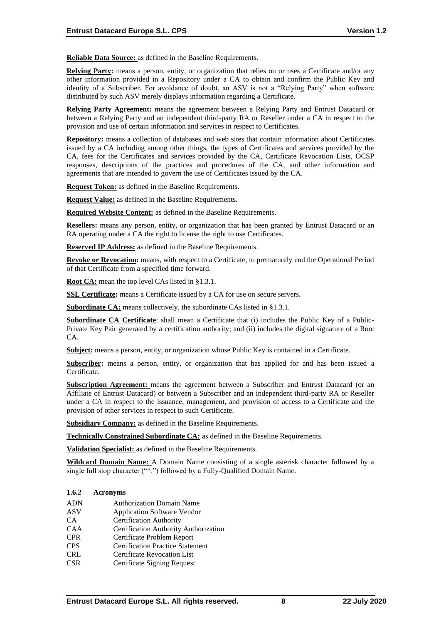**Reliable Data Source:** as defined in the Baseline Requirements.

**Relying Party:** means a person, entity, or organization that relies on or uses a Certificate and/or any other information provided in a Repository under a CA to obtain and confirm the Public Key and identity of a Subscriber. For avoidance of doubt, an ASV is not a "Relying Party" when software distributed by such ASV merely displays information regarding a Certificate.

**Relying Party Agreement:** means the agreement between a Relying Party and Entrust Datacard or between a Relying Party and an independent third-party RA or Reseller under a CA in respect to the provision and use of certain information and services in respect to Certificates.

**Repository:** means a collection of databases and web sites that contain information about Certificates issued by a CA including among other things, the types of Certificates and services provided by the CA, fees for the Certificates and services provided by the CA, Certificate Revocation Lists, OCSP responses, descriptions of the practices and procedures of the CA, and other information and agreements that are intended to govern the use of Certificates issued by the CA.

**Request Token:** as defined in the Baseline Requirements.

**Request Value:** as defined in the Baseline Requirements.

**Required Website Content:** as defined in the Baseline Requirements.

**Resellers:** means any person, entity, or organization that has been granted by Entrust Datacard or an RA operating under a CA the right to license the right to use Certificates.

**Reserved IP Address:** as defined in the Baseline Requirements.

**Revoke or Revocation:** means, with respect to a Certificate, to prematurely end the Operational Period of that Certificate from a specified time forward.

**Root CA:** mean the top level CAs listed in §1.3.1.

**SSL Certificate:** means a Certificate issued by a CA for use on secure servers.

**Subordinate CA:** means collectively, the subordinate CAs listed in §1.3.1.

**Subordinate CA Certificate**: shall mean a Certificate that (i) includes the Public Key of a Public-Private Key Pair generated by a certification authority; and (ii) includes the digital signature of a Root CA.

**Subject:** means a person, entity, or organization whose Public Key is contained in a Certificate.

**Subscriber:** means a person, entity, or organization that has applied for and has been issued a Certificate.

**Subscription Agreement:** means the agreement between a Subscriber and Entrust Datacard (or an Affiliate of Entrust Datacard) or between a Subscriber and an independent third-party RA or Reseller under a CA in respect to the issuance, management, and provision of access to a Certificate and the provision of other services in respect to such Certificate.

**Subsidiary Company:** as defined in the Baseline Requirements.

**Technically Constrained Subordinate CA:** as defined in the Baseline Requirements.

**Validation Specialist:** as defined in the Baseline Requirements.

**Wildcard Domain Name:** A Domain Name consisting of a single asterisk character followed by a single full stop character ("\*.") followed by a Fully-Qualified Domain Name.

#### **1.6.2 Acronyms**

- ADN Authorization Domain Name
- ASV Application Software Vendor
- CA Certification Authority
- CAA Certification Authority Authorization
- CPR Certificate Problem Report
- CPS Certification Practice Statement
- CRL Certificate Revocation List
- CSR Certificate Signing Request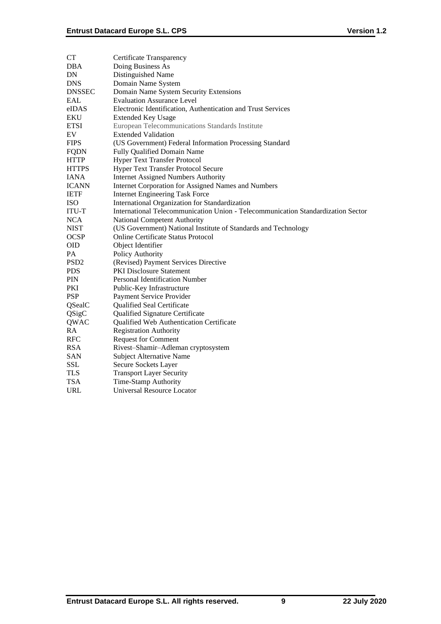| CT               | Certificate Transparency                                                         |
|------------------|----------------------------------------------------------------------------------|
| DBA              | Doing Business As                                                                |
| DN               | Distinguished Name                                                               |
| <b>DNS</b>       | Domain Name System                                                               |
| DNSSEC           | Domain Name System Security Extensions                                           |
| EAL              | <b>Evaluation Assurance Level</b>                                                |
| eIDAS            | Electronic Identification, Authentication and Trust Services                     |
| EKU              | <b>Extended Key Usage</b>                                                        |
| ETSI             | European Telecommunications Standards Institute                                  |
| EV               | <b>Extended Validation</b>                                                       |
| <b>FIPS</b>      | (US Government) Federal Information Processing Standard                          |
| FQDN             | Fully Qualified Domain Name                                                      |
| HTTP             | <b>Hyper Text Transfer Protocol</b>                                              |
| HTTPS            | Hyper Text Transfer Protocol Secure                                              |
| IANA             | <b>Internet Assigned Numbers Authority</b>                                       |
| ICANN            | Internet Corporation for Assigned Names and Numbers                              |
| <b>IETF</b>      | <b>Internet Engineering Task Force</b>                                           |
| ISO              | International Organization for Standardization                                   |
| ITU-T            | International Telecommunication Union - Telecommunication Standardization Sector |
| <b>NCA</b>       | National Competent Authority                                                     |
| NIST             | (US Government) National Institute of Standards and Technology                   |
| OCSP             | Online Certificate Status Protocol                                               |
| OID              | Object Identifier                                                                |
| PA               | Policy Authority                                                                 |
| PSD <sub>2</sub> | (Revised) Payment Services Directive                                             |
| PDS              | <b>PKI Disclosure Statement</b>                                                  |
| PIN              | Personal Identification Number                                                   |
| PKI              | Public-Key Infrastructure                                                        |
| <b>PSP</b>       | Payment Service Provider                                                         |
| QSealC           | Qualified Seal Certificate                                                       |
| QSigC            | Qualified Signature Certificate                                                  |
| QWAC             | Qualified Web Authentication Certificate                                         |
| RA               | <b>Registration Authority</b>                                                    |
| RFC              | <b>Request for Comment</b>                                                       |
| RSA              | Rivest-Shamir-Adleman cryptosystem                                               |
| SAN              | Subject Alternative Name                                                         |
| SSL              | Secure Sockets Layer                                                             |
| TLS              | <b>Transport Layer Security</b>                                                  |
| <b>TSA</b>       | Time-Stamp Authority                                                             |
| URL              | <b>Universal Resource Locator</b>                                                |
|                  |                                                                                  |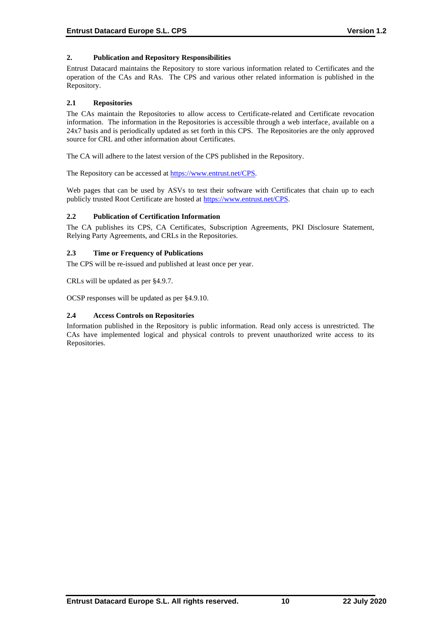# **2. Publication and Repository Responsibilities**

Entrust Datacard maintains the Repository to store various information related to Certificates and the operation of the CAs and RAs. The CPS and various other related information is published in the Repository.

# **2.1 Repositories**

The CAs maintain the Repositories to allow access to Certificate-related and Certificate revocation information. The information in the Repositories is accessible through a web interface, available on a 24x7 basis and is periodically updated as set forth in this CPS. The Repositories are the only approved source for CRL and other information about Certificates.

The CA will adhere to the latest version of the CPS published in the Repository.

The Repository can be accessed at [https://www.entrust.net/CPS.](https://www.entrust.net/CPS)

Web pages that can be used by ASVs to test their software with Certificates that chain up to each publicly trusted Root Certificate are hosted a[t https://www.entrust.net/CPS.](https://www.entrust.net/CPS)

# **2.2 Publication of Certification Information**

The CA publishes its CPS, CA Certificates, Subscription Agreements, PKI Disclosure Statement, Relying Party Agreements, and CRLs in the Repositories.

# **2.3 Time or Frequency of Publications**

The CPS will be re-issued and published at least once per year.

CRLs will be updated as per §4.9.7.

OCSP responses will be updated as per §4.9.10.

# **2.4 Access Controls on Repositories**

Information published in the Repository is public information. Read only access is unrestricted. The CAs have implemented logical and physical controls to prevent unauthorized write access to its Repositories.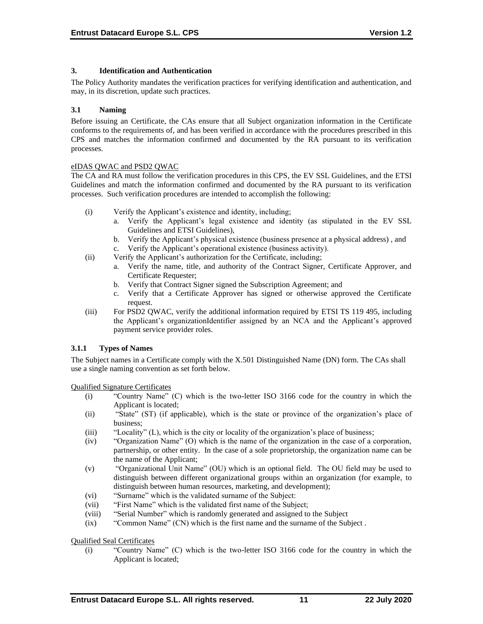# **3. Identification and Authentication**

The Policy Authority mandates the verification practices for verifying identification and authentication, and may, in its discretion, update such practices.

## **3.1 Naming**

Before issuing an Certificate, the CAs ensure that all Subject organization information in the Certificate conforms to the requirements of, and has been verified in accordance with the procedures prescribed in this CPS and matches the information confirmed and documented by the RA pursuant to its verification processes.

## eIDAS QWAC and PSD2 QWAC

The CA and RA must follow the verification procedures in this CPS, the EV SSL Guidelines, and the ETSI Guidelines and match the information confirmed and documented by the RA pursuant to its verification processes. Such verification procedures are intended to accomplish the following:

- (i) Verify the Applicant's existence and identity, including;
	- a. Verify the Applicant's legal existence and identity (as stipulated in the EV SSL Guidelines and ETSI Guidelines),
	- b. Verify the Applicant's physical existence (business presence at a physical address) , and c. Verify the Applicant's operational existence (business activity).
- (ii) Verify the Applicant's authorization for the Certificate, including;
	- a. Verify the name, title, and authority of the Contract Signer, Certificate Approver, and Certificate Requester;
	- b. Verify that Contract Signer signed the Subscription Agreement; and
	- c. Verify that a Certificate Approver has signed or otherwise approved the Certificate request.
- (iii) For PSD2 QWAC, verify the additional information required by ETSI TS 119 495, including the Applicant's organizationIdentifier assigned by an NCA and the Applicant's approved payment service provider roles.

# **3.1.1 Types of Names**

The Subject names in a Certificate comply with the X.501 Distinguished Name (DN) form. The CAs shall use a single naming convention as set forth below.

Qualified Signature Certificates

- (i) "Country Name" (C) which is the two-letter ISO 3166 code for the country in which the Applicant is located;
- (ii) "State" (ST) (if applicable), which is the state or province of the organization's place of business;
- (iii) "Locality" (L), which is the city or locality of the organization's place of business;
- (iv) "Organization Name" (O) which is the name of the organization in the case of a corporation, partnership, or other entity. In the case of a sole proprietorship, the organization name can be the name of the Applicant;
- (v) "Organizational Unit Name" (OU) which is an optional field. The OU field may be used to distinguish between different organizational groups within an organization (for example, to distinguish between human resources, marketing, and development);
- (vi) "Surname" which is the validated surname of the Subject:
- (vii) "First Name" which is the validated first name of the Subject;
- (viii) "Serial Number" which is randomly generated and assigned to the Subject
- (ix) "Common Name" (CN) which is the first name and the surname of the Subject .

Qualified Seal Certificates

(i) "Country Name" (C) which is the two-letter ISO 3166 code for the country in which the Applicant is located;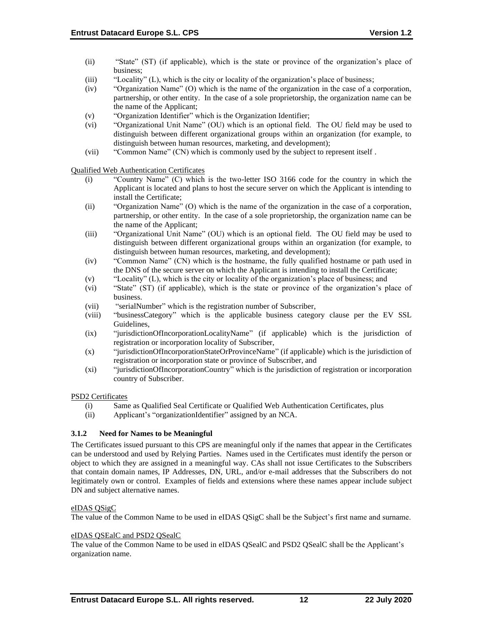- (ii) "State" (ST) (if applicable), which is the state or province of the organization's place of business;
- (iii) "Locality" (L), which is the city or locality of the organization's place of business;
- (iv) "Organization Name" (O) which is the name of the organization in the case of a corporation, partnership, or other entity. In the case of a sole proprietorship, the organization name can be the name of the Applicant;
- (v) "Organization Identifier" which is the Organization Identifier;
- (vi) "Organizational Unit Name" (OU) which is an optional field. The OU field may be used to distinguish between different organizational groups within an organization (for example, to distinguish between human resources, marketing, and development);
- (vii) "Common Name" (CN) which is commonly used by the subject to represent itself .

Qualified Web Authentication Certificates

- (i) "Country Name" (C) which is the two-letter ISO 3166 code for the country in which the Applicant is located and plans to host the secure server on which the Applicant is intending to install the Certificate;
- (ii) "Organization Name" (O) which is the name of the organization in the case of a corporation, partnership, or other entity. In the case of a sole proprietorship, the organization name can be the name of the Applicant;
- (iii) "Organizational Unit Name" (OU) which is an optional field. The OU field may be used to distinguish between different organizational groups within an organization (for example, to distinguish between human resources, marketing, and development);
- (iv) "Common Name" (CN) which is the hostname, the fully qualified hostname or path used in the DNS of the secure server on which the Applicant is intending to install the Certificate;
- (v) "Locality" (L), which is the city or locality of the organization's place of business; and
- (vi) "State" (ST) (if applicable), which is the state or province of the organization's place of business.
- (vii) "serialNumber" which is the registration number of Subscriber,
- (viii) "businessCategory" which is the applicable business category clause per the EV SSL Guidelines,
- (ix) "jurisdictionOfIncorporationLocalityName" (if applicable) which is the jurisdiction of registration or incorporation locality of Subscriber,
- (x) "jurisdictionOfIncorporationStateOrProvinceName" (if applicable) which is the jurisdiction of registration or incorporation state or province of Subscriber, and
- (xi) "jurisdictionOfIncorporationCountry" which is the jurisdiction of registration or incorporation country of Subscriber.

#### PSD2 Certificates

- (i) Same as Qualified Seal Certificate or Qualified Web Authentication Certificates, plus
- (ii) Applicant's "organizationIdentifier" assigned by an NCA.

# **3.1.2 Need for Names to be Meaningful**

The Certificates issued pursuant to this CPS are meaningful only if the names that appear in the Certificates can be understood and used by Relying Parties. Names used in the Certificates must identify the person or object to which they are assigned in a meaningful way. CAs shall not issue Certificates to the Subscribers that contain domain names, IP Addresses, DN, URL, and/or e-mail addresses that the Subscribers do not legitimately own or control. Examples of fields and extensions where these names appear include subject DN and subject alternative names.

# eIDAS QSigC

The value of the Common Name to be used in eIDAS QSigC shall be the Subject's first name and surname.

#### eIDAS QSEalC and PSD2 QSealC

The value of the Common Name to be used in eIDAS QSealC and PSD2 QSealC shall be the Applicant's organization name.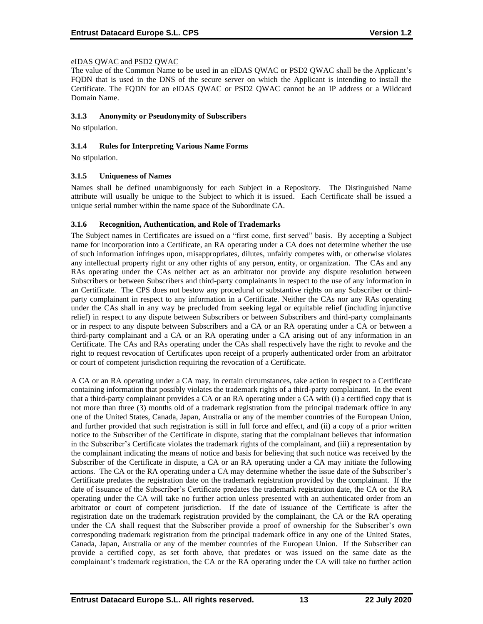# eIDAS QWAC and PSD2 QWAC

The value of the Common Name to be used in an eIDAS QWAC or PSD2 QWAC shall be the Applicant's FQDN that is used in the DNS of the secure server on which the Applicant is intending to install the Certificate. The FQDN for an eIDAS QWAC or PSD2 QWAC cannot be an IP address or a Wildcard Domain Name.

#### **3.1.3 Anonymity or Pseudonymity of Subscribers**

No stipulation.

## **3.1.4 Rules for Interpreting Various Name Forms**

No stipulation.

## **3.1.5 Uniqueness of Names**

Names shall be defined unambiguously for each Subject in a Repository. The Distinguished Name attribute will usually be unique to the Subject to which it is issued. Each Certificate shall be issued a unique serial number within the name space of the Subordinate CA.

## **3.1.6 Recognition, Authentication, and Role of Trademarks**

The Subject names in Certificates are issued on a "first come, first served" basis. By accepting a Subject name for incorporation into a Certificate, an RA operating under a CA does not determine whether the use of such information infringes upon, misappropriates, dilutes, unfairly competes with, or otherwise violates any intellectual property right or any other rights of any person, entity, or organization. The CAs and any RAs operating under the CAs neither act as an arbitrator nor provide any dispute resolution between Subscribers or between Subscribers and third-party complainants in respect to the use of any information in an Certificate. The CPS does not bestow any procedural or substantive rights on any Subscriber or thirdparty complainant in respect to any information in a Certificate. Neither the CAs nor any RAs operating under the CAs shall in any way be precluded from seeking legal or equitable relief (including injunctive relief) in respect to any dispute between Subscribers or between Subscribers and third-party complainants or in respect to any dispute between Subscribers and a CA or an RA operating under a CA or between a third-party complainant and a CA or an RA operating under a CA arising out of any information in an Certificate. The CAs and RAs operating under the CAs shall respectively have the right to revoke and the right to request revocation of Certificates upon receipt of a properly authenticated order from an arbitrator or court of competent jurisdiction requiring the revocation of a Certificate.

A CA or an RA operating under a CA may, in certain circumstances, take action in respect to a Certificate containing information that possibly violates the trademark rights of a third-party complainant. In the event that a third-party complainant provides a CA or an RA operating under a CA with (i) a certified copy that is not more than three (3) months old of a trademark registration from the principal trademark office in any one of the United States, Canada, Japan, Australia or any of the member countries of the European Union, and further provided that such registration is still in full force and effect, and (ii) a copy of a prior written notice to the Subscriber of the Certificate in dispute, stating that the complainant believes that information in the Subscriber's Certificate violates the trademark rights of the complainant, and (iii) a representation by the complainant indicating the means of notice and basis for believing that such notice was received by the Subscriber of the Certificate in dispute, a CA or an RA operating under a CA may initiate the following actions. The CA or the RA operating under a CA may determine whether the issue date of the Subscriber's Certificate predates the registration date on the trademark registration provided by the complainant. If the date of issuance of the Subscriber's Certificate predates the trademark registration date, the CA or the RA operating under the CA will take no further action unless presented with an authenticated order from an arbitrator or court of competent jurisdiction. If the date of issuance of the Certificate is after the registration date on the trademark registration provided by the complainant, the CA or the RA operating under the CA shall request that the Subscriber provide a proof of ownership for the Subscriber's own corresponding trademark registration from the principal trademark office in any one of the United States, Canada, Japan, Australia or any of the member countries of the European Union. If the Subscriber can provide a certified copy, as set forth above, that predates or was issued on the same date as the complainant's trademark registration, the CA or the RA operating under the CA will take no further action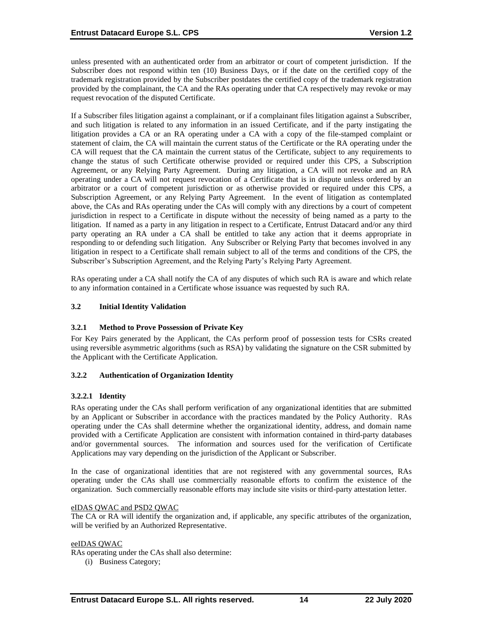unless presented with an authenticated order from an arbitrator or court of competent jurisdiction. If the Subscriber does not respond within ten (10) Business Days, or if the date on the certified copy of the trademark registration provided by the Subscriber postdates the certified copy of the trademark registration provided by the complainant, the CA and the RAs operating under that CA respectively may revoke or may request revocation of the disputed Certificate.

If a Subscriber files litigation against a complainant, or if a complainant files litigation against a Subscriber, and such litigation is related to any information in an issued Certificate, and if the party instigating the litigation provides a CA or an RA operating under a CA with a copy of the file-stamped complaint or statement of claim, the CA will maintain the current status of the Certificate or the RA operating under the CA will request that the CA maintain the current status of the Certificate, subject to any requirements to change the status of such Certificate otherwise provided or required under this CPS, a Subscription Agreement, or any Relying Party Agreement. During any litigation, a CA will not revoke and an RA operating under a CA will not request revocation of a Certificate that is in dispute unless ordered by an arbitrator or a court of competent jurisdiction or as otherwise provided or required under this CPS, a Subscription Agreement, or any Relying Party Agreement. In the event of litigation as contemplated above, the CAs and RAs operating under the CAs will comply with any directions by a court of competent jurisdiction in respect to a Certificate in dispute without the necessity of being named as a party to the litigation. If named as a party in any litigation in respect to a Certificate, Entrust Datacard and/or any third party operating an RA under a CA shall be entitled to take any action that it deems appropriate in responding to or defending such litigation. Any Subscriber or Relying Party that becomes involved in any litigation in respect to a Certificate shall remain subject to all of the terms and conditions of the CPS, the Subscriber's Subscription Agreement, and the Relying Party's Relying Party Agreement.

RAs operating under a CA shall notify the CA of any disputes of which such RA is aware and which relate to any information contained in a Certificate whose issuance was requested by such RA.

# **3.2 Initial Identity Validation**

#### **3.2.1 Method to Prove Possession of Private Key**

For Key Pairs generated by the Applicant, the CAs perform proof of possession tests for CSRs created using reversible asymmetric algorithms (such as RSA) by validating the signature on the CSR submitted by the Applicant with the Certificate Application.

#### **3.2.2 Authentication of Organization Identity**

# **3.2.2.1 Identity**

RAs operating under the CAs shall perform verification of any organizational identities that are submitted by an Applicant or Subscriber in accordance with the practices mandated by the Policy Authority. RAs operating under the CAs shall determine whether the organizational identity, address, and domain name provided with a Certificate Application are consistent with information contained in third-party databases and/or governmental sources. The information and sources used for the verification of Certificate Applications may vary depending on the jurisdiction of the Applicant or Subscriber.

In the case of organizational identities that are not registered with any governmental sources, RAs operating under the CAs shall use commercially reasonable efforts to confirm the existence of the organization. Such commercially reasonable efforts may include site visits or third-party attestation letter.

#### eIDAS QWAC and PSD2 QWAC

The CA or RA will identify the organization and, if applicable, any specific attributes of the organization, will be verified by an Authorized Representative.

#### eeIDAS QWAC

RAs operating under the CAs shall also determine:

(i) Business Category;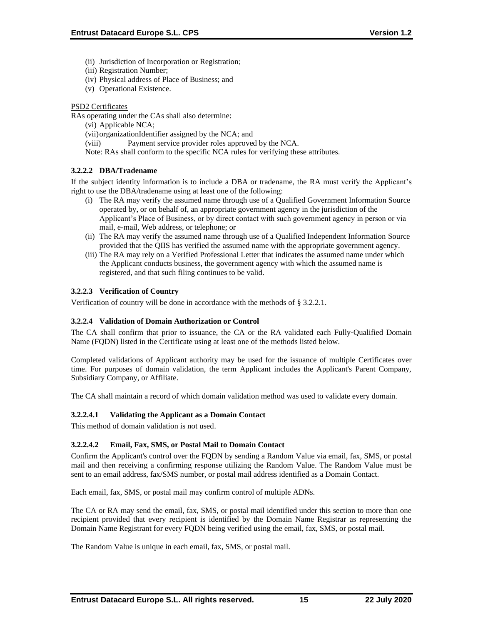- (ii) Jurisdiction of Incorporation or Registration;
- (iii) Registration Number;
- (iv) Physical address of Place of Business; and
- (v) Operational Existence.

# PSD2 Certificates

RAs operating under the CAs shall also determine:

- (vi) Applicable NCA;
- (vii)organizationIdentifier assigned by the NCA; and
- (viii) Payment service provider roles approved by the NCA.
- Note: RAs shall conform to the specific NCA rules for verifying these attributes.

# **3.2.2.2 DBA/Tradename**

If the subject identity information is to include a DBA or tradename, the RA must verify the Applicant's right to use the DBA/tradename using at least one of the following:

- (i) The RA may verify the assumed name through use of a Qualified Government Information Source operated by, or on behalf of, an appropriate government agency in the jurisdiction of the Applicant's Place of Business, or by direct contact with such government agency in person or via mail, e-mail, Web address, or telephone; or
- (ii) The RA may verify the assumed name through use of a Qualified Independent Information Source provided that the QIIS has verified the assumed name with the appropriate government agency.
- (iii) The RA may rely on a Verified Professional Letter that indicates the assumed name under which the Applicant conducts business, the government agency with which the assumed name is registered, and that such filing continues to be valid.

# **3.2.2.3 Verification of Country**

Verification of country will be done in accordance with the methods of § 3.2.2.1.

# **3.2.2.4 Validation of Domain Authorization or Control**

The CA shall confirm that prior to issuance, the CA or the RA validated each Fully‐Qualified Domain Name (FQDN) listed in the Certificate using at least one of the methods listed below.

Completed validations of Applicant authority may be used for the issuance of multiple Certificates over time. For purposes of domain validation, the term Applicant includes the Applicant's Parent Company, Subsidiary Company, or Affiliate.

The CA shall maintain a record of which domain validation method was used to validate every domain.

# **3.2.2.4.1 Validating the Applicant as a Domain Contact**

This method of domain validation is not used.

# **3.2.2.4.2 Email, Fax, SMS, or Postal Mail to Domain Contact**

Confirm the Applicant's control over the FQDN by sending a Random Value via email, fax, SMS, or postal mail and then receiving a confirming response utilizing the Random Value. The Random Value must be sent to an email address, fax/SMS number, or postal mail address identified as a Domain Contact.

Each email, fax, SMS, or postal mail may confirm control of multiple ADNs.

The CA or RA may send the email, fax, SMS, or postal mail identified under this section to more than one recipient provided that every recipient is identified by the Domain Name Registrar as representing the Domain Name Registrant for every FQDN being verified using the email, fax, SMS, or postal mail.

The Random Value is unique in each email, fax, SMS, or postal mail.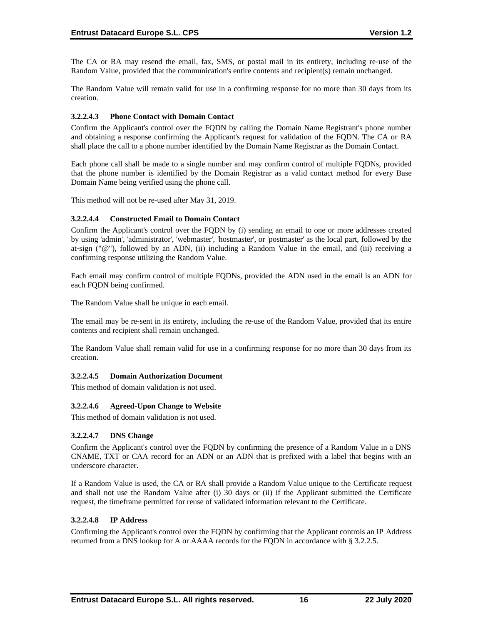The CA or RA may resend the email, fax, SMS, or postal mail in its entirety, including re‐use of the Random Value, provided that the communication's entire contents and recipient(s) remain unchanged.

The Random Value will remain valid for use in a confirming response for no more than 30 days from its creation.

## **3.2.2.4.3 Phone Contact with Domain Contact**

Confirm the Applicant's control over the FQDN by calling the Domain Name Registrant's phone number and obtaining a response confirming the Applicant's request for validation of the FQDN. The CA or RA shall place the call to a phone number identified by the Domain Name Registrar as the Domain Contact.

Each phone call shall be made to a single number and may confirm control of multiple FQDNs, provided that the phone number is identified by the Domain Registrar as a valid contact method for every Base Domain Name being verified using the phone call.

This method will not be re-used after May 31, 2019.

## **3.2.2.4.4 Constructed Email to Domain Contact**

Confirm the Applicant's control over the FQDN by (i) sending an email to one or more addresses created by using 'admin', 'administrator', 'webmaster', 'hostmaster', or 'postmaster' as the local part, followed by the at-sign (" $@$ "), followed by an ADN, (ii) including a Random Value in the email, and (iii) receiving a confirming response utilizing the Random Value.

Each email may confirm control of multiple FQDNs, provided the ADN used in the email is an ADN for each FQDN being confirmed.

The Random Value shall be unique in each email.

The email may be re-sent in its entirety, including the re-use of the Random Value, provided that its entire contents and recipient shall remain unchanged.

The Random Value shall remain valid for use in a confirming response for no more than 30 days from its creation.

#### **3.2.2.4.5 Domain Authorization Document**

This method of domain validation is not used.

#### **3.2.2.4.6 Agreed-Upon Change to Website**

This method of domain validation is not used.

#### **3.2.2.4.7 DNS Change**

Confirm the Applicant's control over the FQDN by confirming the presence of a Random Value in a DNS CNAME, TXT or CAA record for an ADN or an ADN that is prefixed with a label that begins with an underscore character.

If a Random Value is used, the CA or RA shall provide a Random Value unique to the Certificate request and shall not use the Random Value after (i) 30 days or (ii) if the Applicant submitted the Certificate request, the timeframe permitted for reuse of validated information relevant to the Certificate.

#### **3.2.2.4.8 IP Address**

Confirming the Applicant's control over the FQDN by confirming that the Applicant controls an IP Address returned from a DNS lookup for A or AAAA records for the FQDN in accordance with § 3.2.2.5.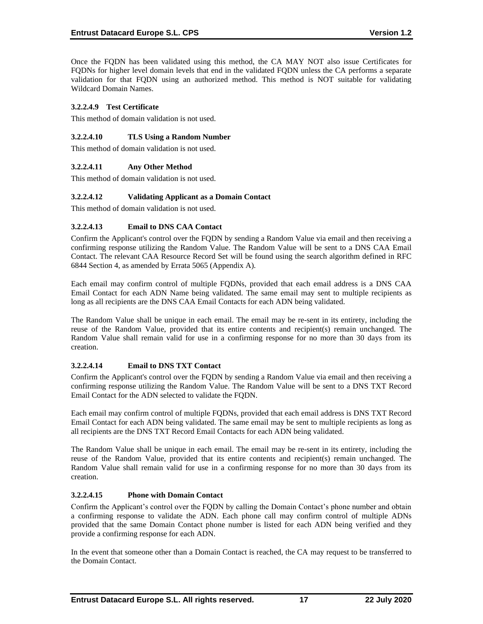Once the FQDN has been validated using this method, the CA MAY NOT also issue Certificates for FODNs for higher level domain levels that end in the validated FODN unless the CA performs a separate validation for that FQDN using an authorized method. This method is NOT suitable for validating Wildcard Domain Names.

# **3.2.2.4.9 Test Certificate**

This method of domain validation is not used.

# **3.2.2.4.10 TLS Using a Random Number**

This method of domain validation is not used.

# **3.2.2.4.11 Any Other Method**

This method of domain validation is not used.

# **3.2.2.4.12 Validating Applicant as a Domain Contact**

This method of domain validation is not used.

# **3.2.2.4.13 Email to DNS CAA Contact**

Confirm the Applicant's control over the FQDN by sending a Random Value via email and then receiving a confirming response utilizing the Random Value. The Random Value will be sent to a DNS CAA Email Contact. The relevant CAA Resource Record Set will be found using the search algorithm defined in RFC 6844 Section 4, as amended by Errata 5065 (Appendix A).

Each email may confirm control of multiple FQDNs, provided that each email address is a DNS CAA Email Contact for each ADN Name being validated. The same email may sent to multiple recipients as long as all recipients are the DNS CAA Email Contacts for each ADN being validated.

The Random Value shall be unique in each email. The email may be re-sent in its entirety, including the reuse of the Random Value, provided that its entire contents and recipient(s) remain unchanged. The Random Value shall remain valid for use in a confirming response for no more than 30 days from its creation.

# **3.2.2.4.14 Email to DNS TXT Contact**

Confirm the Applicant's control over the FQDN by sending a Random Value via email and then receiving a confirming response utilizing the Random Value. The Random Value will be sent to a DNS TXT Record Email Contact for the ADN selected to validate the FQDN.

Each email may confirm control of multiple FQDNs, provided that each email address is DNS TXT Record Email Contact for each ADN being validated. The same email may be sent to multiple recipients as long as all recipients are the DNS TXT Record Email Contacts for each ADN being validated.

The Random Value shall be unique in each email. The email may be re-sent in its entirety, including the reuse of the Random Value, provided that its entire contents and recipient(s) remain unchanged. The Random Value shall remain valid for use in a confirming response for no more than 30 days from its creation.

# **3.2.2.4.15 Phone with Domain Contact**

Confirm the Applicant's control over the FQDN by calling the Domain Contact's phone number and obtain a confirming response to validate the ADN. Each phone call may confirm control of multiple ADNs provided that the same Domain Contact phone number is listed for each ADN being verified and they provide a confirming response for each ADN.

In the event that someone other than a Domain Contact is reached, the CA may request to be transferred to the Domain Contact.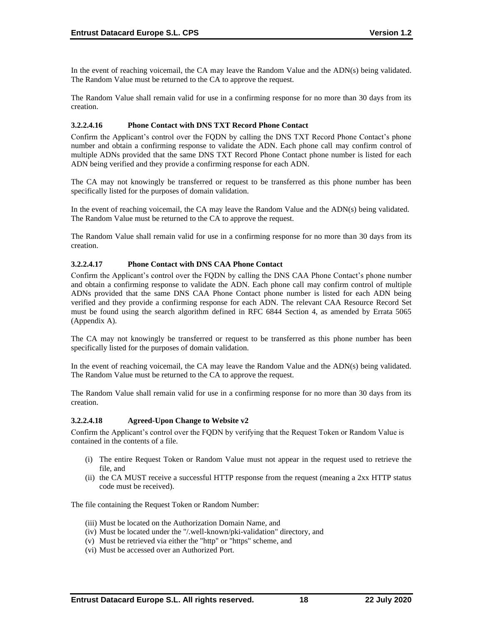In the event of reaching voicemail, the CA may leave the Random Value and the ADN(s) being validated. The Random Value must be returned to the CA to approve the request.

The Random Value shall remain valid for use in a confirming response for no more than 30 days from its creation.

#### **3.2.2.4.16 Phone Contact with DNS TXT Record Phone Contact**

Confirm the Applicant's control over the FQDN by calling the DNS TXT Record Phone Contact's phone number and obtain a confirming response to validate the ADN. Each phone call may confirm control of multiple ADNs provided that the same DNS TXT Record Phone Contact phone number is listed for each ADN being verified and they provide a confirming response for each ADN.

The CA may not knowingly be transferred or request to be transferred as this phone number has been specifically listed for the purposes of domain validation.

In the event of reaching voicemail, the CA may leave the Random Value and the ADN(s) being validated. The Random Value must be returned to the CA to approve the request.

The Random Value shall remain valid for use in a confirming response for no more than 30 days from its creation.

## **3.2.2.4.17 Phone Contact with DNS CAA Phone Contact**

Confirm the Applicant's control over the FQDN by calling the DNS CAA Phone Contact's phone number and obtain a confirming response to validate the ADN. Each phone call may confirm control of multiple ADNs provided that the same DNS CAA Phone Contact phone number is listed for each ADN being verified and they provide a confirming response for each ADN. The relevant CAA Resource Record Set must be found using the search algorithm defined in RFC 6844 Section 4, as amended by Errata 5065 (Appendix A).

The CA may not knowingly be transferred or request to be transferred as this phone number has been specifically listed for the purposes of domain validation.

In the event of reaching voicemail, the CA may leave the Random Value and the ADN(s) being validated. The Random Value must be returned to the CA to approve the request.

The Random Value shall remain valid for use in a confirming response for no more than 30 days from its creation.

#### **3.2.2.4.18 Agreed-Upon Change to Website v2**

Confirm the Applicant's control over the FQDN by verifying that the Request Token or Random Value is contained in the contents of a file.

- (i) The entire Request Token or Random Value must not appear in the request used to retrieve the file, and
- (ii) the CA MUST receive a successful HTTP response from the request (meaning a 2xx HTTP status code must be received).

The file containing the Request Token or Random Number:

- (iii) Must be located on the Authorization Domain Name, and
- (iv) Must be located under the "/.well-known/pki-validation" directory, and
- (v) Must be retrieved via either the "http" or "https" scheme, and
- (vi) Must be accessed over an Authorized Port.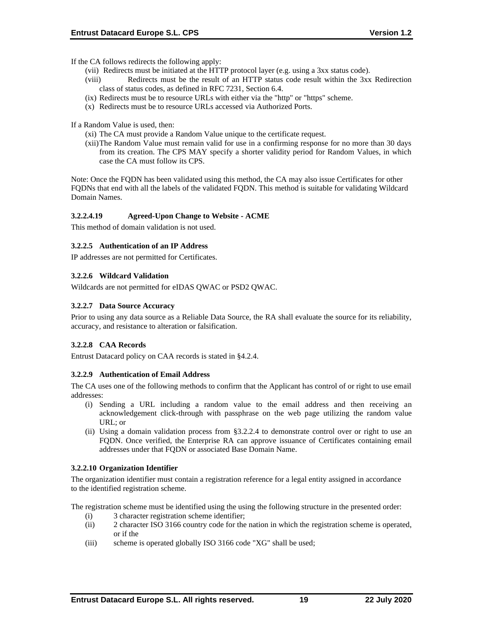If the CA follows redirects the following apply:

- (vii) Redirects must be initiated at the HTTP protocol layer (e.g. using a 3xx status code).
- (viii) Redirects must be the result of an HTTP status code result within the 3xx Redirection class of status codes, as defined in RFC 7231, Section 6.4.
- (ix) Redirects must be to resource URLs with either via the "http" or "https" scheme.
- (x) Redirects must be to resource URLs accessed via Authorized Ports.

If a Random Value is used, then:

- (xi) The CA must provide a Random Value unique to the certificate request.
- (xii)The Random Value must remain valid for use in a confirming response for no more than 30 days from its creation. The CPS MAY specify a shorter validity period for Random Values, in which case the CA must follow its CPS.

Note: Once the FQDN has been validated using this method, the CA may also issue Certificates for other FQDNs that end with all the labels of the validated FQDN. This method is suitable for validating Wildcard Domain Names.

## **3.2.2.4.19 Agreed-Upon Change to Website - ACME**

This method of domain validation is not used.

## **3.2.2.5 Authentication of an IP Address**

IP addresses are not permitted for Certificates.

## **3.2.2.6 Wildcard Validation**

Wildcards are not permitted for eIDAS QWAC or PSD2 QWAC.

## **3.2.2.7 Data Source Accuracy**

Prior to using any data source as a Reliable Data Source, the RA shall evaluate the source for its reliability, accuracy, and resistance to alteration or falsification.

# **3.2.2.8 CAA Records**

Entrust Datacard policy on CAA records is stated in §4.2.4.

#### **3.2.2.9 Authentication of Email Address**

The CA uses one of the following methods to confirm that the Applicant has control of or right to use email addresses:

- (i) Sending a URL including a random value to the email address and then receiving an acknowledgement click-through with passphrase on the web page utilizing the random value URL; or
- (ii) Using a domain validation process from §3.2.2.4 to demonstrate control over or right to use an FQDN. Once verified, the Enterprise RA can approve issuance of Certificates containing email addresses under that FQDN or associated Base Domain Name.

#### **3.2.2.10 Organization Identifier**

The organization identifier must contain a registration reference for a legal entity assigned in accordance to the identified registration scheme.

The registration scheme must be identified using the using the following structure in the presented order:

- (i) 3 character registration scheme identifier;
- (ii) 2 character ISO 3166 country code for the nation in which the registration scheme is operated, or if the
- (iii) scheme is operated globally ISO 3166 code "XG" shall be used;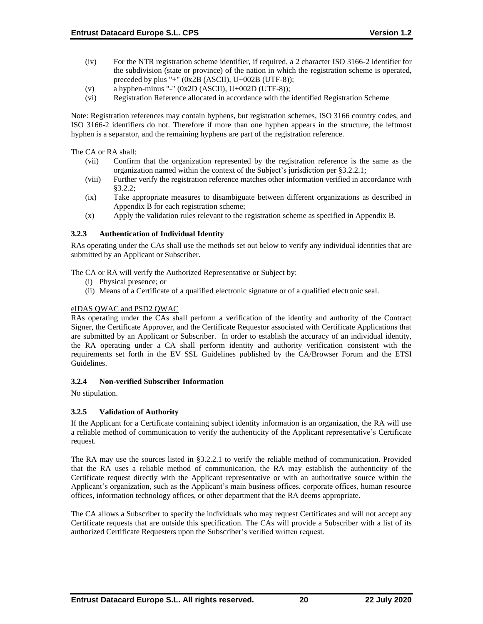- (iv) For the NTR registration scheme identifier, if required, a 2 character ISO 3166-2 identifier for the subdivision (state or province) of the nation in which the registration scheme is operated, preceded by plus "+" (0x2B (ASCII), U+002B (UTF-8));
- (v) a hyphen-minus "-"  $(0x2D (ASCII), U+002D (UTF-8));$
- (vi) Registration Reference allocated in accordance with the identified Registration Scheme

Note: Registration references may contain hyphens, but registration schemes, ISO 3166 country codes, and ISO 3166-2 identifiers do not. Therefore if more than one hyphen appears in the structure, the leftmost hyphen is a separator, and the remaining hyphens are part of the registration reference.

The CA or RA shall:

- (vii) Confirm that the organization represented by the registration reference is the same as the organization named within the context of the Subject's jurisdiction per §3.2.2.1;
- (viii) Further verify the registration reference matches other information verified in accordance with §3.2.2;
- (ix) Take appropriate measures to disambiguate between different organizations as described in Appendix B for each registration scheme;
- (x) Apply the validation rules relevant to the registration scheme as specified in Appendix B.

## **3.2.3 Authentication of Individual Identity**

RAs operating under the CAs shall use the methods set out below to verify any individual identities that are submitted by an Applicant or Subscriber.

The CA or RA will verify the Authorized Representative or Subject by:

- (i) Physical presence; or
- (ii) Means of a Certificate of a qualified electronic signature or of a qualified electronic seal.

# eIDAS QWAC and PSD2 QWAC

RAs operating under the CAs shall perform a verification of the identity and authority of the Contract Signer, the Certificate Approver, and the Certificate Requestor associated with Certificate Applications that are submitted by an Applicant or Subscriber. In order to establish the accuracy of an individual identity, the RA operating under a CA shall perform identity and authority verification consistent with the requirements set forth in the EV SSL Guidelines published by the CA/Browser Forum and the ETSI Guidelines.

#### **3.2.4 Non-verified Subscriber Information**

No stipulation.

# **3.2.5 Validation of Authority**

If the Applicant for a Certificate containing subject identity information is an organization, the RA will use a reliable method of communication to verify the authenticity of the Applicant representative's Certificate request.

The RA may use the sources listed in §3.2.2.1 to verify the reliable method of communication. Provided that the RA uses a reliable method of communication, the RA may establish the authenticity of the Certificate request directly with the Applicant representative or with an authoritative source within the Applicant's organization, such as the Applicant's main business offices, corporate offices, human resource offices, information technology offices, or other department that the RA deems appropriate.

The CA allows a Subscriber to specify the individuals who may request Certificates and will not accept any Certificate requests that are outside this specification. The CAs will provide a Subscriber with a list of its authorized Certificate Requesters upon the Subscriber's verified written request.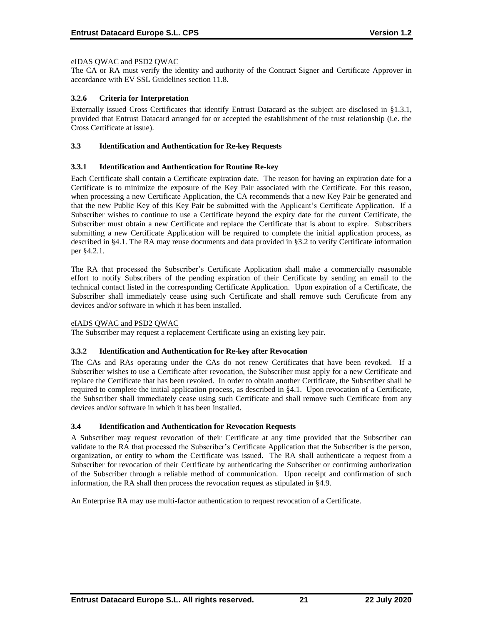## eIDAS QWAC and PSD2 QWAC

The CA or RA must verify the identity and authority of the Contract Signer and Certificate Approver in accordance with EV SSL Guidelines section 11.8.

# **3.2.6 Criteria for Interpretation**

Externally issued Cross Certificates that identify Entrust Datacard as the subject are disclosed in §1.3.1, provided that Entrust Datacard arranged for or accepted the establishment of the trust relationship (i.e. the Cross Certificate at issue).

#### **3.3 Identification and Authentication for Re-key Requests**

## **3.3.1 Identification and Authentication for Routine Re-key**

Each Certificate shall contain a Certificate expiration date. The reason for having an expiration date for a Certificate is to minimize the exposure of the Key Pair associated with the Certificate. For this reason, when processing a new Certificate Application, the CA recommends that a new Key Pair be generated and that the new Public Key of this Key Pair be submitted with the Applicant's Certificate Application. If a Subscriber wishes to continue to use a Certificate beyond the expiry date for the current Certificate, the Subscriber must obtain a new Certificate and replace the Certificate that is about to expire. Subscribers submitting a new Certificate Application will be required to complete the initial application process, as described in §4.1. The RA may reuse documents and data provided in §3.2 to verify Certificate information per §4.2.1.

The RA that processed the Subscriber's Certificate Application shall make a commercially reasonable effort to notify Subscribers of the pending expiration of their Certificate by sending an email to the technical contact listed in the corresponding Certificate Application. Upon expiration of a Certificate, the Subscriber shall immediately cease using such Certificate and shall remove such Certificate from any devices and/or software in which it has been installed.

#### eIADS QWAC and PSD2 QWAC

The Subscriber may request a replacement Certificate using an existing key pair.

#### **3.3.2 Identification and Authentication for Re-key after Revocation**

The CAs and RAs operating under the CAs do not renew Certificates that have been revoked. If a Subscriber wishes to use a Certificate after revocation, the Subscriber must apply for a new Certificate and replace the Certificate that has been revoked. In order to obtain another Certificate, the Subscriber shall be required to complete the initial application process, as described in §4.1. Upon revocation of a Certificate, the Subscriber shall immediately cease using such Certificate and shall remove such Certificate from any devices and/or software in which it has been installed.

# **3.4 Identification and Authentication for Revocation Requests**

A Subscriber may request revocation of their Certificate at any time provided that the Subscriber can validate to the RA that processed the Subscriber's Certificate Application that the Subscriber is the person, organization, or entity to whom the Certificate was issued. The RA shall authenticate a request from a Subscriber for revocation of their Certificate by authenticating the Subscriber or confirming authorization of the Subscriber through a reliable method of communication. Upon receipt and confirmation of such information, the RA shall then process the revocation request as stipulated in §4.9.

An Enterprise RA may use multi-factor authentication to request revocation of a Certificate.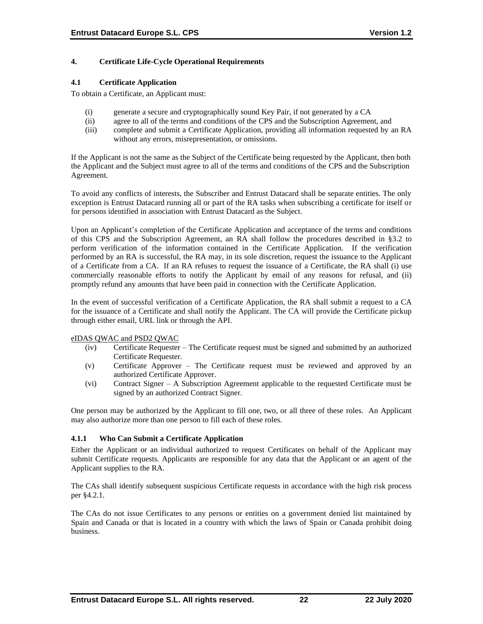# **4. Certificate Life-Cycle Operational Requirements**

#### **4.1 Certificate Application**

To obtain a Certificate, an Applicant must:

- (i) generate a secure and cryptographically sound Key Pair, if not generated by a CA
- (ii) agree to all of the terms and conditions of the CPS and the Subscription Agreement, and
- (iii) complete and submit a Certificate Application, providing all information requested by an RA without any errors, misrepresentation, or omissions.

If the Applicant is not the same as the Subject of the Certificate being requested by the Applicant, then both the Applicant and the Subject must agree to all of the terms and conditions of the CPS and the Subscription Agreement.

To avoid any conflicts of interests, the Subscriber and Entrust Datacard shall be separate entities. The only exception is Entrust Datacard running all or part of the RA tasks when subscribing a certificate for itself or for persons identified in association with Entrust Datacard as the Subject.

Upon an Applicant's completion of the Certificate Application and acceptance of the terms and conditions of this CPS and the Subscription Agreement, an RA shall follow the procedures described in §3.2 to perform verification of the information contained in the Certificate Application. If the verification performed by an RA is successful, the RA may, in its sole discretion, request the issuance to the Applicant of a Certificate from a CA. If an RA refuses to request the issuance of a Certificate, the RA shall (i) use commercially reasonable efforts to notify the Applicant by email of any reasons for refusal, and (ii) promptly refund any amounts that have been paid in connection with the Certificate Application.

In the event of successful verification of a Certificate Application, the RA shall submit a request to a CA for the issuance of a Certificate and shall notify the Applicant. The CA will provide the Certificate pickup through either email, URL link or through the API.

#### eIDAS QWAC and PSD2 QWAC

- (iv) Certificate Requester The Certificate request must be signed and submitted by an authorized Certificate Requester.
- (v) Certificate Approver The Certificate request must be reviewed and approved by an authorized Certificate Approver.
- (vi) Contract Signer A Subscription Agreement applicable to the requested Certificate must be signed by an authorized Contract Signer.

One person may be authorized by the Applicant to fill one, two, or all three of these roles. An Applicant may also authorize more than one person to fill each of these roles.

# **4.1.1 Who Can Submit a Certificate Application**

Either the Applicant or an individual authorized to request Certificates on behalf of the Applicant may submit Certificate requests. Applicants are responsible for any data that the Applicant or an agent of the Applicant supplies to the RA.

The CAs shall identify subsequent suspicious Certificate requests in accordance with the high risk process per §4.2.1.

The CAs do not issue Certificates to any persons or entities on a government denied list maintained by Spain and Canada or that is located in a country with which the laws of Spain or Canada prohibit doing business.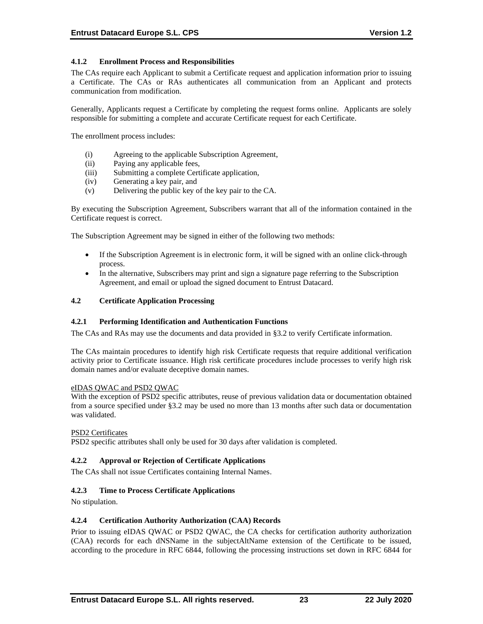# **4.1.2 Enrollment Process and Responsibilities**

The CAs require each Applicant to submit a Certificate request and application information prior to issuing a Certificate. The CAs or RAs authenticates all communication from an Applicant and protects communication from modification.

Generally, Applicants request a Certificate by completing the request forms online. Applicants are solely responsible for submitting a complete and accurate Certificate request for each Certificate.

The enrollment process includes:

- (i) Agreeing to the applicable Subscription Agreement,
- (ii) Paying any applicable fees,
- (iii) Submitting a complete Certificate application,
- (iv) Generating a key pair, and
- (v) Delivering the public key of the key pair to the CA.

By executing the Subscription Agreement, Subscribers warrant that all of the information contained in the Certificate request is correct.

The Subscription Agreement may be signed in either of the following two methods:

- If the Subscription Agreement is in electronic form, it will be signed with an online click-through process.
- In the alternative, Subscribers may print and sign a signature page referring to the Subscription Agreement, and email or upload the signed document to Entrust Datacard.

#### **4.2 Certificate Application Processing**

#### **4.2.1 Performing Identification and Authentication Functions**

The CAs and RAs may use the documents and data provided in §3.2 to verify Certificate information.

The CAs maintain procedures to identify high risk Certificate requests that require additional verification activity prior to Certificate issuance. High risk certificate procedures include processes to verify high risk domain names and/or evaluate deceptive domain names.

#### eIDAS QWAC and PSD2 QWAC

With the exception of PSD2 specific attributes, reuse of previous validation data or documentation obtained from a source specified under §3.2 may be used no more than 13 months after such data or documentation was validated.

#### PSD<sub>2</sub> Certificates

PSD2 specific attributes shall only be used for 30 days after validation is completed.

#### **4.2.2 Approval or Rejection of Certificate Applications**

The CAs shall not issue Certificates containing Internal Names.

#### **4.2.3 Time to Process Certificate Applications**

No stipulation.

### **4.2.4 Certification Authority Authorization (CAA) Records**

Prior to issuing eIDAS QWAC or PSD2 QWAC, the CA checks for certification authority authorization (CAA) records for each dNSName in the subjectAltName extension of the Certificate to be issued, according to the procedure in RFC 6844, following the processing instructions set down in RFC 6844 for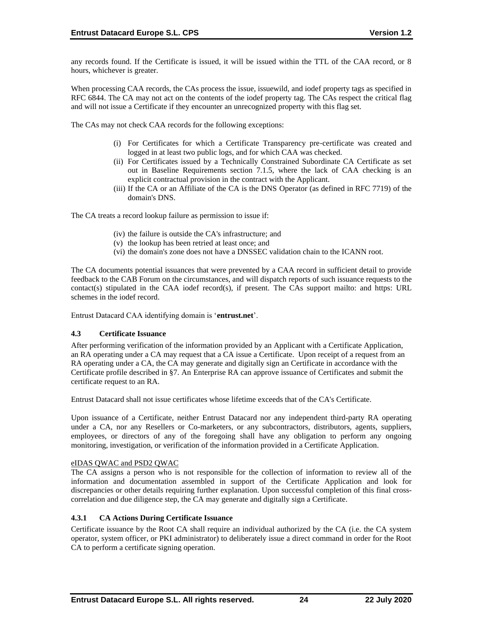any records found. If the Certificate is issued, it will be issued within the TTL of the CAA record, or 8 hours, whichever is greater.

When processing CAA records, the CAs process the issue, issuewild, and iodef property tags as specified in RFC 6844. The CA may not act on the contents of the iodef property tag. The CAs respect the critical flag and will not issue a Certificate if they encounter an unrecognized property with this flag set.

The CAs may not check CAA records for the following exceptions:

- (i) For Certificates for which a Certificate Transparency pre‐certificate was created and logged in at least two public logs, and for which CAA was checked.
- (ii) For Certificates issued by a Technically Constrained Subordinate CA Certificate as set out in Baseline Requirements section 7.1.5, where the lack of CAA checking is an explicit contractual provision in the contract with the Applicant.
- (iii) If the CA or an Affiliate of the CA is the DNS Operator (as defined in RFC 7719) of the domain's DNS.

The CA treats a record lookup failure as permission to issue if:

- (iv) the failure is outside the CA's infrastructure; and
- (v) the lookup has been retried at least once; and
- (vi) the domain's zone does not have a DNSSEC validation chain to the ICANN root.

The CA documents potential issuances that were prevented by a CAA record in sufficient detail to provide feedback to the CAB Forum on the circumstances, and will dispatch reports of such issuance requests to the contact(s) stipulated in the CAA iodef record(s), if present. The CAs support mailto: and https: URL schemes in the iodef record.

Entrust Datacard CAA identifying domain is '**entrust.net**'.

#### **4.3 Certificate Issuance**

After performing verification of the information provided by an Applicant with a Certificate Application, an RA operating under a CA may request that a CA issue a Certificate. Upon receipt of a request from an RA operating under a CA, the CA may generate and digitally sign an Certificate in accordance with the Certificate profile described in §7. An Enterprise RA can approve issuance of Certificates and submit the certificate request to an RA.

Entrust Datacard shall not issue certificates whose lifetime exceeds that of the CA's Certificate.

Upon issuance of a Certificate, neither Entrust Datacard nor any independent third-party RA operating under a CA, nor any Resellers or Co-marketers, or any subcontractors, distributors, agents, suppliers, employees, or directors of any of the foregoing shall have any obligation to perform any ongoing monitoring, investigation, or verification of the information provided in a Certificate Application.

#### eIDAS QWAC and PSD2 QWAC

The CA assigns a person who is not responsible for the collection of information to review all of the information and documentation assembled in support of the Certificate Application and look for discrepancies or other details requiring further explanation. Upon successful completion of this final crosscorrelation and due diligence step, the CA may generate and digitally sign a Certificate.

# **4.3.1 CA Actions During Certificate Issuance**

Certificate issuance by the Root CA shall require an individual authorized by the CA (i.e. the CA system operator, system officer, or PKI administrator) to deliberately issue a direct command in order for the Root CA to perform a certificate signing operation.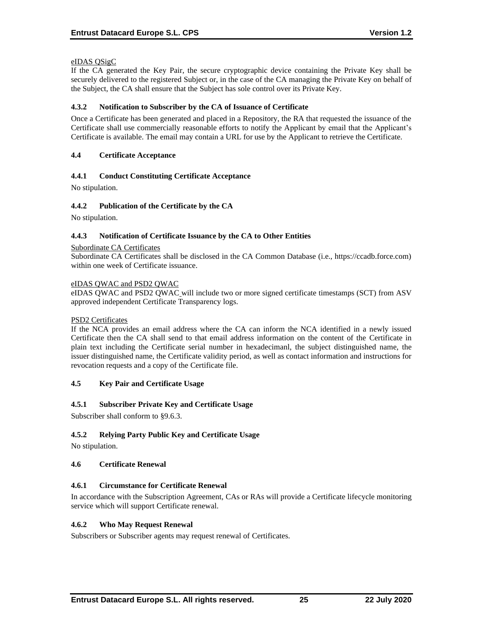# eIDAS QSigC

If the CA generated the Key Pair, the secure cryptographic device containing the Private Key shall be securely delivered to the registered Subject or, in the case of the CA managing the Private Key on behalf of the Subject, the CA shall ensure that the Subject has sole control over its Private Key.

## **4.3.2 Notification to Subscriber by the CA of Issuance of Certificate**

Once a Certificate has been generated and placed in a Repository, the RA that requested the issuance of the Certificate shall use commercially reasonable efforts to notify the Applicant by email that the Applicant's Certificate is available. The email may contain a URL for use by the Applicant to retrieve the Certificate.

## **4.4 Certificate Acceptance**

## **4.4.1 Conduct Constituting Certificate Acceptance**

No stipulation.

## **4.4.2 Publication of the Certificate by the CA**

No stipulation.

#### **4.4.3 Notification of Certificate Issuance by the CA to Other Entities**

#### Subordinate CA Certificates

Subordinate CA Certificates shall be disclosed in the CA Common Database (i.e., https://ccadb.force.com) within one week of Certificate issuance.

#### eIDAS QWAC and PSD2 QWAC

eIDAS QWAC and PSD2 QWAC will include two or more signed certificate timestamps (SCT) from ASV approved independent Certificate Transparency logs.

#### PSD2 Certificates

If the NCA provides an email address where the CA can inform the NCA identified in a newly issued Certificate then the CA shall send to that email address information on the content of the Certificate in plain text including the Certificate serial number in hexadecimanl, the subject distinguished name, the issuer distinguished name, the Certificate validity period, as well as contact information and instructions for revocation requests and a copy of the Certificate file.

#### **4.5 Key Pair and Certificate Usage**

#### **4.5.1 Subscriber Private Key and Certificate Usage**

Subscriber shall conform to §9.6.3.

# **4.5.2 Relying Party Public Key and Certificate Usage**

No stipulation.

#### **4.6 Certificate Renewal**

#### **4.6.1 Circumstance for Certificate Renewal**

In accordance with the Subscription Agreement, CAs or RAs will provide a Certificate lifecycle monitoring service which will support Certificate renewal.

#### **4.6.2 Who May Request Renewal**

Subscribers or Subscriber agents may request renewal of Certificates.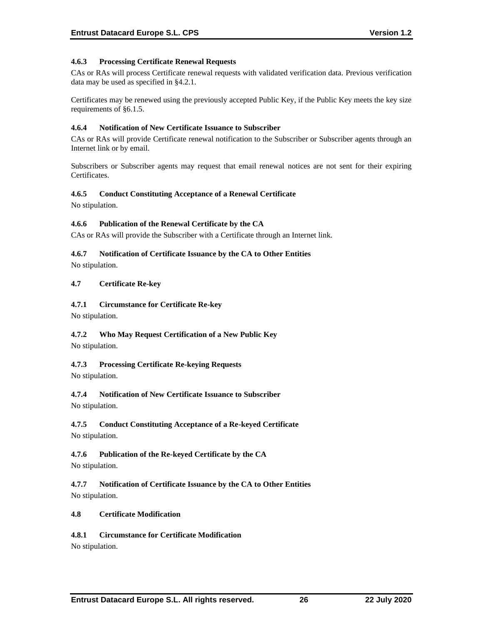# **4.6.3 Processing Certificate Renewal Requests**

CAs or RAs will process Certificate renewal requests with validated verification data. Previous verification data may be used as specified in §4.2.1.

Certificates may be renewed using the previously accepted Public Key, if the Public Key meets the key size requirements of §6.1.5.

#### **4.6.4 Notification of New Certificate Issuance to Subscriber**

CAs or RAs will provide Certificate renewal notification to the Subscriber or Subscriber agents through an Internet link or by email.

Subscribers or Subscriber agents may request that email renewal notices are not sent for their expiring Certificates.

## **4.6.5 Conduct Constituting Acceptance of a Renewal Certificate**

No stipulation.

## **4.6.6 Publication of the Renewal Certificate by the CA**

CAs or RAs will provide the Subscriber with a Certificate through an Internet link.

## **4.6.7 Notification of Certificate Issuance by the CA to Other Entities**

No stipulation.

## **4.7 Certificate Re-key**

## **4.7.1 Circumstance for Certificate Re-key**

No stipulation.

# **4.7.2 Who May Request Certification of a New Public Key**

No stipulation.

# **4.7.3 Processing Certificate Re-keying Requests**

No stipulation.

# **4.7.4 Notification of New Certificate Issuance to Subscriber**

No stipulation.

# **4.7.5 Conduct Constituting Acceptance of a Re-keyed Certificate**

No stipulation.

# **4.7.6 Publication of the Re-keyed Certificate by the CA**

No stipulation.

**4.7.7 Notification of Certificate Issuance by the CA to Other Entities** No stipulation.

#### **4.8 Certificate Modification**

# **4.8.1 Circumstance for Certificate Modification**

No stipulation.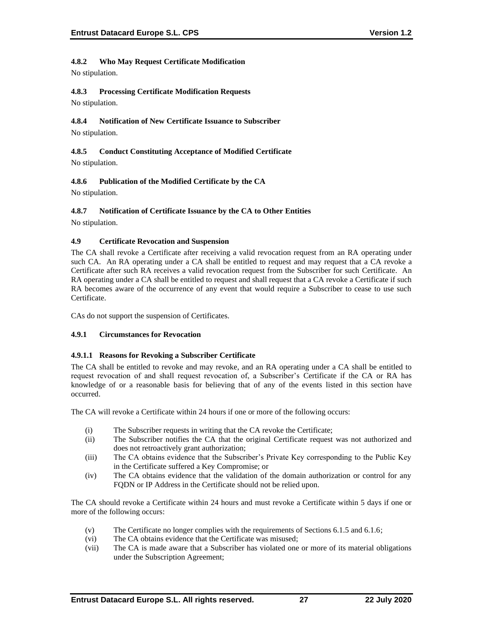# **4.8.2 Who May Request Certificate Modification**

No stipulation.

# **4.8.3 Processing Certificate Modification Requests**

No stipulation.

# **4.8.4 Notification of New Certificate Issuance to Subscriber**

No stipulation.

# **4.8.5 Conduct Constituting Acceptance of Modified Certificate**

No stipulation.

# **4.8.6 Publication of the Modified Certificate by the CA**

No stipulation.

# **4.8.7 Notification of Certificate Issuance by the CA to Other Entities**

No stipulation.

# **4.9 Certificate Revocation and Suspension**

The CA shall revoke a Certificate after receiving a valid revocation request from an RA operating under such CA. An RA operating under a CA shall be entitled to request and may request that a CA revoke a Certificate after such RA receives a valid revocation request from the Subscriber for such Certificate. An RA operating under a CA shall be entitled to request and shall request that a CA revoke a Certificate if such RA becomes aware of the occurrence of any event that would require a Subscriber to cease to use such Certificate.

CAs do not support the suspension of Certificates.

# **4.9.1 Circumstances for Revocation**

# **4.9.1.1 Reasons for Revoking a Subscriber Certificate**

The CA shall be entitled to revoke and may revoke, and an RA operating under a CA shall be entitled to request revocation of and shall request revocation of, a Subscriber's Certificate if the CA or RA has knowledge of or a reasonable basis for believing that of any of the events listed in this section have occurred.

The CA will revoke a Certificate within 24 hours if one or more of the following occurs:

- (i) The Subscriber requests in writing that the CA revoke the Certificate;
- (ii) The Subscriber notifies the CA that the original Certificate request was not authorized and does not retroactively grant authorization;
- (iii) The CA obtains evidence that the Subscriber's Private Key corresponding to the Public Key in the Certificate suffered a Key Compromise; or
- (iv) The CA obtains evidence that the validation of the domain authorization or control for any FQDN or IP Address in the Certificate should not be relied upon.

The CA should revoke a Certificate within 24 hours and must revoke a Certificate within 5 days if one or more of the following occurs:

- (v) The Certificate no longer complies with the requirements of Sections 6.1.5 and 6.1.6;
- (vi) The CA obtains evidence that the Certificate was misused;
- (vii) The CA is made aware that a Subscriber has violated one or more of its material obligations under the Subscription Agreement;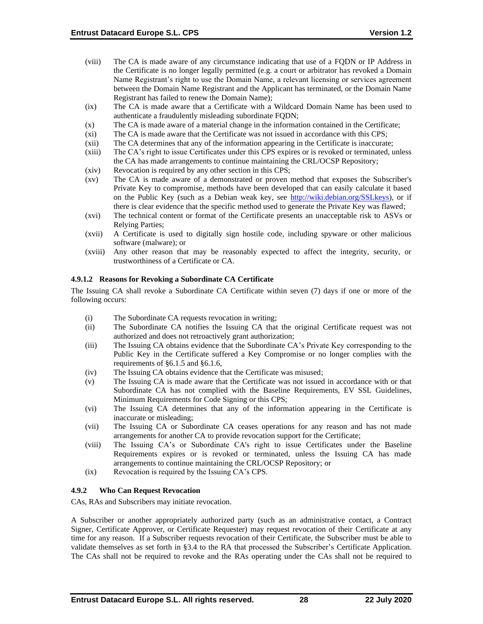- (viii) The CA is made aware of any circumstance indicating that use of a FQDN or IP Address in the Certificate is no longer legally permitted (e.g. a court or arbitrator has revoked a Domain Name Registrant's right to use the Domain Name, a relevant licensing or services agreement between the Domain Name Registrant and the Applicant has terminated, or the Domain Name Registrant has failed to renew the Domain Name);
- (ix) The CA is made aware that a Certificate with a Wildcard Domain Name has been used to authenticate a fraudulently misleading subordinate FQDN;
- (x) The CA is made aware of a material change in the information contained in the Certificate;
- (xi) The CA is made aware that the Certificate was not issued in accordance with this CPS;
- (xii) The CA determines that any of the information appearing in the Certificate is inaccurate;
- (xiii) The CA's right to issue Certificates under this CPS expires or is revoked or terminated, unless the CA has made arrangements to continue maintaining the CRL/OCSP Repository;
- (xiv) Revocation is required by any other section in this CPS;
- (xv) The CA is made aware of a demonstrated or proven method that exposes the Subscriber's Private Key to compromise, methods have been developed that can easily calculate it based on the Public Key (such as a Debian weak key, see [http://wiki.debian.org/SSLkeys\)](http://wiki.debian.org/SSLkeys), or if there is clear evidence that the specific method used to generate the Private Key was flawed;
- (xvi) The technical content or format of the Certificate presents an unacceptable risk to ASVs or Relying Parties;
- (xvii) A Certificate is used to digitally sign hostile code, including spyware or other malicious software (malware); or
- (xviii) Any other reason that may be reasonably expected to affect the integrity, security, or trustworthiness of a Certificate or CA.

#### **4.9.1.2 Reasons for Revoking a Subordinate CA Certificate**

The Issuing CA shall revoke a Subordinate CA Certificate within seven (7) days if one or more of the following occurs:

- (i) The Subordinate CA requests revocation in writing;
- (ii) The Subordinate CA notifies the Issuing CA that the original Certificate request was not authorized and does not retroactively grant authorization;
- (iii) The Issuing CA obtains evidence that the Subordinate CA's Private Key corresponding to the Public Key in the Certificate suffered a Key Compromise or no longer complies with the requirements of §6.1.5 and §6.1.6,
- (iv) The Issuing CA obtains evidence that the Certificate was misused;
- (v) The Issuing CA is made aware that the Certificate was not issued in accordance with or that Subordinate CA has not complied with the Baseline Requirements, EV SSL Guidelines, Minimum Requirements for Code Signing or this CPS;
- (vi) The Issuing CA determines that any of the information appearing in the Certificate is inaccurate or misleading;
- (vii) The Issuing CA or Subordinate CA ceases operations for any reason and has not made arrangements for another CA to provide revocation support for the Certificate;
- (viii) The Issuing CA's or Subordinate CA's right to issue Certificates under the Baseline Requirements expires or is revoked or terminated, unless the Issuing CA has made arrangements to continue maintaining the CRL/OCSP Repository; or
- (ix) Revocation is required by the Issuing CA's CPS.

#### **4.9.2 Who Can Request Revocation**

CAs, RAs and Subscribers may initiate revocation.

A Subscriber or another appropriately authorized party (such as an administrative contact, a Contract Signer, Certificate Approver, or Certificate Requester) may request revocation of their Certificate at any time for any reason. If a Subscriber requests revocation of their Certificate, the Subscriber must be able to validate themselves as set forth in §3.4 to the RA that processed the Subscriber's Certificate Application. The CAs shall not be required to revoke and the RAs operating under the CAs shall not be required to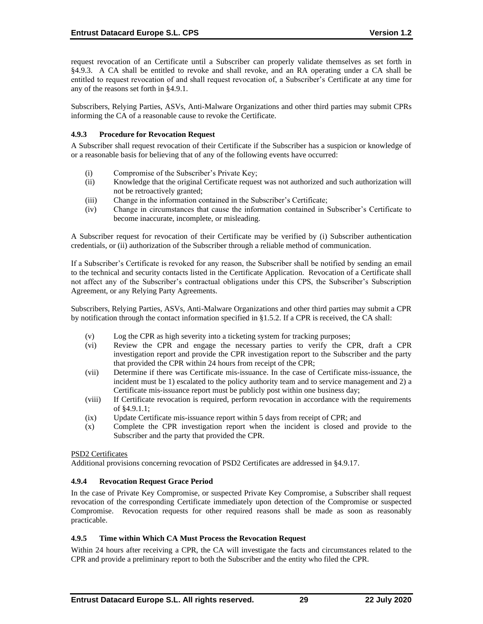request revocation of an Certificate until a Subscriber can properly validate themselves as set forth in §4.9.3. A CA shall be entitled to revoke and shall revoke, and an RA operating under a CA shall be entitled to request revocation of and shall request revocation of, a Subscriber's Certificate at any time for any of the reasons set forth in §4.9.1.

Subscribers, Relying Parties, ASVs, Anti-Malware Organizations and other third parties may submit CPRs informing the CA of a reasonable cause to revoke the Certificate.

## **4.9.3 Procedure for Revocation Request**

A Subscriber shall request revocation of their Certificate if the Subscriber has a suspicion or knowledge of or a reasonable basis for believing that of any of the following events have occurred:

- (i) Compromise of the Subscriber's Private Key;
- (ii) Knowledge that the original Certificate request was not authorized and such authorization will not be retroactively granted;
- (iii) Change in the information contained in the Subscriber's Certificate;
- (iv) Change in circumstances that cause the information contained in Subscriber's Certificate to become inaccurate, incomplete, or misleading.

A Subscriber request for revocation of their Certificate may be verified by (i) Subscriber authentication credentials, or (ii) authorization of the Subscriber through a reliable method of communication.

If a Subscriber's Certificate is revoked for any reason, the Subscriber shall be notified by sending an email to the technical and security contacts listed in the Certificate Application. Revocation of a Certificate shall not affect any of the Subscriber's contractual obligations under this CPS, the Subscriber's Subscription Agreement, or any Relying Party Agreements.

Subscribers, Relying Parties, ASVs, Anti-Malware Organizations and other third parties may submit a CPR by notification through the contact information specified in §1.5.2. If a CPR is received, the CA shall:

- (v) Log the CPR as high severity into a ticketing system for tracking purposes;
- (vi) Review the CPR and engage the necessary parties to verify the CPR, draft a CPR investigation report and provide the CPR investigation report to the Subscriber and the party that provided the CPR within 24 hours from receipt of the CPR;
- (vii) Determine if there was Certificate mis-issuance. In the case of Certificate miss-issuance, the incident must be 1) escalated to the policy authority team and to service management and 2) a Certificate mis-issuance report must be publicly post within one business day;
- (viii) If Certificate revocation is required, perform revocation in accordance with the requirements of §4.9.1.1;
- (ix) Update Certificate mis-issuance report within 5 days from receipt of CPR; and
- (x) Complete the CPR investigation report when the incident is closed and provide to the Subscriber and the party that provided the CPR.

### PSD2 Certificates

Additional provisions concerning revocation of PSD2 Certificates are addressed in §4.9.17.

## **4.9.4 Revocation Request Grace Period**

In the case of Private Key Compromise, or suspected Private Key Compromise, a Subscriber shall request revocation of the corresponding Certificate immediately upon detection of the Compromise or suspected Compromise. Revocation requests for other required reasons shall be made as soon as reasonably practicable.

#### **4.9.5 Time within Which CA Must Process the Revocation Request**

Within 24 hours after receiving a CPR, the CA will investigate the facts and circumstances related to the CPR and provide a preliminary report to both the Subscriber and the entity who filed the CPR.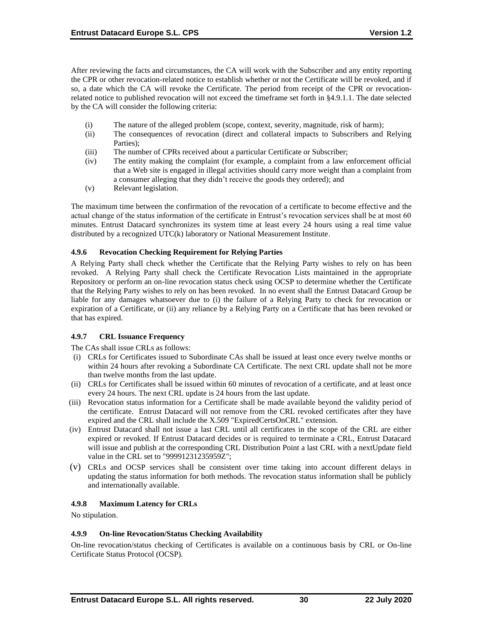After reviewing the facts and circumstances, the CA will work with the Subscriber and any entity reporting the CPR or other revocation-related notice to establish whether or not the Certificate will be revoked, and if so, a date which the CA will revoke the Certificate. The period from receipt of the CPR or revocationrelated notice to published revocation will not exceed the timeframe set forth in §4.9.1.1. The date selected by the CA will consider the following criteria:

- (i) The nature of the alleged problem (scope, context, severity, magnitude, risk of harm);
- (ii) The consequences of revocation (direct and collateral impacts to Subscribers and Relying Parties);
- (iii) The number of CPRs received about a particular Certificate or Subscriber;
- (iv) The entity making the complaint (for example, a complaint from a law enforcement official that a Web site is engaged in illegal activities should carry more weight than a complaint from a consumer alleging that they didn't receive the goods they ordered); and
- (v) Relevant legislation.

The maximum time between the confirmation of the revocation of a certificate to become effective and the actual change of the status information of the certificate in Entrust's revocation services shall be at most 60 minutes. Entrust Datacard synchronizes its system time at least every 24 hours using a real time value distributed by a recognized UTC(k) laboratory or National Measurement Institute.

### **4.9.6 Revocation Checking Requirement for Relying Parties**

A Relying Party shall check whether the Certificate that the Relying Party wishes to rely on has been revoked. A Relying Party shall check the Certificate Revocation Lists maintained in the appropriate Repository or perform an on-line revocation status check using OCSP to determine whether the Certificate that the Relying Party wishes to rely on has been revoked. In no event shall the Entrust Datacard Group be liable for any damages whatsoever due to (i) the failure of a Relying Party to check for revocation or expiration of a Certificate, or (ii) any reliance by a Relying Party on a Certificate that has been revoked or that has expired.

## **4.9.7 CRL Issuance Frequency**

The CAs shall issue CRLs as follows:

- (i) CRLs for Certificates issued to Subordinate CAs shall be issued at least once every twelve months or within 24 hours after revoking a Subordinate CA Certificate. The next CRL update shall not be more than twelve months from the last update.
- (ii) CRLs for Certificates shall be issued within 60 minutes of revocation of a certificate, and at least once every 24 hours. The next CRL update is 24 hours from the last update.
- (iii) Revocation status information for a Certificate shall be made available beyond the validity period of the certificate. Entrust Datacard will not remove from the CRL revoked certificates after they have expired and the CRL shall include the X.509 "ExpiredCertsOnCRL" extension.
- (iv) Entrust Datacard shall not issue a last CRL until all certificates in the scope of the CRL are either expired or revoked. If Entrust Datacard decides or is required to terminate a CRL, Entrust Datacard will issue and publish at the corresponding CRL Distribution Point a last CRL with a nextUpdate field value in the CRL set to "99991231235959Z";
- (v) CRLs and OCSP services shall be consistent over time taking into account different delays in updating the status information for both methods. The revocation status information shall be publicly and internationally available.

## **4.9.8 Maximum Latency for CRLs**

No stipulation.

## **4.9.9 On-line Revocation/Status Checking Availability**

On-line revocation/status checking of Certificates is available on a continuous basis by CRL or On-line Certificate Status Protocol (OCSP).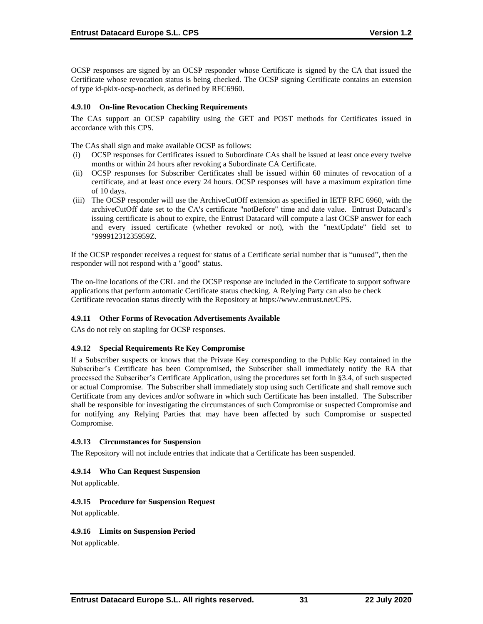OCSP responses are signed by an OCSP responder whose Certificate is signed by the CA that issued the Certificate whose revocation status is being checked. The OCSP signing Certificate contains an extension of type id-pkix-ocsp-nocheck, as defined by RFC6960.

### **4.9.10 On-line Revocation Checking Requirements**

The CAs support an OCSP capability using the GET and POST methods for Certificates issued in accordance with this CPS.

The CAs shall sign and make available OCSP as follows:

- (i) OCSP responses for Certificates issued to Subordinate CAs shall be issued at least once every twelve months or within 24 hours after revoking a Subordinate CA Certificate.
- (ii) OCSP responses for Subscriber Certificates shall be issued within 60 minutes of revocation of a certificate, and at least once every 24 hours. OCSP responses will have a maximum expiration time of 10 days.
- (iii) The OCSP responder will use the ArchiveCutOff extension as specified in IETF RFC 6960, with the archiveCutOff date set to the CA's certificate "notBefore" time and date value. Entrust Datacard's issuing certificate is about to expire, the Entrust Datacard will compute a last OCSP answer for each and every issued certificate (whether revoked or not), with the "nextUpdate" field set to "99991231235959Z.

If the OCSP responder receives a request for status of a Certificate serial number that is "unused", then the responder will not respond with a "good" status.

The on-line locations of the CRL and the OCSP response are included in the Certificate to support software applications that perform automatic Certificate status checking. A Relying Party can also be check Certificate revocation status directly with the Repository at [https://www.entrust.net/CPS.](https://www.entrust.net/CPS) 

#### **4.9.11 Other Forms of Revocation Advertisements Available**

CAs do not rely on stapling for OCSP responses.

#### **4.9.12 Special Requirements Re Key Compromise**

If a Subscriber suspects or knows that the Private Key corresponding to the Public Key contained in the Subscriber's Certificate has been Compromised, the Subscriber shall immediately notify the RA that processed the Subscriber's Certificate Application, using the procedures set forth in §3.4, of such suspected or actual Compromise. The Subscriber shall immediately stop using such Certificate and shall remove such Certificate from any devices and/or software in which such Certificate has been installed. The Subscriber shall be responsible for investigating the circumstances of such Compromise or suspected Compromise and for notifying any Relying Parties that may have been affected by such Compromise or suspected Compromise.

#### **4.9.13 Circumstances for Suspension**

The Repository will not include entries that indicate that a Certificate has been suspended.

#### **4.9.14 Who Can Request Suspension**

Not applicable.

#### **4.9.15 Procedure for Suspension Request**

Not applicable.

#### **4.9.16 Limits on Suspension Period**

Not applicable.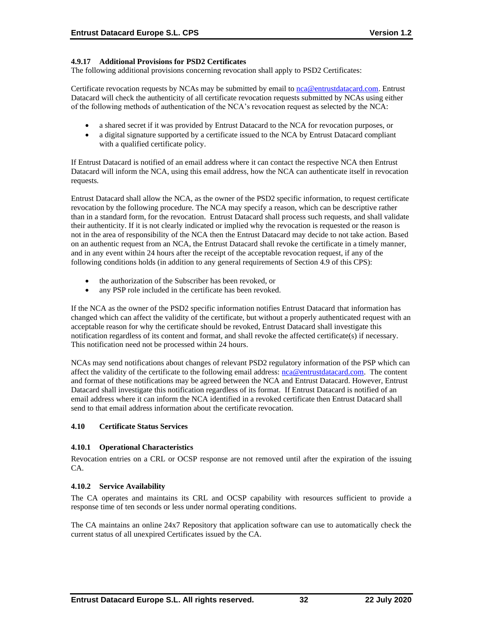## **4.9.17 Additional Provisions for PSD2 Certificates**

The following additional provisions concerning revocation shall apply to PSD2 Certificates:

Certificate revocation requests by NCAs may be submitted by email to [nca@entrustdatacard.com.](mailto:nca@entrustdatacard.com) Entrust Datacard will check the authenticity of all certificate revocation requests submitted by NCAs using either of the following methods of authentication of the NCA's revocation request as selected by the NCA:

- a shared secret if it was provided by Entrust Datacard to the NCA for revocation purposes, or
- a digital signature supported by a certificate issued to the NCA by Entrust Datacard compliant with a qualified certificate policy.

If Entrust Datacard is notified of an email address where it can contact the respective NCA then Entrust Datacard will inform the NCA, using this email address, how the NCA can authenticate itself in revocation requests.

Entrust Datacard shall allow the NCA, as the owner of the PSD2 specific information, to request certificate revocation by the following procedure. The NCA may specify a reason, which can be descriptive rather than in a standard form, for the revocation. Entrust Datacard shall process such requests, and shall validate their authenticity. If it is not clearly indicated or implied why the revocation is requested or the reason is not in the area of responsibility of the NCA then the Entrust Datacard may decide to not take action. Based on an authentic request from an NCA, the Entrust Datacard shall revoke the certificate in a timely manner, and in any event within 24 hours after the receipt of the acceptable revocation request, if any of the following conditions holds (in addition to any general requirements of Section 4.9 of this CPS):

- the authorization of the Subscriber has been revoked, or
- any PSP role included in the certificate has been revoked.

If the NCA as the owner of the PSD2 specific information notifies Entrust Datacard that information has changed which can affect the validity of the certificate, but without a properly authenticated request with an acceptable reason for why the certificate should be revoked, Entrust Datacard shall investigate this notification regardless of its content and format, and shall revoke the affected certificate(s) if necessary. This notification need not be processed within 24 hours.

NCAs may send notifications about changes of relevant PSD2 regulatory information of the PSP which can affect the validity of the certificate to the following email address: [nca@entrustdatacard.com.](mailto:nca@entrustdatacard.com) The content and format of these notifications may be agreed between the NCA and Entrust Datacard. However, Entrust Datacard shall investigate this notification regardless of its format. If Entrust Datacard is notified of an email address where it can inform the NCA identified in a revoked certificate then Entrust Datacard shall send to that email address information about the certificate revocation.

## **4.10 Certificate Status Services**

#### **4.10.1 Operational Characteristics**

Revocation entries on a CRL or OCSP response are not removed until after the expiration of the issuing CA.

#### **4.10.2 Service Availability**

The CA operates and maintains its CRL and OCSP capability with resources sufficient to provide a response time of ten seconds or less under normal operating conditions.

The CA maintains an online 24x7 Repository that application software can use to automatically check the current status of all unexpired Certificates issued by the CA.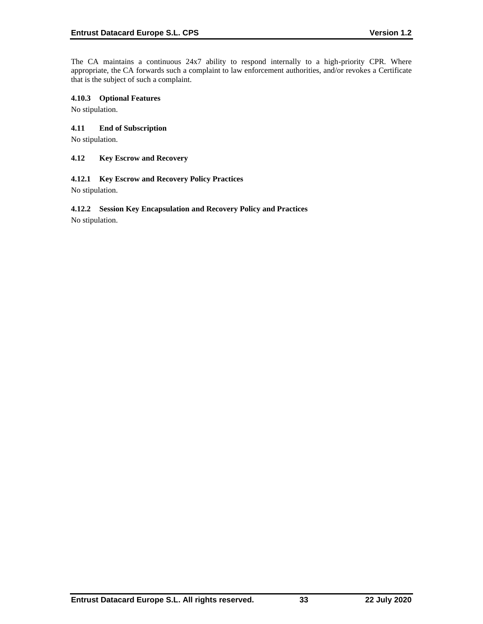The CA maintains a continuous 24x7 ability to respond internally to a high-priority CPR. Where appropriate, the CA forwards such a complaint to law enforcement authorities, and/or revokes a Certificate that is the subject of such a complaint.

### **4.10.3 Optional Features**

No stipulation.

## **4.11 End of Subscription**

No stipulation.

#### **4.12 Key Escrow and Recovery**

### **4.12.1 Key Escrow and Recovery Policy Practices**

No stipulation.

# **4.12.2 Session Key Encapsulation and Recovery Policy and Practices**

No stipulation.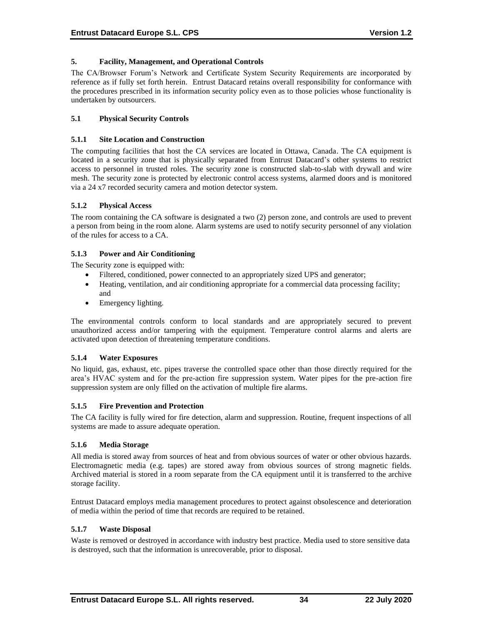### **5. Facility, Management, and Operational Controls**

The CA/Browser Forum's Network and Certificate System Security Requirements are incorporated by reference as if fully set forth herein. Entrust Datacard retains overall responsibility for conformance with the procedures prescribed in its information security policy even as to those policies whose functionality is undertaken by outsourcers.

## **5.1 Physical Security Controls**

#### **5.1.1 Site Location and Construction**

The computing facilities that host the CA services are located in Ottawa, Canada. The CA equipment is located in a security zone that is physically separated from Entrust Datacard's other systems to restrict access to personnel in trusted roles. The security zone is constructed slab-to-slab with drywall and wire mesh. The security zone is protected by electronic control access systems, alarmed doors and is monitored via a 24 x7 recorded security camera and motion detector system.

### **5.1.2 Physical Access**

The room containing the CA software is designated a two (2) person zone, and controls are used to prevent a person from being in the room alone. Alarm systems are used to notify security personnel of any violation of the rules for access to a CA.

### **5.1.3 Power and Air Conditioning**

The Security zone is equipped with:

- Filtered, conditioned, power connected to an appropriately sized UPS and generator;
- Heating, ventilation, and air conditioning appropriate for a commercial data processing facility; and
- Emergency lighting.

The environmental controls conform to local standards and are appropriately secured to prevent unauthorized access and/or tampering with the equipment. Temperature control alarms and alerts are activated upon detection of threatening temperature conditions.

#### **5.1.4 Water Exposures**

No liquid, gas, exhaust, etc. pipes traverse the controlled space other than those directly required for the area's HVAC system and for the pre-action fire suppression system. Water pipes for the pre-action fire suppression system are only filled on the activation of multiple fire alarms.

#### **5.1.5 Fire Prevention and Protection**

The CA facility is fully wired for fire detection, alarm and suppression. Routine, frequent inspections of all systems are made to assure adequate operation.

#### **5.1.6 Media Storage**

All media is stored away from sources of heat and from obvious sources of water or other obvious hazards. Electromagnetic media (e.g. tapes) are stored away from obvious sources of strong magnetic fields. Archived material is stored in a room separate from the CA equipment until it is transferred to the archive storage facility.

Entrust Datacard employs media management procedures to protect against obsolescence and deterioration of media within the period of time that records are required to be retained.

#### **5.1.7 Waste Disposal**

Waste is removed or destroyed in accordance with industry best practice. Media used to store sensitive data is destroyed, such that the information is unrecoverable, prior to disposal.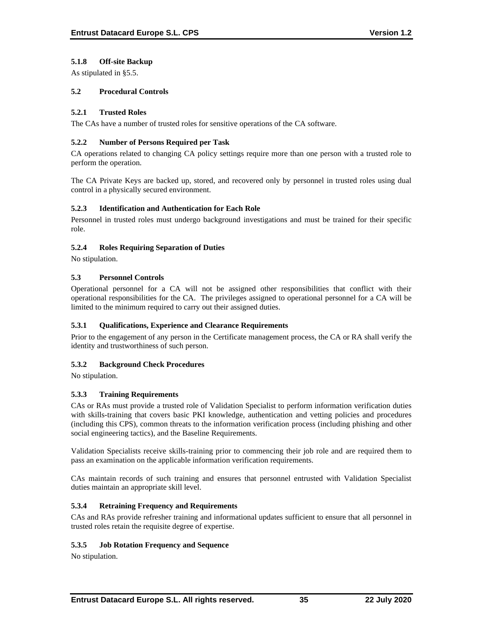## **5.1.8 Off-site Backup**

As stipulated in §5.5.

### **5.2 Procedural Controls**

### **5.2.1 Trusted Roles**

The CAs have a number of trusted roles for sensitive operations of the CA software.

### **5.2.2 Number of Persons Required per Task**

CA operations related to changing CA policy settings require more than one person with a trusted role to perform the operation.

The CA Private Keys are backed up, stored, and recovered only by personnel in trusted roles using dual control in a physically secured environment.

### **5.2.3 Identification and Authentication for Each Role**

Personnel in trusted roles must undergo background investigations and must be trained for their specific role.

### **5.2.4 Roles Requiring Separation of Duties**

No stipulation.

## **5.3 Personnel Controls**

Operational personnel for a CA will not be assigned other responsibilities that conflict with their operational responsibilities for the CA. The privileges assigned to operational personnel for a CA will be limited to the minimum required to carry out their assigned duties.

## **5.3.1 Qualifications, Experience and Clearance Requirements**

Prior to the engagement of any person in the Certificate management process, the CA or RA shall verify the identity and trustworthiness of such person.

## **5.3.2 Background Check Procedures**

No stipulation.

## **5.3.3 Training Requirements**

CAs or RAs must provide a trusted role of Validation Specialist to perform information verification duties with skills-training that covers basic PKI knowledge, authentication and vetting policies and procedures (including this CPS), common threats to the information verification process (including phishing and other social engineering tactics), and the Baseline Requirements.

Validation Specialists receive skills-training prior to commencing their job role and are required them to pass an examination on the applicable information verification requirements.

CAs maintain records of such training and ensures that personnel entrusted with Validation Specialist duties maintain an appropriate skill level.

## **5.3.4 Retraining Frequency and Requirements**

CAs and RAs provide refresher training and informational updates sufficient to ensure that all personnel in trusted roles retain the requisite degree of expertise.

#### **5.3.5 Job Rotation Frequency and Sequence**

No stipulation.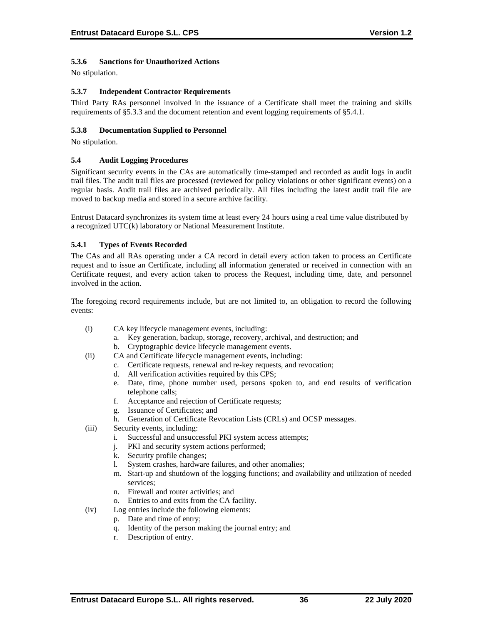# **5.3.6 Sanctions for Unauthorized Actions**

No stipulation.

### **5.3.7 Independent Contractor Requirements**

Third Party RAs personnel involved in the issuance of a Certificate shall meet the training and skills requirements of §5.3.3 and the document retention and event logging requirements of §5.4.1.

### **5.3.8 Documentation Supplied to Personnel**

No stipulation.

#### **5.4 Audit Logging Procedures**

Significant security events in the CAs are automatically time-stamped and recorded as audit logs in audit trail files. The audit trail files are processed (reviewed for policy violations or other significant events) on a regular basis. Audit trail files are archived periodically. All files including the latest audit trail file are moved to backup media and stored in a secure archive facility.

Entrust Datacard synchronizes its system time at least every 24 hours using a real time value distributed by a recognized UTC(k) laboratory or National Measurement Institute.

### **5.4.1 Types of Events Recorded**

The CAs and all RAs operating under a CA record in detail every action taken to process an Certificate request and to issue an Certificate, including all information generated or received in connection with an Certificate request, and every action taken to process the Request, including time, date, and personnel involved in the action.

The foregoing record requirements include, but are not limited to, an obligation to record the following events:

- (i) CA key lifecycle management events, including:
	- a. Key generation, backup, storage, recovery, archival, and destruction; and
	- b. Cryptographic device lifecycle management events.
- (ii) CA and Certificate lifecycle management events, including:
	- c. Certificate requests, renewal and re-key requests, and revocation;
	- d. All verification activities required by this CPS;
	- e. Date, time, phone number used, persons spoken to, and end results of verification telephone calls;
	- f. Acceptance and rejection of Certificate requests;
	- g. Issuance of Certificates; and
	- h. Generation of Certificate Revocation Lists (CRLs) and OCSP messages.
- (iii) Security events, including:
	- i. Successful and unsuccessful PKI system access attempts;
	- j. PKI and security system actions performed;
	- k. Security profile changes;
	- l. System crashes, hardware failures, and other anomalies;
	- m. Start-up and shutdown of the logging functions; and availability and utilization of needed services;
	- n. Firewall and router activities; and
	- o. Entries to and exits from the CA facility.
- (iv) Log entries include the following elements:
	- p. Date and time of entry;
	- q. Identity of the person making the journal entry; and
	- r. Description of entry.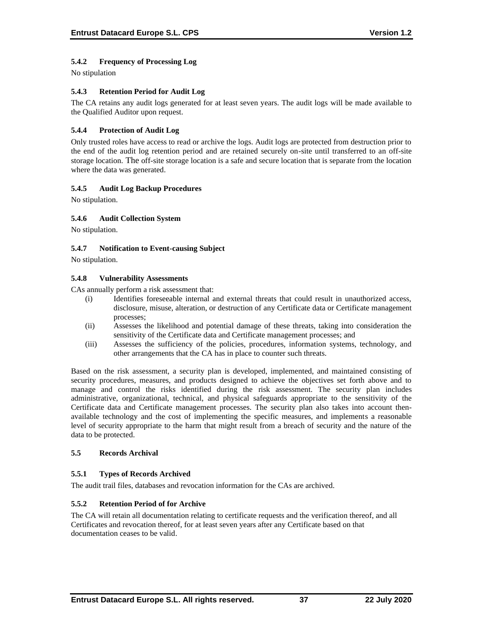# **5.4.2 Frequency of Processing Log**

No stipulation

## **5.4.3 Retention Period for Audit Log**

The CA retains any audit logs generated for at least seven years. The audit logs will be made available to the Qualified Auditor upon request.

## **5.4.4 Protection of Audit Log**

Only trusted roles have access to read or archive the logs. Audit logs are protected from destruction prior to the end of the audit log retention period and are retained securely on-site until transferred to an off-site storage location. The off-site storage location is a safe and secure location that is separate from the location where the data was generated.

### **5.4.5 Audit Log Backup Procedures**

No stipulation.

### **5.4.6 Audit Collection System**

No stipulation.

### **5.4.7 Notification to Event-causing Subject**

No stipulation.

#### **5.4.8 Vulnerability Assessments**

CAs annually perform a risk assessment that:

- (i) Identifies foreseeable internal and external threats that could result in unauthorized access, disclosure, misuse, alteration, or destruction of any Certificate data or Certificate management processes;
- (ii) Assesses the likelihood and potential damage of these threats, taking into consideration the sensitivity of the Certificate data and Certificate management processes; and
- (iii) Assesses the sufficiency of the policies, procedures, information systems, technology, and other arrangements that the CA has in place to counter such threats.

Based on the risk assessment, a security plan is developed, implemented, and maintained consisting of security procedures, measures, and products designed to achieve the objectives set forth above and to manage and control the risks identified during the risk assessment. The security plan includes administrative, organizational, technical, and physical safeguards appropriate to the sensitivity of the Certificate data and Certificate management processes. The security plan also takes into account thenavailable technology and the cost of implementing the specific measures, and implements a reasonable level of security appropriate to the harm that might result from a breach of security and the nature of the data to be protected.

## **5.5 Records Archival**

## **5.5.1 Types of Records Archived**

The audit trail files, databases and revocation information for the CAs are archived.

#### **5.5.2 Retention Period of for Archive**

The CA will retain all documentation relating to certificate requests and the verification thereof, and all Certificates and revocation thereof, for at least seven years after any Certificate based on that documentation ceases to be valid.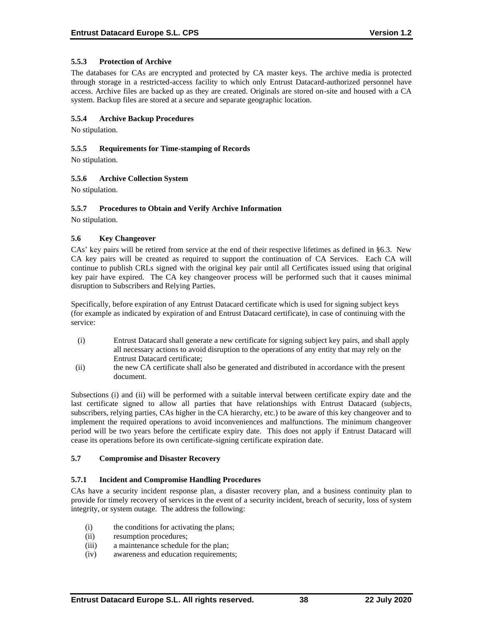## **5.5.3 Protection of Archive**

The databases for CAs are encrypted and protected by CA master keys. The archive media is protected through storage in a restricted-access facility to which only Entrust Datacard-authorized personnel have access. Archive files are backed up as they are created. Originals are stored on-site and housed with a CA system. Backup files are stored at a secure and separate geographic location.

## **5.5.4 Archive Backup Procedures**

No stipulation.

#### **5.5.5 Requirements for Time-stamping of Records**

No stipulation.

### **5.5.6 Archive Collection System**

No stipulation.

## **5.5.7 Procedures to Obtain and Verify Archive Information**

No stipulation.

### **5.6 Key Changeover**

CAs' key pairs will be retired from service at the end of their respective lifetimes as defined in §6.3. New CA key pairs will be created as required to support the continuation of CA Services. Each CA will continue to publish CRLs signed with the original key pair until all Certificates issued using that original key pair have expired. The CA key changeover process will be performed such that it causes minimal disruption to Subscribers and Relying Parties.

Specifically, before expiration of any Entrust Datacard certificate which is used for signing subject keys (for example as indicated by expiration of and Entrust Datacard certificate), in case of continuing with the service:

- (i) Entrust Datacard shall generate a new certificate for signing subject key pairs, and shall apply all necessary actions to avoid disruption to the operations of any entity that may rely on the Entrust Datacard certificate;
- (ii) the new CA certificate shall also be generated and distributed in accordance with the present document.

Subsections (i) and (ii) will be performed with a suitable interval between certificate expiry date and the last certificate signed to allow all parties that have relationships with Entrust Datacard (subjects, subscribers, relying parties, CAs higher in the CA hierarchy, etc.) to be aware of this key changeover and to implement the required operations to avoid inconveniences and malfunctions. The minimum changeover period will be two years before the certificate expiry date. This does not apply if Entrust Datacard will cease its operations before its own certificate-signing certificate expiration date.

#### **5.7 Compromise and Disaster Recovery**

#### **5.7.1 Incident and Compromise Handling Procedures**

CAs have a security incident response plan, a disaster recovery plan, and a business continuity plan to provide for timely recovery of services in the event of a security incident, breach of security, loss of system integrity, or system outage. The address the following:

- (i) the conditions for activating the plans;
- (ii) resumption procedures;
- (iii) a maintenance schedule for the plan;
- (iv) awareness and education requirements;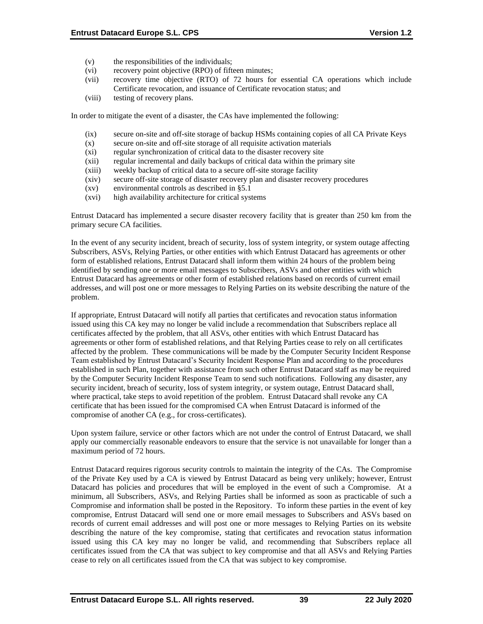- (v) the responsibilities of the individuals;
- (vi) recovery point objective (RPO) of fifteen minutes;
- (vii) recovery time objective (RTO) of 72 hours for essential CA operations which include Certificate revocation, and issuance of Certificate revocation status; and
- (viii) testing of recovery plans.

In order to mitigate the event of a disaster, the CAs have implemented the following:

- (ix) secure on-site and off-site storage of backup HSMs containing copies of all CA Private Keys
- (x) secure on-site and off-site storage of all requisite activation materials
- (xi) regular synchronization of critical data to the disaster recovery site
- (xii) regular incremental and daily backups of critical data within the primary site
- (xiii) weekly backup of critical data to a secure off-site storage facility
- (xiv) secure off-site storage of disaster recovery plan and disaster recovery procedures
- (xv) environmental controls as described in §5.1
- (xvi) high availability architecture for critical systems

Entrust Datacard has implemented a secure disaster recovery facility that is greater than 250 km from the primary secure CA facilities.

In the event of any security incident, breach of security, loss of system integrity, or system outage affecting Subscribers, ASVs, Relying Parties, or other entities with which Entrust Datacard has agreements or other form of established relations, Entrust Datacard shall inform them within 24 hours of the problem being identified by sending one or more email messages to Subscribers, ASVs and other entities with which Entrust Datacard has agreements or other form of established relations based on records of current email addresses, and will post one or more messages to Relying Parties on its website describing the nature of the problem.

If appropriate, Entrust Datacard will notify all parties that certificates and revocation status information issued using this CA key may no longer be valid include a recommendation that Subscribers replace all certificates affected by the problem, that all ASVs, other entities with which Entrust Datacard has agreements or other form of established relations, and that Relying Parties cease to rely on all certificates affected by the problem. These communications will be made by the Computer Security Incident Response Team established by Entrust Datacard's Security Incident Response Plan and according to the procedures established in such Plan, together with assistance from such other Entrust Datacard staff as may be required by the Computer Security Incident Response Team to send such notifications. Following any disaster, any security incident, breach of security, loss of system integrity, or system outage, Entrust Datacard shall, where practical, take steps to avoid repetition of the problem. Entrust Datacard shall revoke any CA certificate that has been issued for the compromised CA when Entrust Datacard is informed of the compromise of another CA (e.g., for cross-certificates).

Upon system failure, service or other factors which are not under the control of Entrust Datacard, we shall apply our commercially reasonable endeavors to ensure that the service is not unavailable for longer than a maximum period of 72 hours.

Entrust Datacard requires rigorous security controls to maintain the integrity of the CAs. The Compromise of the Private Key used by a CA is viewed by Entrust Datacard as being very unlikely; however, Entrust Datacard has policies and procedures that will be employed in the event of such a Compromise. At a minimum, all Subscribers, ASVs, and Relying Parties shall be informed as soon as practicable of such a Compromise and information shall be posted in the Repository. To inform these parties in the event of key compromise, Entrust Datacard will send one or more email messages to Subscribers and ASVs based on records of current email addresses and will post one or more messages to Relying Parties on its website describing the nature of the key compromise, stating that certificates and revocation status information issued using this CA key may no longer be valid, and recommending that Subscribers replace all certificates issued from the CA that was subject to key compromise and that all ASVs and Relying Parties cease to rely on all certificates issued from the CA that was subject to key compromise.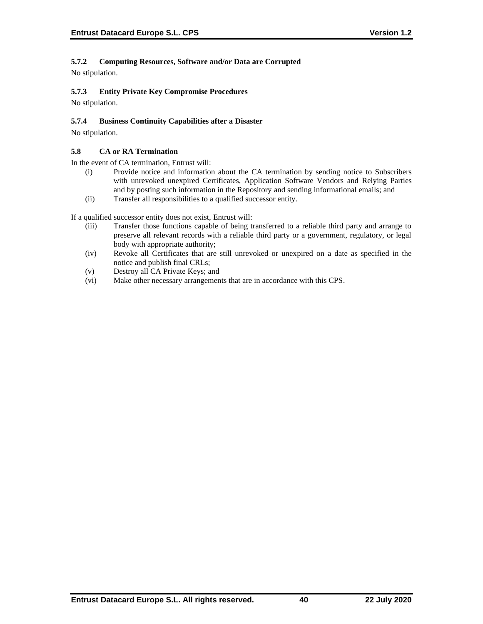## **5.7.2 Computing Resources, Software and/or Data are Corrupted**

No stipulation.

## **5.7.3 Entity Private Key Compromise Procedures**

No stipulation.

## **5.7.4 Business Continuity Capabilities after a Disaster**

No stipulation.

## **5.8 CA or RA Termination**

In the event of CA termination, Entrust will:

- (i) Provide notice and information about the CA termination by sending notice to Subscribers with unrevoked unexpired Certificates, Application Software Vendors and Relying Parties and by posting such information in the Repository and sending informational emails; and
- (ii) Transfer all responsibilities to a qualified successor entity.

If a qualified successor entity does not exist, Entrust will:

- (iii) Transfer those functions capable of being transferred to a reliable third party and arrange to preserve all relevant records with a reliable third party or a government, regulatory, or legal body with appropriate authority;
- (iv) Revoke all Certificates that are still unrevoked or unexpired on a date as specified in the notice and publish final CRLs;
- (v) Destroy all CA Private Keys; and
- (vi) Make other necessary arrangements that are in accordance with this CPS.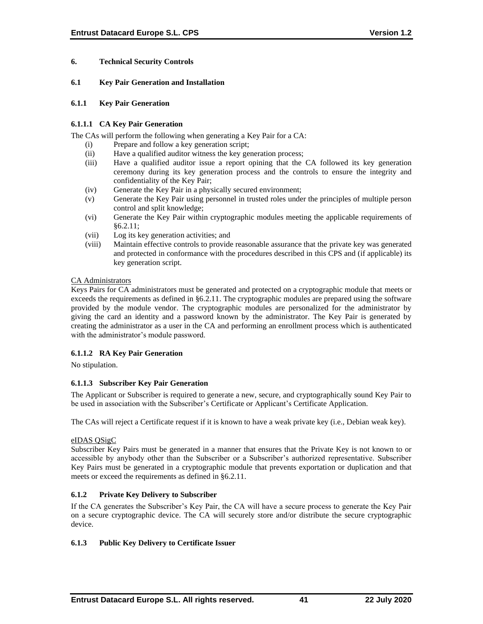## **6. Technical Security Controls**

### **6.1 Key Pair Generation and Installation**

#### **6.1.1 Key Pair Generation**

## **6.1.1.1 CA Key Pair Generation**

The CAs will perform the following when generating a Key Pair for a CA:

- (i) Prepare and follow a key generation script;
- (ii) Have a qualified auditor witness the key generation process;
- (iii) Have a qualified auditor issue a report opining that the CA followed its key generation ceremony during its key generation process and the controls to ensure the integrity and confidentiality of the Key Pair;
- (iv) Generate the Key Pair in a physically secured environment;
- (v) Generate the Key Pair using personnel in trusted roles under the principles of multiple person control and split knowledge;
- (vi) Generate the Key Pair within cryptographic modules meeting the applicable requirements of §6.2.11;
- (vii) Log its key generation activities; and
- (viii) Maintain effective controls to provide reasonable assurance that the private key was generated and protected in conformance with the procedures described in this CPS and (if applicable) its key generation script.

### CA Administrators

Keys Pairs for CA administrators must be generated and protected on a cryptographic module that meets or exceeds the requirements as defined in §6.2.11. The cryptographic modules are prepared using the software provided by the module vendor. The cryptographic modules are personalized for the administrator by giving the card an identity and a password known by the administrator. The Key Pair is generated by creating the administrator as a user in the CA and performing an enrollment process which is authenticated with the administrator's module password.

## **6.1.1.2 RA Key Pair Generation**

No stipulation.

## **6.1.1.3 Subscriber Key Pair Generation**

The Applicant or Subscriber is required to generate a new, secure, and cryptographically sound Key Pair to be used in association with the Subscriber's Certificate or Applicant's Certificate Application.

The CAs will reject a Certificate request if it is known to have a weak private key (i.e., Debian weak key).

## eIDAS QSigC

Subscriber Key Pairs must be generated in a manner that ensures that the Private Key is not known to or accessible by anybody other than the Subscriber or a Subscriber's authorized representative. Subscriber Key Pairs must be generated in a cryptographic module that prevents exportation or duplication and that meets or exceed the requirements as defined in §6.2.11.

## **6.1.2 Private Key Delivery to Subscriber**

If the CA generates the Subscriber's Key Pair, the CA will have a secure process to generate the Key Pair on a secure cryptographic device. The CA will securely store and/or distribute the secure cryptographic device.

## **6.1.3 Public Key Delivery to Certificate Issuer**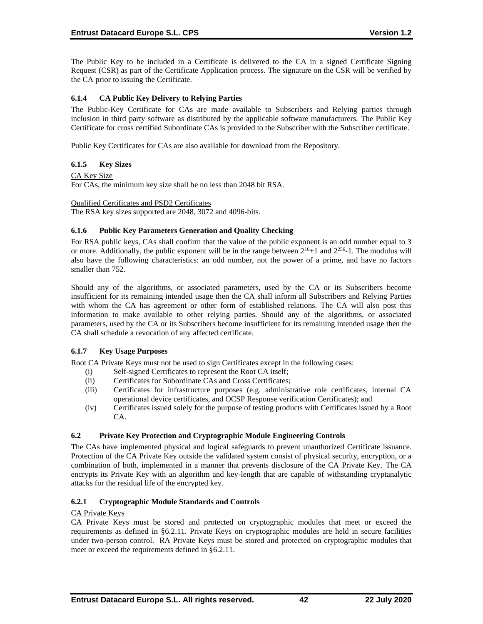The Public Key to be included in a Certificate is delivered to the CA in a signed Certificate Signing Request (CSR) as part of the Certificate Application process. The signature on the CSR will be verified by the CA prior to issuing the Certificate.

# **6.1.4 CA Public Key Delivery to Relying Parties**

The Public-Key Certificate for CAs are made available to Subscribers and Relying parties through inclusion in third party software as distributed by the applicable software manufacturers. The Public Key Certificate for cross certified Subordinate CAs is provided to the Subscriber with the Subscriber certificate.

Public Key Certificates for CAs are also available for download from the Repository.

## **6.1.5 Key Sizes**

### CA Key Size

For CAs, the minimum key size shall be no less than 2048 bit RSA.

Qualified Certificates and PSD2 Certificates

The RSA key sizes supported are 2048, 3072 and 4096-bits.

### **6.1.6 Public Key Parameters Generation and Quality Checking**

For RSA public keys, CAs shall confirm that the value of the public exponent is an odd number equal to 3 or more. Additionally, the public exponent will be in the range between  $2^{16}+1$  and  $2^{256}$ -1. The modulus will also have the following characteristics: an odd number, not the power of a prime, and have no factors smaller than 752.

Should any of the algorithms, or associated parameters, used by the CA or its Subscribers become insufficient for its remaining intended usage then the CA shall inform all Subscribers and Relying Parties with whom the CA has agreement or other form of established relations. The CA will also post this information to make available to other relying parties. Should any of the algorithms, or associated parameters, used by the CA or its Subscribers become insufficient for its remaining intended usage then the CA shall schedule a revocation of any affected certificate.

## **6.1.7 Key Usage Purposes**

Root CA Private Keys must not be used to sign Certificates except in the following cases:

- (i) Self-signed Certificates to represent the Root CA itself;
- (ii) Certificates for Subordinate CAs and Cross Certificates;
- (iii) Certificates for infrastructure purposes (e.g. administrative role certificates, internal CA operational device certificates, and OCSP Response verification Certificates); and
- (iv) Certificates issued solely for the purpose of testing products with Certificates issued by a Root CA.

## **6.2 Private Key Protection and Cryptographic Module Engineering Controls**

The CAs have implemented physical and logical safeguards to prevent unauthorized Certificate issuance. Protection of the CA Private Key outside the validated system consist of physical security, encryption, or a combination of both, implemented in a manner that prevents disclosure of the CA Private Key. The CA encrypts its Private Key with an algorithm and key-length that are capable of withstanding cryptanalytic attacks for the residual life of the encrypted key.

## **6.2.1 Cryptographic Module Standards and Controls**

#### CA Private Keys

CA Private Keys must be stored and protected on cryptographic modules that meet or exceed the requirements as defined in §6.2.11. Private Keys on cryptographic modules are held in secure facilities under two-person control. RA Private Keys must be stored and protected on cryptographic modules that meet or exceed the requirements defined in §6.2.11.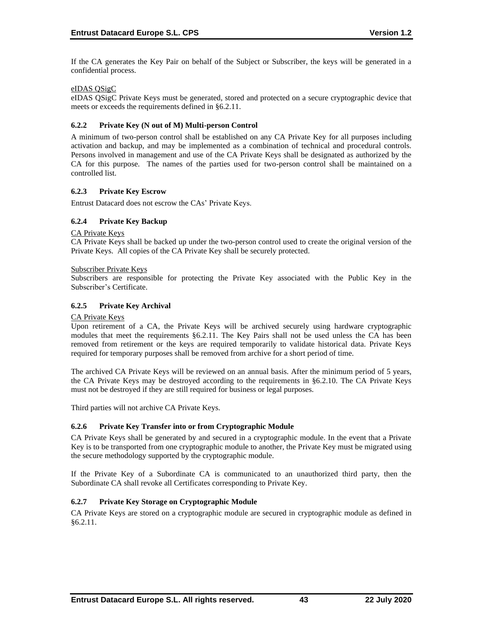If the CA generates the Key Pair on behalf of the Subject or Subscriber, the keys will be generated in a confidential process.

## eIDAS QSigC

eIDAS QSigC Private Keys must be generated, stored and protected on a secure cryptographic device that meets or exceeds the requirements defined in §6.2.11.

### **6.2.2 Private Key (N out of M) Multi-person Control**

A minimum of two-person control shall be established on any CA Private Key for all purposes including activation and backup, and may be implemented as a combination of technical and procedural controls. Persons involved in management and use of the CA Private Keys shall be designated as authorized by the CA for this purpose. The names of the parties used for two-person control shall be maintained on a controlled list.

### **6.2.3 Private Key Escrow**

Entrust Datacard does not escrow the CAs' Private Keys.

## **6.2.4 Private Key Backup**

CA Private Keys

CA Private Keys shall be backed up under the two-person control used to create the original version of the Private Keys. All copies of the CA Private Key shall be securely protected.

#### Subscriber Private Keys

Subscribers are responsible for protecting the Private Key associated with the Public Key in the Subscriber's Certificate.

### **6.2.5 Private Key Archival**

#### CA Private Keys

Upon retirement of a CA, the Private Keys will be archived securely using hardware cryptographic modules that meet the requirements §6.2.11. The Key Pairs shall not be used unless the CA has been removed from retirement or the keys are required temporarily to validate historical data. Private Keys required for temporary purposes shall be removed from archive for a short period of time.

The archived CA Private Keys will be reviewed on an annual basis. After the minimum period of 5 years, the CA Private Keys may be destroyed according to the requirements in §6.2.10. The CA Private Keys must not be destroyed if they are still required for business or legal purposes.

Third parties will not archive CA Private Keys.

#### **6.2.6 Private Key Transfer into or from Cryptographic Module**

CA Private Keys shall be generated by and secured in a cryptographic module. In the event that a Private Key is to be transported from one cryptographic module to another, the Private Key must be migrated using the secure methodology supported by the cryptographic module.

If the Private Key of a Subordinate CA is communicated to an unauthorized third party, then the Subordinate CA shall revoke all Certificates corresponding to Private Key.

### **6.2.7 Private Key Storage on Cryptographic Module**

CA Private Keys are stored on a cryptographic module are secured in cryptographic module as defined in §6.2.11.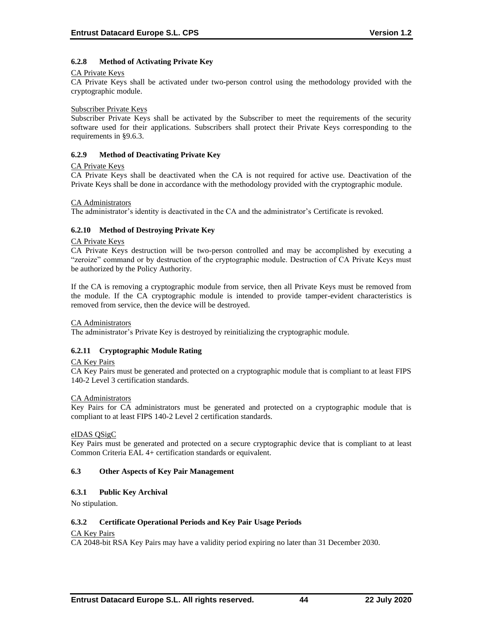## **6.2.8 Method of Activating Private Key**

#### CA Private Keys

CA Private Keys shall be activated under two-person control using the methodology provided with the cryptographic module.

#### Subscriber Private Keys

Subscriber Private Keys shall be activated by the Subscriber to meet the requirements of the security software used for their applications. Subscribers shall protect their Private Keys corresponding to the requirements in §9.6.3.

#### **6.2.9 Method of Deactivating Private Key**

#### CA Private Keys

CA Private Keys shall be deactivated when the CA is not required for active use. Deactivation of the Private Keys shall be done in accordance with the methodology provided with the cryptographic module.

#### CA Administrators

The administrator's identity is deactivated in the CA and the administrator's Certificate is revoked.

#### **6.2.10 Method of Destroying Private Key**

#### CA Private Keys

CA Private Keys destruction will be two-person controlled and may be accomplished by executing a "zeroize" command or by destruction of the cryptographic module. Destruction of CA Private Keys must be authorized by the Policy Authority.

If the CA is removing a cryptographic module from service, then all Private Keys must be removed from the module. If the CA cryptographic module is intended to provide tamper-evident characteristics is removed from service, then the device will be destroyed.

#### CA Administrators

The administrator's Private Key is destroyed by reinitializing the cryptographic module.

#### **6.2.11 Cryptographic Module Rating**

#### CA Key Pairs

CA Key Pairs must be generated and protected on a cryptographic module that is compliant to at least FIPS 140-2 Level 3 certification standards.

#### CA Administrators

Key Pairs for CA administrators must be generated and protected on a cryptographic module that is compliant to at least FIPS 140-2 Level 2 certification standards.

#### eIDAS QSigC

Key Pairs must be generated and protected on a secure cryptographic device that is compliant to at least Common Criteria EAL 4+ certification standards or equivalent.

#### **6.3 Other Aspects of Key Pair Management**

#### **6.3.1 Public Key Archival**

No stipulation.

#### **6.3.2 Certificate Operational Periods and Key Pair Usage Periods**

#### CA Key Pairs

CA 2048-bit RSA Key Pairs may have a validity period expiring no later than 31 December 2030.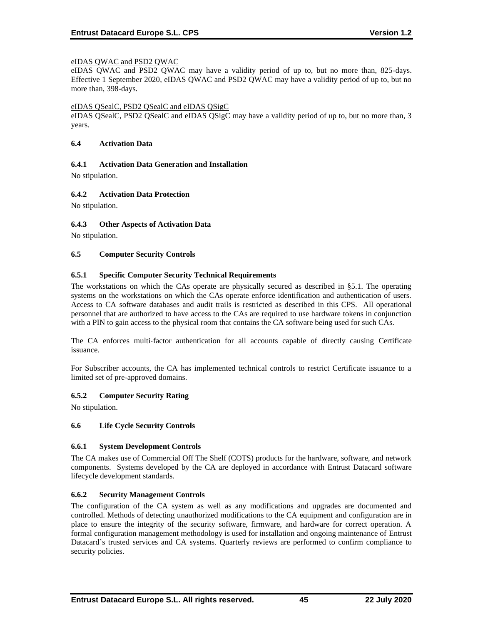## eIDAS QWAC and PSD2 QWAC

eIDAS QWAC and PSD2 QWAC may have a validity period of up to, but no more than, 825-days. Effective 1 September 2020, eIDAS QWAC and PSD2 QWAC may have a validity period of up to, but no more than, 398-days.

#### eIDAS QSealC, PSD2 QSealC and eIDAS QSigC

eIDAS QSealC, PSD2 QSealC and eIDAS QSigC may have a validity period of up to, but no more than, 3 years.

#### **6.4 Activation Data**

### **6.4.1 Activation Data Generation and Installation**

No stipulation.

## **6.4.2 Activation Data Protection**

No stipulation.

### **6.4.3 Other Aspects of Activation Data**

No stipulation.

### **6.5 Computer Security Controls**

### **6.5.1 Specific Computer Security Technical Requirements**

The workstations on which the CAs operate are physically secured as described in §5.1. The operating systems on the workstations on which the CAs operate enforce identification and authentication of users. Access to CA software databases and audit trails is restricted as described in this CPS. All operational personnel that are authorized to have access to the CAs are required to use hardware tokens in conjunction with a PIN to gain access to the physical room that contains the CA software being used for such CAs.

The CA enforces multi‐factor authentication for all accounts capable of directly causing Certificate issuance.

For Subscriber accounts, the CA has implemented technical controls to restrict Certificate issuance to a limited set of pre-approved domains.

## **6.5.2 Computer Security Rating**

No stipulation.

#### **6.6 Life Cycle Security Controls**

#### **6.6.1 System Development Controls**

The CA makes use of Commercial Off The Shelf (COTS) products for the hardware, software, and network components. Systems developed by the CA are deployed in accordance with Entrust Datacard software lifecycle development standards.

#### **6.6.2 Security Management Controls**

The configuration of the CA system as well as any modifications and upgrades are documented and controlled. Methods of detecting unauthorized modifications to the CA equipment and configuration are in place to ensure the integrity of the security software, firmware, and hardware for correct operation. A formal configuration management methodology is used for installation and ongoing maintenance of Entrust Datacard's trusted services and CA systems. Quarterly reviews are performed to confirm compliance to security policies.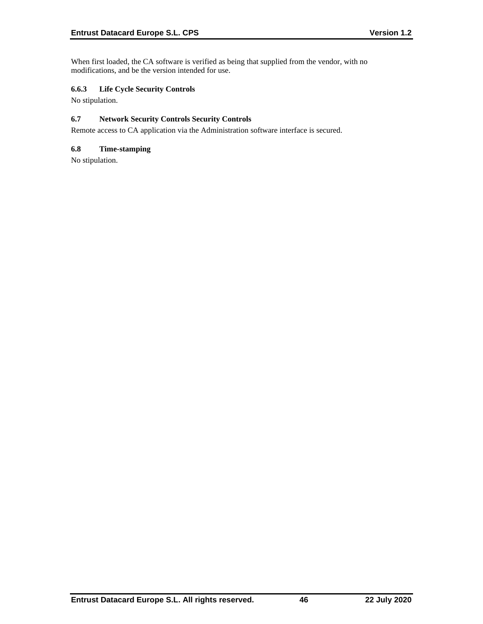When first loaded, the CA software is verified as being that supplied from the vendor, with no modifications, and be the version intended for use.

## **6.6.3 Life Cycle Security Controls**

No stipulation.

## **6.7 Network Security Controls Security Controls**

Remote access to CA application via the Administration software interface is secured.

## **6.8 Time-stamping**

No stipulation.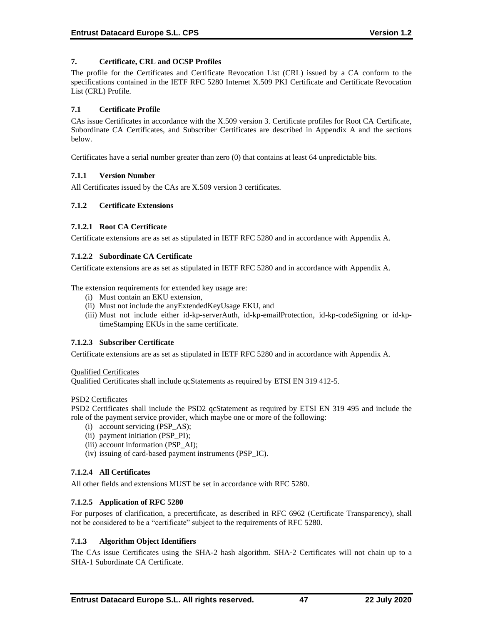## **7. Certificate, CRL and OCSP Profiles**

The profile for the Certificates and Certificate Revocation List (CRL) issued by a CA conform to the specifications contained in the IETF RFC 5280 Internet X.509 PKI Certificate and Certificate Revocation List (CRL) Profile.

## **7.1 Certificate Profile**

CAs issue Certificates in accordance with the X.509 version 3. Certificate profiles for Root CA Certificate, Subordinate CA Certificates, and Subscriber Certificates are described in Appendix A and the sections below.

Certificates have a serial number greater than zero (0) that contains at least 64 unpredictable bits.

### **7.1.1 Version Number**

All Certificates issued by the CAs are X.509 version 3 certificates.

### **7.1.2 Certificate Extensions**

### **7.1.2.1 Root CA Certificate**

Certificate extensions are as set as stipulated in IETF RFC 5280 and in accordance with Appendix A.

### **7.1.2.2 Subordinate CA Certificate**

Certificate extensions are as set as stipulated in IETF RFC 5280 and in accordance with Appendix A.

The extension requirements for extended key usage are:

- (i) Must contain an EKU extension,
- (ii) Must not include the anyExtendedKeyUsage EKU, and
- (iii) Must not include either id-kp-serverAuth, id-kp-emailProtection, id-kp-codeSigning or id-kptimeStamping EKUs in the same certificate.

## **7.1.2.3 Subscriber Certificate**

Certificate extensions are as set as stipulated in IETF RFC 5280 and in accordance with Appendix A.

#### Qualified Certificates

Qualified Certificates shall include qcStatements as required by ETSI EN 319 412-5.

#### PSD2 Certificates

PSD2 Certificates shall include the PSD2 qcStatement as required by ETSI EN 319 495 and include the role of the payment service provider, which maybe one or more of the following:

- (i) account servicing (PSP\_AS);
- (ii) payment initiation (PSP\_PI);
- (iii) account information (PSP\_AI);
- (iv) issuing of card-based payment instruments (PSP\_IC).

## **7.1.2.4 All Certificates**

All other fields and extensions MUST be set in accordance with RFC 5280.

#### **7.1.2.5 Application of RFC 5280**

For purposes of clarification, a precertificate, as described in RFC 6962 (Certificate Transparency), shall not be considered to be a "certificate" subject to the requirements of RFC 5280.

## **7.1.3 Algorithm Object Identifiers**

The CAs issue Certificates using the SHA-2 hash algorithm. SHA‐2 Certificates will not chain up to a SHA‐1 Subordinate CA Certificate.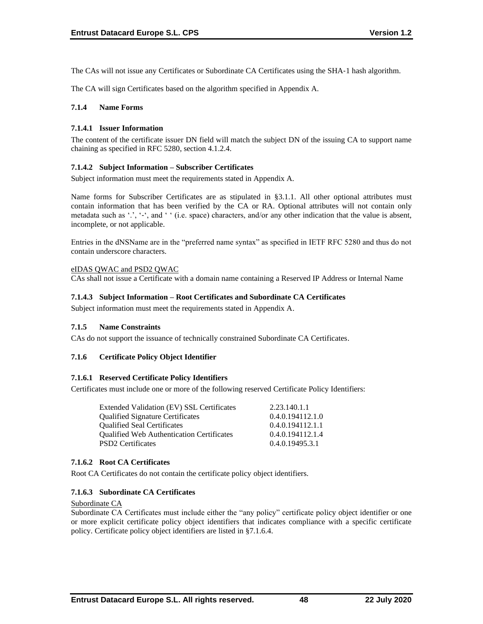The CAs will not issue any Certificates or Subordinate CA Certificates using the SHA-1 hash algorithm.

The CA will sign Certificates based on the algorithm specified in Appendix A.

### **7.1.4 Name Forms**

### **7.1.4.1 Issuer Information**

The content of the certificate issuer DN field will match the subject DN of the issuing CA to support name chaining as specified in RFC 5280, section 4.1.2.4.

### **7.1.4.2 Subject Information – Subscriber Certificates**

Subject information must meet the requirements stated in Appendix A.

Name forms for Subscriber Certificates are as stipulated in §3.1.1. All other optional attributes must contain information that has been verified by the CA or RA. Optional attributes will not contain only metadata such as '.', '-', and '' (i.e. space) characters, and/or any other indication that the value is absent, incomplete, or not applicable.

Entries in the dNSName are in the "preferred name syntax" as specified in IETF RFC 5280 and thus do not contain underscore characters.

### eIDAS QWAC and PSD2 QWAC

CAs shall not issue a Certificate with a domain name containing a Reserved IP Address or Internal Name

### **7.1.4.3 Subject Information – Root Certificates and Subordinate CA Certificates**

Subject information must meet the requirements stated in Appendix A.

#### **7.1.5 Name Constraints**

CAs do not support the issuance of technically constrained Subordinate CA Certificates.

#### **7.1.6 Certificate Policy Object Identifier**

#### **7.1.6.1 Reserved Certificate Policy Identifiers**

Certificates must include one or more of the following reserved Certificate Policy Identifiers:

| Extended Validation (EV) SSL Certificates        | 2.23.140.1.1     |
|--------------------------------------------------|------------------|
| <b>Qualified Signature Certificates</b>          | 0.4.0.194112.1.0 |
| <b>Oualified Seal Certificates</b>               | 0.4.0.194112.1.1 |
| <b>Qualified Web Authentication Certificates</b> | 0.4.0.194112.1.4 |
| <b>PSD2</b> Certificates                         | 0.4.0.19495.3.1  |
|                                                  |                  |

#### **7.1.6.2 Root CA Certificates**

Root CA Certificates do not contain the certificate policy object identifiers.

## **7.1.6.3 Subordinate CA Certificates**

Subordinate CA

Subordinate CA Certificates must include either the "any policy" certificate policy object identifier or one or more explicit certificate policy object identifiers that indicates compliance with a specific certificate policy. Certificate policy object identifiers are listed in §7.1.6.4.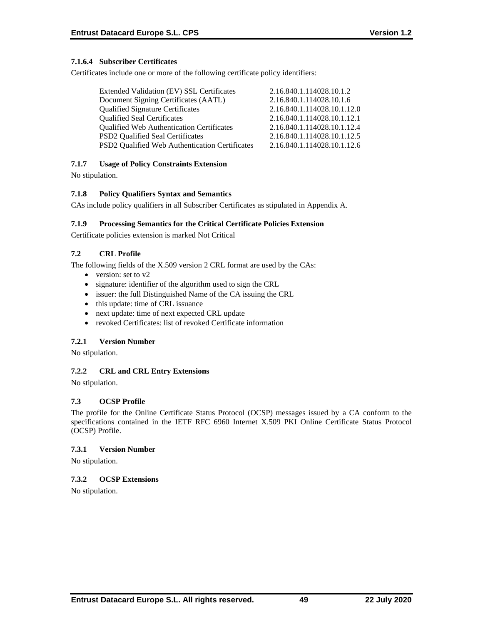## **7.1.6.4 Subscriber Certificates**

Certificates include one or more of the following certificate policy identifiers:

| 2.16.840.1.114028.10.1.2    |
|-----------------------------|
| 2.16.840.1.114028.10.1.6    |
| 2.16.840.1.114028.10.1.12.0 |
| 2.16.840.1.114028.10.1.12.1 |
| 2.16.840.1.114028.10.1.12.4 |
| 2.16.840.1.114028.10.1.12.5 |
| 2.16.840.1.114028.10.1.12.6 |
|                             |

## **7.1.7 Usage of Policy Constraints Extension**

No stipulation.

## **7.1.8 Policy Qualifiers Syntax and Semantics**

CAs include policy qualifiers in all Subscriber Certificates as stipulated in Appendix A.

## **7.1.9 Processing Semantics for the Critical Certificate Policies Extension**

Certificate policies extension is marked Not Critical

# **7.2 CRL Profile**

The following fields of the X.509 version 2 CRL format are used by the CAs:

- version: set to v2
- signature: identifier of the algorithm used to sign the CRL
- issuer: the full Distinguished Name of the CA issuing the CRL
- this update: time of CRL issuance
- next update: time of next expected CRL update
- revoked Certificates: list of revoked Certificate information

## **7.2.1 Version Number**

No stipulation.

## **7.2.2 CRL and CRL Entry Extensions**

No stipulation.

## **7.3 OCSP Profile**

The profile for the Online Certificate Status Protocol (OCSP) messages issued by a CA conform to the specifications contained in the IETF RFC 6960 Internet X.509 PKI Online Certificate Status Protocol (OCSP) Profile.

## **7.3.1 Version Number**

No stipulation.

## **7.3.2 OCSP Extensions**

No stipulation.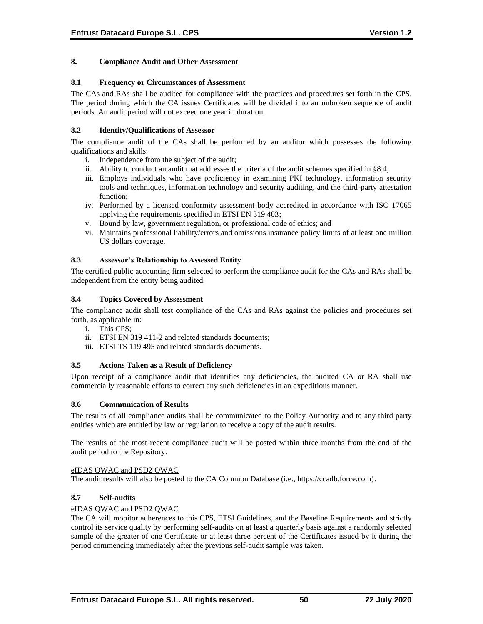### **8. Compliance Audit and Other Assessment**

#### **8.1 Frequency or Circumstances of Assessment**

The CAs and RAs shall be audited for compliance with the practices and procedures set forth in the CPS. The period during which the CA issues Certificates will be divided into an unbroken sequence of audit periods. An audit period will not exceed one year in duration.

## **8.2 Identity/Qualifications of Assessor**

The compliance audit of the CAs shall be performed by an auditor which possesses the following qualifications and skills:

- i. Independence from the subject of the audit;
- ii. Ability to conduct an audit that addresses the criteria of the audit schemes specified in §8.4;
- iii. Employs individuals who have proficiency in examining PKI technology, information security tools and techniques, information technology and security auditing, and the third-party attestation function;
- iv. Performed by a licensed conformity assessment body accredited in accordance with ISO 17065 applying the requirements specified in ETSI EN 319 403;
- v. Bound by law, government regulation, or professional code of ethics; and
- vi. Maintains professional liability/errors and omissions insurance policy limits of at least one million US dollars coverage.

### **8.3 Assessor's Relationship to Assessed Entity**

The certified public accounting firm selected to perform the compliance audit for the CAs and RAs shall be independent from the entity being audited.

### **8.4 Topics Covered by Assessment**

The compliance audit shall test compliance of the CAs and RAs against the policies and procedures set forth, as applicable in:

- i. This CPS;
- ii. ETSI EN 319 411-2 and related standards documents;
- iii. ETSI TS 119 495 and related standards documents.

#### **8.5 Actions Taken as a Result of Deficiency**

Upon receipt of a compliance audit that identifies any deficiencies, the audited CA or RA shall use commercially reasonable efforts to correct any such deficiencies in an expeditious manner.

#### **8.6 Communication of Results**

The results of all compliance audits shall be communicated to the Policy Authority and to any third party entities which are entitled by law or regulation to receive a copy of the audit results.

The results of the most recent compliance audit will be posted within three months from the end of the audit period to the Repository.

#### eIDAS QWAC and PSD2 QWAC

The audit results will also be posted to the CA Common Database (i.e., https://ccadb.force.com).

## **8.7 Self-audits**

#### eIDAS QWAC and PSD2 QWAC

The CA will monitor adherences to this CPS, ETSI Guidelines, and the Baseline Requirements and strictly control its service quality by performing self-audits on at least a quarterly basis against a randomly selected sample of the greater of one Certificate or at least three percent of the Certificates issued by it during the period commencing immediately after the previous self-audit sample was taken.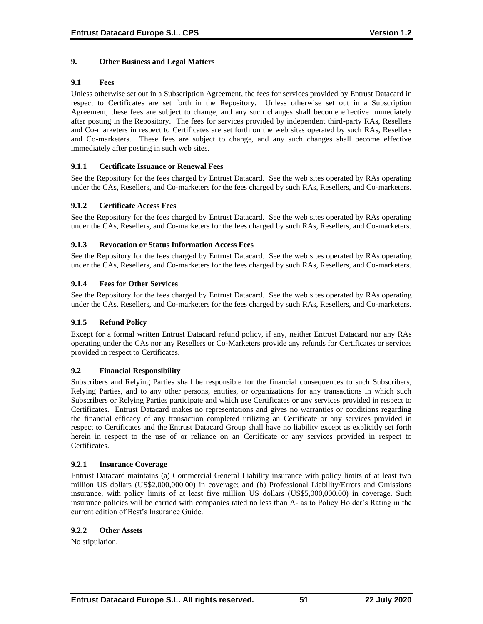## **9. Other Business and Legal Matters**

### **9.1 Fees**

Unless otherwise set out in a Subscription Agreement, the fees for services provided by Entrust Datacard in respect to Certificates are set forth in the Repository. Unless otherwise set out in a Subscription Agreement, these fees are subject to change, and any such changes shall become effective immediately after posting in the Repository. The fees for services provided by independent third-party RAs, Resellers and Co-marketers in respect to Certificates are set forth on the web sites operated by such RAs, Resellers and Co-marketers. These fees are subject to change, and any such changes shall become effective immediately after posting in such web sites.

### **9.1.1 Certificate Issuance or Renewal Fees**

See the Repository for the fees charged by Entrust Datacard. See the web sites operated by RAs operating under the CAs, Resellers, and Co-marketers for the fees charged by such RAs, Resellers, and Co-marketers.

### **9.1.2 Certificate Access Fees**

See the Repository for the fees charged by Entrust Datacard. See the web sites operated by RAs operating under the CAs, Resellers, and Co-marketers for the fees charged by such RAs, Resellers, and Co-marketers.

### **9.1.3 Revocation or Status Information Access Fees**

See the Repository for the fees charged by Entrust Datacard. See the web sites operated by RAs operating under the CAs, Resellers, and Co-marketers for the fees charged by such RAs, Resellers, and Co-marketers.

### **9.1.4 Fees for Other Services**

See the Repository for the fees charged by Entrust Datacard. See the web sites operated by RAs operating under the CAs, Resellers, and Co-marketers for the fees charged by such RAs, Resellers, and Co-marketers.

#### **9.1.5 Refund Policy**

Except for a formal written Entrust Datacard refund policy, if any, neither Entrust Datacard nor any RAs operating under the CAs nor any Resellers or Co-Marketers provide any refunds for Certificates or services provided in respect to Certificates.

#### **9.2 Financial Responsibility**

Subscribers and Relying Parties shall be responsible for the financial consequences to such Subscribers, Relying Parties, and to any other persons, entities, or organizations for any transactions in which such Subscribers or Relying Parties participate and which use Certificates or any services provided in respect to Certificates. Entrust Datacard makes no representations and gives no warranties or conditions regarding the financial efficacy of any transaction completed utilizing an Certificate or any services provided in respect to Certificates and the Entrust Datacard Group shall have no liability except as explicitly set forth herein in respect to the use of or reliance on an Certificate or any services provided in respect to Certificates.

#### **9.2.1 Insurance Coverage**

Entrust Datacard maintains (a) Commercial General Liability insurance with policy limits of at least two million US dollars (US\$2,000,000.00) in coverage; and (b) Professional Liability/Errors and Omissions insurance, with policy limits of at least five million US dollars (US\$5,000,000.00) in coverage. Such insurance policies will be carried with companies rated no less than A- as to Policy Holder's Rating in the current edition of Best's Insurance Guide.

#### **9.2.2 Other Assets**

No stipulation.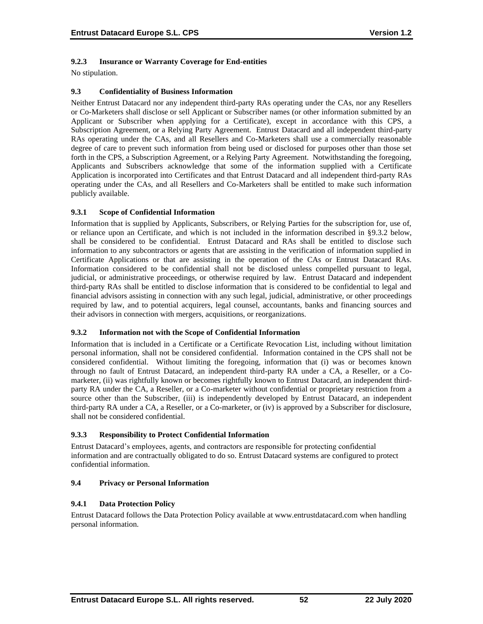## **9.2.3 Insurance or Warranty Coverage for End-entities**

No stipulation.

## **9.3 Confidentiality of Business Information**

Neither Entrust Datacard nor any independent third-party RAs operating under the CAs, nor any Resellers or Co-Marketers shall disclose or sell Applicant or Subscriber names (or other information submitted by an Applicant or Subscriber when applying for a Certificate), except in accordance with this CPS, a Subscription Agreement, or a Relying Party Agreement. Entrust Datacard and all independent third-party RAs operating under the CAs, and all Resellers and Co-Marketers shall use a commercially reasonable degree of care to prevent such information from being used or disclosed for purposes other than those set forth in the CPS, a Subscription Agreement, or a Relying Party Agreement. Notwithstanding the foregoing, Applicants and Subscribers acknowledge that some of the information supplied with a Certificate Application is incorporated into Certificates and that Entrust Datacard and all independent third-party RAs operating under the CAs, and all Resellers and Co-Marketers shall be entitled to make such information publicly available.

## **9.3.1 Scope of Confidential Information**

Information that is supplied by Applicants, Subscribers, or Relying Parties for the subscription for, use of, or reliance upon an Certificate, and which is not included in the information described in §9.3.2 below, shall be considered to be confidential. Entrust Datacard and RAs shall be entitled to disclose such information to any subcontractors or agents that are assisting in the verification of information supplied in Certificate Applications or that are assisting in the operation of the CAs or Entrust Datacard RAs. Information considered to be confidential shall not be disclosed unless compelled pursuant to legal, judicial, or administrative proceedings, or otherwise required by law. Entrust Datacard and independent third-party RAs shall be entitled to disclose information that is considered to be confidential to legal and financial advisors assisting in connection with any such legal, judicial, administrative, or other proceedings required by law, and to potential acquirers, legal counsel, accountants, banks and financing sources and their advisors in connection with mergers, acquisitions, or reorganizations.

## **9.3.2 Information not with the Scope of Confidential Information**

Information that is included in a Certificate or a Certificate Revocation List, including without limitation personal information, shall not be considered confidential. Information contained in the CPS shall not be considered confidential. Without limiting the foregoing, information that (i) was or becomes known through no fault of Entrust Datacard, an independent third-party RA under a CA, a Reseller, or a Comarketer, (ii) was rightfully known or becomes rightfully known to Entrust Datacard, an independent thirdparty RA under the CA, a Reseller, or a Co-marketer without confidential or proprietary restriction from a source other than the Subscriber, (iii) is independently developed by Entrust Datacard, an independent third-party RA under a CA, a Reseller, or a Co-marketer, or (iv) is approved by a Subscriber for disclosure, shall not be considered confidential.

## **9.3.3 Responsibility to Protect Confidential Information**

Entrust Datacard's employees, agents, and contractors are responsible for protecting confidential information and are contractually obligated to do so. Entrust Datacard systems are configured to protect confidential information.

## **9.4 Privacy or Personal Information**

## **9.4.1 Data Protection Policy**

Entrust Datacard follows the Data Protection Policy available at www.entrustdatacard.com when handling personal information.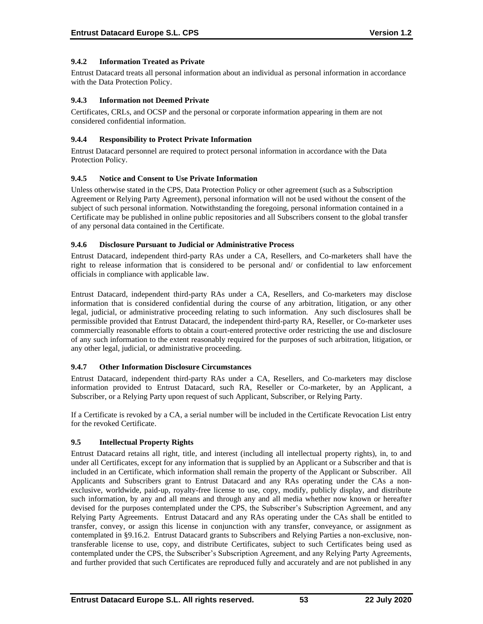## **9.4.2 Information Treated as Private**

Entrust Datacard treats all personal information about an individual as personal information in accordance with the Data Protection Policy.

### **9.4.3 Information not Deemed Private**

Certificates, CRLs, and OCSP and the personal or corporate information appearing in them are not considered confidential information.

#### **9.4.4 Responsibility to Protect Private Information**

Entrust Datacard personnel are required to protect personal information in accordance with the Data Protection Policy.

### **9.4.5 Notice and Consent to Use Private Information**

Unless otherwise stated in the CPS, Data Protection Policy or other agreement (such as a Subscription Agreement or Relying Party Agreement), personal information will not be used without the consent of the subject of such personal information. Notwithstanding the foregoing, personal information contained in a Certificate may be published in online public repositories and all Subscribers consent to the global transfer of any personal data contained in the Certificate.

### **9.4.6 Disclosure Pursuant to Judicial or Administrative Process**

Entrust Datacard, independent third-party RAs under a CA, Resellers, and Co-marketers shall have the right to release information that is considered to be personal and/ or confidential to law enforcement officials in compliance with applicable law.

Entrust Datacard, independent third-party RAs under a CA, Resellers, and Co-marketers may disclose information that is considered confidential during the course of any arbitration, litigation, or any other legal, judicial, or administrative proceeding relating to such information. Any such disclosures shall be permissible provided that Entrust Datacard, the independent third-party RA, Reseller, or Co-marketer uses commercially reasonable efforts to obtain a court-entered protective order restricting the use and disclosure of any such information to the extent reasonably required for the purposes of such arbitration, litigation, or any other legal, judicial, or administrative proceeding.

#### **9.4.7 Other Information Disclosure Circumstances**

Entrust Datacard, independent third-party RAs under a CA, Resellers, and Co-marketers may disclose information provided to Entrust Datacard, such RA, Reseller or Co-marketer, by an Applicant, a Subscriber, or a Relying Party upon request of such Applicant, Subscriber, or Relying Party.

If a Certificate is revoked by a CA, a serial number will be included in the Certificate Revocation List entry for the revoked Certificate.

## **9.5 Intellectual Property Rights**

Entrust Datacard retains all right, title, and interest (including all intellectual property rights), in, to and under all Certificates, except for any information that is supplied by an Applicant or a Subscriber and that is included in an Certificate, which information shall remain the property of the Applicant or Subscriber. All Applicants and Subscribers grant to Entrust Datacard and any RAs operating under the CAs a nonexclusive, worldwide, paid-up, royalty-free license to use, copy, modify, publicly display, and distribute such information, by any and all means and through any and all media whether now known or hereafter devised for the purposes contemplated under the CPS, the Subscriber's Subscription Agreement, and any Relying Party Agreements. Entrust Datacard and any RAs operating under the CAs shall be entitled to transfer, convey, or assign this license in conjunction with any transfer, conveyance, or assignment as contemplated in §9.16.2. Entrust Datacard grants to Subscribers and Relying Parties a non-exclusive, nontransferable license to use, copy, and distribute Certificates, subject to such Certificates being used as contemplated under the CPS, the Subscriber's Subscription Agreement, and any Relying Party Agreements, and further provided that such Certificates are reproduced fully and accurately and are not published in any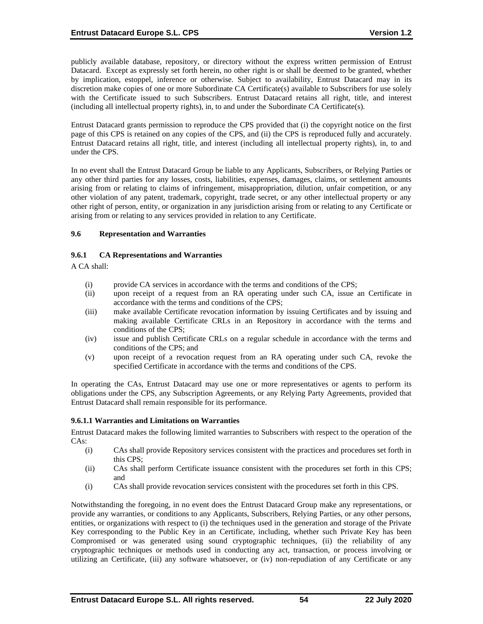publicly available database, repository, or directory without the express written permission of Entrust Datacard. Except as expressly set forth herein, no other right is or shall be deemed to be granted, whether by implication, estoppel, inference or otherwise. Subject to availability, Entrust Datacard may in its discretion make copies of one or more Subordinate CA Certificate(s) available to Subscribers for use solely with the Certificate issued to such Subscribers. Entrust Datacard retains all right, title, and interest (including all intellectual property rights), in, to and under the Subordinate CA Certificate(s).

Entrust Datacard grants permission to reproduce the CPS provided that (i) the copyright notice on the first page of this CPS is retained on any copies of the CPS, and (ii) the CPS is reproduced fully and accurately. Entrust Datacard retains all right, title, and interest (including all intellectual property rights), in, to and under the CPS.

In no event shall the Entrust Datacard Group be liable to any Applicants, Subscribers, or Relying Parties or any other third parties for any losses, costs, liabilities, expenses, damages, claims, or settlement amounts arising from or relating to claims of infringement, misappropriation, dilution, unfair competition, or any other violation of any patent, trademark, copyright, trade secret, or any other intellectual property or any other right of person, entity, or organization in any jurisdiction arising from or relating to any Certificate or arising from or relating to any services provided in relation to any Certificate.

### **9.6 Representation and Warranties**

### **9.6.1 CA Representations and Warranties**

A CA shall:

- (i) provide CA services in accordance with the terms and conditions of the CPS;
- (ii) upon receipt of a request from an RA operating under such CA, issue an Certificate in accordance with the terms and conditions of the CPS;
- (iii) make available Certificate revocation information by issuing Certificates and by issuing and making available Certificate CRLs in an Repository in accordance with the terms and conditions of the CPS;
- (iv) issue and publish Certificate CRLs on a regular schedule in accordance with the terms and conditions of the CPS; and
- (v) upon receipt of a revocation request from an RA operating under such CA, revoke the specified Certificate in accordance with the terms and conditions of the CPS.

In operating the CAs, Entrust Datacard may use one or more representatives or agents to perform its obligations under the CPS, any Subscription Agreements, or any Relying Party Agreements, provided that Entrust Datacard shall remain responsible for its performance.

#### **9.6.1.1 Warranties and Limitations on Warranties**

Entrust Datacard makes the following limited warranties to Subscribers with respect to the operation of the CAs:

- (i) CAs shall provide Repository services consistent with the practices and procedures set forth in this CPS;
- (ii) CAs shall perform Certificate issuance consistent with the procedures set forth in this CPS; and
- (i) CAs shall provide revocation services consistent with the procedures set forth in this CPS.

Notwithstanding the foregoing, in no event does the Entrust Datacard Group make any representations, or provide any warranties, or conditions to any Applicants, Subscribers, Relying Parties, or any other persons, entities, or organizations with respect to (i) the techniques used in the generation and storage of the Private Key corresponding to the Public Key in an Certificate, including, whether such Private Key has been Compromised or was generated using sound cryptographic techniques, (ii) the reliability of any cryptographic techniques or methods used in conducting any act, transaction, or process involving or utilizing an Certificate, (iii) any software whatsoever, or (iv) non-repudiation of any Certificate or any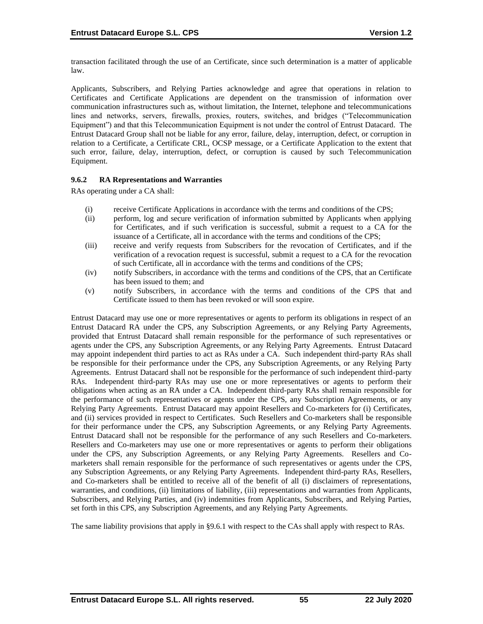transaction facilitated through the use of an Certificate, since such determination is a matter of applicable law.

Applicants, Subscribers, and Relying Parties acknowledge and agree that operations in relation to Certificates and Certificate Applications are dependent on the transmission of information over communication infrastructures such as, without limitation, the Internet, telephone and telecommunications lines and networks, servers, firewalls, proxies, routers, switches, and bridges ("Telecommunication Equipment") and that this Telecommunication Equipment is not under the control of Entrust Datacard. The Entrust Datacard Group shall not be liable for any error, failure, delay, interruption, defect, or corruption in relation to a Certificate, a Certificate CRL, OCSP message, or a Certificate Application to the extent that such error, failure, delay, interruption, defect, or corruption is caused by such Telecommunication Equipment.

### **9.6.2 RA Representations and Warranties**

RAs operating under a CA shall:

- (i) receive Certificate Applications in accordance with the terms and conditions of the CPS;
- (ii) perform, log and secure verification of information submitted by Applicants when applying for Certificates, and if such verification is successful, submit a request to a CA for the issuance of a Certificate, all in accordance with the terms and conditions of the CPS;
- (iii) receive and verify requests from Subscribers for the revocation of Certificates, and if the verification of a revocation request is successful, submit a request to a CA for the revocation of such Certificate, all in accordance with the terms and conditions of the CPS;
- (iv) notify Subscribers, in accordance with the terms and conditions of the CPS, that an Certificate has been issued to them; and
- (v) notify Subscribers, in accordance with the terms and conditions of the CPS that and Certificate issued to them has been revoked or will soon expire.

Entrust Datacard may use one or more representatives or agents to perform its obligations in respect of an Entrust Datacard RA under the CPS, any Subscription Agreements, or any Relying Party Agreements, provided that Entrust Datacard shall remain responsible for the performance of such representatives or agents under the CPS, any Subscription Agreements, or any Relying Party Agreements. Entrust Datacard may appoint independent third parties to act as RAs under a CA. Such independent third-party RAs shall be responsible for their performance under the CPS, any Subscription Agreements, or any Relying Party Agreements. Entrust Datacard shall not be responsible for the performance of such independent third-party RAs. Independent third-party RAs may use one or more representatives or agents to perform their obligations when acting as an RA under a CA. Independent third-party RAs shall remain responsible for the performance of such representatives or agents under the CPS, any Subscription Agreements, or any Relying Party Agreements. Entrust Datacard may appoint Resellers and Co-marketers for (i) Certificates, and (ii) services provided in respect to Certificates. Such Resellers and Co-marketers shall be responsible for their performance under the CPS, any Subscription Agreements, or any Relying Party Agreements. Entrust Datacard shall not be responsible for the performance of any such Resellers and Co-marketers. Resellers and Co-marketers may use one or more representatives or agents to perform their obligations under the CPS, any Subscription Agreements, or any Relying Party Agreements. Resellers and Comarketers shall remain responsible for the performance of such representatives or agents under the CPS, any Subscription Agreements, or any Relying Party Agreements. Independent third-party RAs, Resellers, and Co-marketers shall be entitled to receive all of the benefit of all (i) disclaimers of representations, warranties, and conditions, (ii) limitations of liability, (iii) representations and warranties from Applicants, Subscribers, and Relying Parties, and (iv) indemnities from Applicants, Subscribers, and Relying Parties, set forth in this CPS, any Subscription Agreements, and any Relying Party Agreements.

The same liability provisions that apply in §9.6.1 with respect to the CAs shall apply with respect to RAs.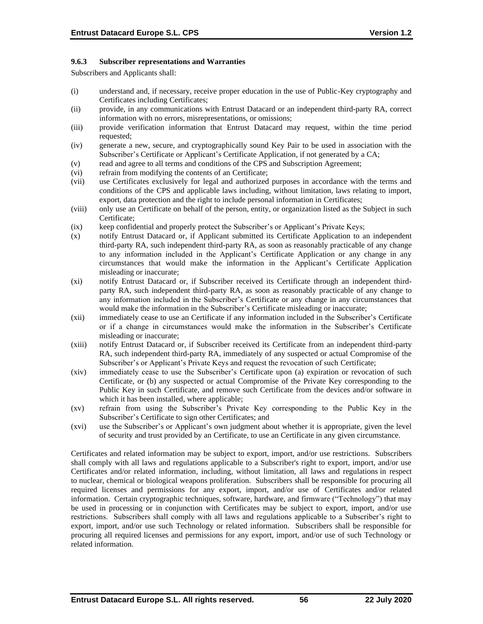### **9.6.3 Subscriber representations and Warranties**

Subscribers and Applicants shall:

- (i) understand and, if necessary, receive proper education in the use of Public-Key cryptography and Certificates including Certificates;
- (ii) provide, in any communications with Entrust Datacard or an independent third-party RA, correct information with no errors, misrepresentations, or omissions;
- (iii) provide verification information that Entrust Datacard may request, within the time period requested;
- (iv) generate a new, secure, and cryptographically sound Key Pair to be used in association with the Subscriber's Certificate or Applicant's Certificate Application, if not generated by a CA;
- (v) read and agree to all terms and conditions of the CPS and Subscription Agreement;
- (vi) refrain from modifying the contents of an Certificate;
- (vii) use Certificates exclusively for legal and authorized purposes in accordance with the terms and conditions of the CPS and applicable laws including, without limitation, laws relating to import, export, data protection and the right to include personal information in Certificates;
- (viii) only use an Certificate on behalf of the person, entity, or organization listed as the Subject in such Certificate;
- (ix) keep confidential and properly protect the Subscriber's or Applicant's Private Keys;
- (x) notify Entrust Datacard or, if Applicant submitted its Certificate Application to an independent third-party RA, such independent third-party RA, as soon as reasonably practicable of any change to any information included in the Applicant's Certificate Application or any change in any circumstances that would make the information in the Applicant's Certificate Application misleading or inaccurate;
- (xi) notify Entrust Datacard or, if Subscriber received its Certificate through an independent thirdparty RA, such independent third-party RA, as soon as reasonably practicable of any change to any information included in the Subscriber's Certificate or any change in any circumstances that would make the information in the Subscriber's Certificate misleading or inaccurate;
- (xii) immediately cease to use an Certificate if any information included in the Subscriber's Certificate or if a change in circumstances would make the information in the Subscriber's Certificate misleading or inaccurate;
- (xiii) notify Entrust Datacard or, if Subscriber received its Certificate from an independent third-party RA, such independent third-party RA, immediately of any suspected or actual Compromise of the Subscriber's or Applicant's Private Keys and request the revocation of such Certificate;
- (xiv) immediately cease to use the Subscriber's Certificate upon (a) expiration or revocation of such Certificate, or (b) any suspected or actual Compromise of the Private Key corresponding to the Public Key in such Certificate, and remove such Certificate from the devices and/or software in which it has been installed, where applicable;
- (xv) refrain from using the Subscriber's Private Key corresponding to the Public Key in the Subscriber's Certificate to sign other Certificates; and
- (xvi) use the Subscriber's or Applicant's own judgment about whether it is appropriate, given the level of security and trust provided by an Certificate, to use an Certificate in any given circumstance.

Certificates and related information may be subject to export, import, and/or use restrictions. Subscribers shall comply with all laws and regulations applicable to a Subscriber's right to export, import, and/or use Certificates and/or related information, including, without limitation, all laws and regulations in respect to nuclear, chemical or biological weapons proliferation. Subscribers shall be responsible for procuring all required licenses and permissions for any export, import, and/or use of Certificates and/or related information. Certain cryptographic techniques, software, hardware, and firmware ("Technology") that may be used in processing or in conjunction with Certificates may be subject to export, import, and/or use restrictions. Subscribers shall comply with all laws and regulations applicable to a Subscriber's right to export, import, and/or use such Technology or related information. Subscribers shall be responsible for procuring all required licenses and permissions for any export, import, and/or use of such Technology or related information.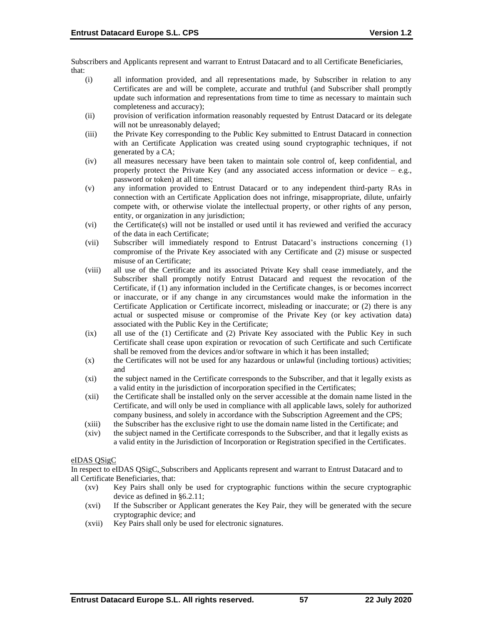Subscribers and Applicants represent and warrant to Entrust Datacard and to all Certificate Beneficiaries, that:

- (i) all information provided, and all representations made, by Subscriber in relation to any Certificates are and will be complete, accurate and truthful (and Subscriber shall promptly update such information and representations from time to time as necessary to maintain such completeness and accuracy);
- (ii) provision of verification information reasonably requested by Entrust Datacard or its delegate will not be unreasonably delayed;
- (iii) the Private Key corresponding to the Public Key submitted to Entrust Datacard in connection with an Certificate Application was created using sound cryptographic techniques, if not generated by a CA;
- (iv) all measures necessary have been taken to maintain sole control of, keep confidential, and properly protect the Private Key (and any associated access information or device  $-$  e.g., password or token) at all times;
- (v) any information provided to Entrust Datacard or to any independent third-party RAs in connection with an Certificate Application does not infringe, misappropriate, dilute, unfairly compete with, or otherwise violate the intellectual property, or other rights of any person, entity, or organization in any jurisdiction;
- (vi) the Certificate(s) will not be installed or used until it has reviewed and verified the accuracy of the data in each Certificate;
- (vii) Subscriber will immediately respond to Entrust Datacard's instructions concerning (1) compromise of the Private Key associated with any Certificate and (2) misuse or suspected misuse of an Certificate;
- (viii) all use of the Certificate and its associated Private Key shall cease immediately, and the Subscriber shall promptly notify Entrust Datacard and request the revocation of the Certificate, if (1) any information included in the Certificate changes, is or becomes incorrect or inaccurate, or if any change in any circumstances would make the information in the Certificate Application or Certificate incorrect, misleading or inaccurate; or (2) there is any actual or suspected misuse or compromise of the Private Key (or key activation data) associated with the Public Key in the Certificate;
- (ix) all use of the (1) Certificate and (2) Private Key associated with the Public Key in such Certificate shall cease upon expiration or revocation of such Certificate and such Certificate shall be removed from the devices and/or software in which it has been installed;
- (x) the Certificates will not be used for any hazardous or unlawful (including tortious) activities; and
- (xi) the subject named in the Certificate corresponds to the Subscriber, and that it legally exists as a valid entity in the jurisdiction of incorporation specified in the Certificates;
- (xii) the Certificate shall be installed only on the server accessible at the domain name listed in the Certificate, and will only be used in compliance with all applicable laws, solely for authorized company business, and solely in accordance with the Subscription Agreement and the CPS;
- (xiii) the Subscriber has the exclusive right to use the domain name listed in the Certificate; and
- (xiv) the subject named in the Certificate corresponds to the Subscriber, and that it legally exists as a valid entity in the Jurisdiction of Incorporation or Registration specified in the Certificates.

## eIDAS QSigC

In respect to eIDAS QSigC, Subscribers and Applicants represent and warrant to Entrust Datacard and to all Certificate Beneficiaries, that:

- (xv) Key Pairs shall only be used for cryptographic functions within the secure cryptographic device as defined in §6.2.11;
- (xvi) If the Subscriber or Applicant generates the Key Pair, they will be generated with the secure cryptographic device; and
- (xvii) Key Pairs shall only be used for electronic signatures.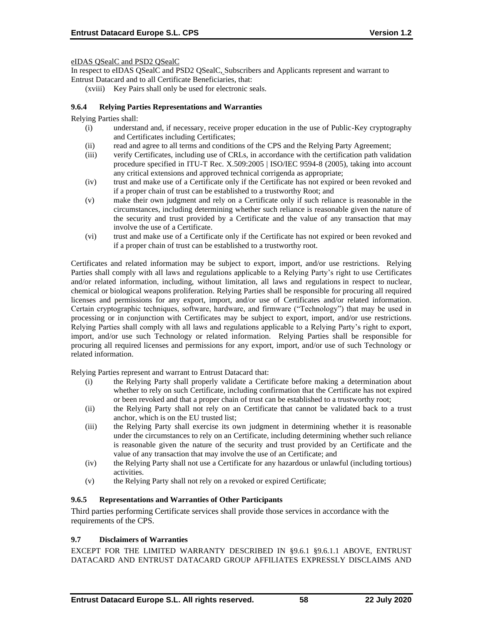eIDAS QSealC and PSD2 QSealC

In respect to eIDAS QSealC and PSD2 QSealC, Subscribers and Applicants represent and warrant to Entrust Datacard and to all Certificate Beneficiaries, that:

(xviii) Key Pairs shall only be used for electronic seals.

## **9.6.4 Relying Parties Representations and Warranties**

Relying Parties shall:

- (i) understand and, if necessary, receive proper education in the use of Public-Key cryptography and Certificates including Certificates;
- (ii) read and agree to all terms and conditions of the CPS and the Relying Party Agreement;
- (iii) verify Certificates, including use of CRLs, in accordance with the certification path validation procedure specified in ITU-T Rec. X.509:2005 | ISO/IEC 9594-8 (2005), taking into account any critical extensions and approved technical corrigenda as appropriate;
- (iv) trust and make use of a Certificate only if the Certificate has not expired or been revoked and if a proper chain of trust can be established to a trustworthy Root; and
- (v) make their own judgment and rely on a Certificate only if such reliance is reasonable in the circumstances, including determining whether such reliance is reasonable given the nature of the security and trust provided by a Certificate and the value of any transaction that may involve the use of a Certificate.
- (vi) trust and make use of a Certificate only if the Certificate has not expired or been revoked and if a proper chain of trust can be established to a trustworthy root.

Certificates and related information may be subject to export, import, and/or use restrictions. Relying Parties shall comply with all laws and regulations applicable to a Relying Party's right to use Certificates and/or related information, including, without limitation, all laws and regulations in respect to nuclear, chemical or biological weapons proliferation. Relying Parties shall be responsible for procuring all required licenses and permissions for any export, import, and/or use of Certificates and/or related information. Certain cryptographic techniques, software, hardware, and firmware ("Technology") that may be used in processing or in conjunction with Certificates may be subject to export, import, and/or use restrictions. Relying Parties shall comply with all laws and regulations applicable to a Relying Party's right to export, import, and/or use such Technology or related information. Relying Parties shall be responsible for procuring all required licenses and permissions for any export, import, and/or use of such Technology or related information.

Relying Parties represent and warrant to Entrust Datacard that:

- (i) the Relying Party shall properly validate a Certificate before making a determination about whether to rely on such Certificate, including confirmation that the Certificate has not expired or been revoked and that a proper chain of trust can be established to a trustworthy root;
- (ii) the Relying Party shall not rely on an Certificate that cannot be validated back to a trust anchor, which is on the EU trusted list;
- (iii) the Relying Party shall exercise its own judgment in determining whether it is reasonable under the circumstances to rely on an Certificate, including determining whether such reliance is reasonable given the nature of the security and trust provided by an Certificate and the value of any transaction that may involve the use of an Certificate; and
- (iv) the Relying Party shall not use a Certificate for any hazardous or unlawful (including tortious) activities.
- (v) the Relying Party shall not rely on a revoked or expired Certificate;

#### **9.6.5 Representations and Warranties of Other Participants**

Third parties performing Certificate services shall provide those services in accordance with the requirements of the CPS.

#### **9.7 Disclaimers of Warranties**

EXCEPT FOR THE LIMITED WARRANTY DESCRIBED IN §9.6.1 §9.6.1.1 ABOVE, ENTRUST DATACARD AND ENTRUST DATACARD GROUP AFFILIATES EXPRESSLY DISCLAIMS AND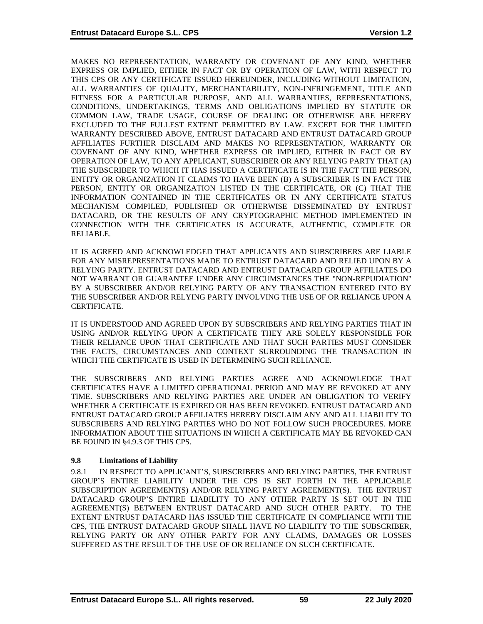MAKES NO REPRESENTATION, WARRANTY OR COVENANT OF ANY KIND, WHETHER EXPRESS OR IMPLIED, EITHER IN FACT OR BY OPERATION OF LAW, WITH RESPECT TO THIS CPS OR ANY CERTIFICATE ISSUED HEREUNDER, INCLUDING WITHOUT LIMITATION, ALL WARRANTIES OF QUALITY, MERCHANTABILITY, NON-INFRINGEMENT, TITLE AND FITNESS FOR A PARTICULAR PURPOSE, AND ALL WARRANTIES, REPRESENTATIONS, CONDITIONS, UNDERTAKINGS, TERMS AND OBLIGATIONS IMPLIED BY STATUTE OR COMMON LAW, TRADE USAGE, COURSE OF DEALING OR OTHERWISE ARE HEREBY EXCLUDED TO THE FULLEST EXTENT PERMITTED BY LAW. EXCEPT FOR THE LIMITED WARRANTY DESCRIBED ABOVE, ENTRUST DATACARD AND ENTRUST DATACARD GROUP AFFILIATES FURTHER DISCLAIM AND MAKES NO REPRESENTATION, WARRANTY OR COVENANT OF ANY KIND, WHETHER EXPRESS OR IMPLIED, EITHER IN FACT OR BY OPERATION OF LAW, TO ANY APPLICANT, SUBSCRIBER OR ANY RELYING PARTY THAT (A) THE SUBSCRIBER TO WHICH IT HAS ISSUED A CERTIFICATE IS IN THE FACT THE PERSON, ENTITY OR ORGANIZATION IT CLAIMS TO HAVE BEEN (B) A SUBSCRIBER IS IN FACT THE PERSON, ENTITY OR ORGANIZATION LISTED IN THE CERTIFICATE, OR (C) THAT THE INFORMATION CONTAINED IN THE CERTIFICATES OR IN ANY CERTIFICATE STATUS MECHANISM COMPILED, PUBLISHED OR OTHERWISE DISSEMINATED BY ENTRUST DATACARD, OR THE RESULTS OF ANY CRYPTOGRAPHIC METHOD IMPLEMENTED IN CONNECTION WITH THE CERTIFICATES IS ACCURATE, AUTHENTIC, COMPLETE OR RELIABLE.

IT IS AGREED AND ACKNOWLEDGED THAT APPLICANTS AND SUBSCRIBERS ARE LIABLE FOR ANY MISREPRESENTATIONS MADE TO ENTRUST DATACARD AND RELIED UPON BY A RELYING PARTY. ENTRUST DATACARD AND ENTRUST DATACARD GROUP AFFILIATES DO NOT WARRANT OR GUARANTEE UNDER ANY CIRCUMSTANCES THE "NON-REPUDIATION" BY A SUBSCRIBER AND/OR RELYING PARTY OF ANY TRANSACTION ENTERED INTO BY THE SUBSCRIBER AND/OR RELYING PARTY INVOLVING THE USE OF OR RELIANCE UPON A CERTIFICATE.

IT IS UNDERSTOOD AND AGREED UPON BY SUBSCRIBERS AND RELYING PARTIES THAT IN USING AND/OR RELYING UPON A CERTIFICATE THEY ARE SOLELY RESPONSIBLE FOR THEIR RELIANCE UPON THAT CERTIFICATE AND THAT SUCH PARTIES MUST CONSIDER THE FACTS, CIRCUMSTANCES AND CONTEXT SURROUNDING THE TRANSACTION IN WHICH THE CERTIFICATE IS USED IN DETERMINING SUCH RELIANCE.

THE SUBSCRIBERS AND RELYING PARTIES AGREE AND ACKNOWLEDGE THAT CERTIFICATES HAVE A LIMITED OPERATIONAL PERIOD AND MAY BE REVOKED AT ANY TIME. SUBSCRIBERS AND RELYING PARTIES ARE UNDER AN OBLIGATION TO VERIFY WHETHER A CERTIFICATE IS EXPIRED OR HAS BEEN REVOKED. ENTRUST DATACARD AND ENTRUST DATACARD GROUP AFFILIATES HEREBY DISCLAIM ANY AND ALL LIABILITY TO SUBSCRIBERS AND RELYING PARTIES WHO DO NOT FOLLOW SUCH PROCEDURES. MORE INFORMATION ABOUT THE SITUATIONS IN WHICH A CERTIFICATE MAY BE REVOKED CAN BE FOUND IN §4.9.3 OF THIS CPS.

## **9.8 Limitations of Liability**

9.8.1 IN RESPECT TO APPLICANT'S, SUBSCRIBERS AND RELYING PARTIES, THE ENTRUST GROUP'S ENTIRE LIABILITY UNDER THE CPS IS SET FORTH IN THE APPLICABLE SUBSCRIPTION AGREEMENT(S) AND/OR RELYING PARTY AGREEMENT(S). THE ENTRUST DATACARD GROUP'S ENTIRE LIABILITY TO ANY OTHER PARTY IS SET OUT IN THE AGREEMENT(S) BETWEEN ENTRUST DATACARD AND SUCH OTHER PARTY. TO THE EXTENT ENTRUST DATACARD HAS ISSUED THE CERTIFICATE IN COMPLIANCE WITH THE CPS, THE ENTRUST DATACARD GROUP SHALL HAVE NO LIABILITY TO THE SUBSCRIBER, RELYING PARTY OR ANY OTHER PARTY FOR ANY CLAIMS, DAMAGES OR LOSSES SUFFERED AS THE RESULT OF THE USE OF OR RELIANCE ON SUCH CERTIFICATE.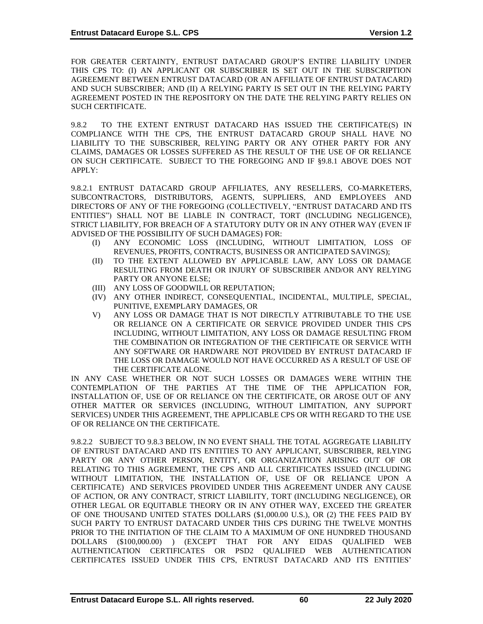FOR GREATER CERTAINTY, ENTRUST DATACARD GROUP'S ENTIRE LIABILITY UNDER THIS CPS TO: (I) AN APPLICANT OR SUBSCRIBER IS SET OUT IN THE SUBSCRIPTION AGREEMENT BETWEEN ENTRUST DATACARD (OR AN AFFILIATE OF ENTRUST DATACARD) AND SUCH SUBSCRIBER; AND (II) A RELYING PARTY IS SET OUT IN THE RELYING PARTY AGREEMENT POSTED IN THE REPOSITORY ON THE DATE THE RELYING PARTY RELIES ON SUCH CERTIFICATE.

9.8.2 TO THE EXTENT ENTRUST DATACARD HAS ISSUED THE CERTIFICATE(S) IN COMPLIANCE WITH THE CPS, THE ENTRUST DATACARD GROUP SHALL HAVE NO LIABILITY TO THE SUBSCRIBER, RELYING PARTY OR ANY OTHER PARTY FOR ANY CLAIMS, DAMAGES OR LOSSES SUFFERED AS THE RESULT OF THE USE OF OR RELIANCE ON SUCH CERTIFICATE. SUBJECT TO THE FOREGOING AND IF §9.8.1 ABOVE DOES NOT APPLY:

9.8.2.1 ENTRUST DATACARD GROUP AFFILIATES, ANY RESELLERS, CO-MARKETERS, SUBCONTRACTORS, DISTRIBUTORS, AGENTS, SUPPLIERS, AND EMPLOYEES AND DIRECTORS OF ANY OF THE FOREGOING (COLLECTIVELY, "ENTRUST DATACARD AND ITS ENTITIES") SHALL NOT BE LIABLE IN CONTRACT, TORT (INCLUDING NEGLIGENCE), STRICT LIABILITY, FOR BREACH OF A STATUTORY DUTY OR IN ANY OTHER WAY (EVEN IF ADVISED OF THE POSSIBILITY OF SUCH DAMAGES) FOR:

- (I) ANY ECONOMIC LOSS (INCLUDING, WITHOUT LIMITATION, LOSS OF REVENUES, PROFITS, CONTRACTS, BUSINESS OR ANTICIPATED SAVINGS);
- (II) TO THE EXTENT ALLOWED BY APPLICABLE LAW, ANY LOSS OR DAMAGE RESULTING FROM DEATH OR INJURY OF SUBSCRIBER AND/OR ANY RELYING PARTY OR ANYONE ELSE;
- (III) ANY LOSS OF GOODWILL OR REPUTATION;
- (IV) ANY OTHER INDIRECT, CONSEQUENTIAL, INCIDENTAL, MULTIPLE, SPECIAL, PUNITIVE, EXEMPLARY DAMAGES, OR
- V) ANY LOSS OR DAMAGE THAT IS NOT DIRECTLY ATTRIBUTABLE TO THE USE OR RELIANCE ON A CERTIFICATE OR SERVICE PROVIDED UNDER THIS CPS INCLUDING, WITHOUT LIMITATION, ANY LOSS OR DAMAGE RESULTING FROM THE COMBINATION OR INTEGRATION OF THE CERTIFICATE OR SERVICE WITH ANY SOFTWARE OR HARDWARE NOT PROVIDED BY ENTRUST DATACARD IF THE LOSS OR DAMAGE WOULD NOT HAVE OCCURRED AS A RESULT OF USE OF THE CERTIFICATE ALONE.

IN ANY CASE WHETHER OR NOT SUCH LOSSES OR DAMAGES WERE WITHIN THE CONTEMPLATION OF THE PARTIES AT THE TIME OF THE APPLICATION FOR, INSTALLATION OF, USE OF OR RELIANCE ON THE CERTIFICATE, OR AROSE OUT OF ANY OTHER MATTER OR SERVICES (INCLUDING, WITHOUT LIMITATION, ANY SUPPORT SERVICES) UNDER THIS AGREEMENT, THE APPLICABLE CPS OR WITH REGARD TO THE USE OF OR RELIANCE ON THE CERTIFICATE.

9.8.2.2 SUBJECT TO 9.8.3 BELOW, IN NO EVENT SHALL THE TOTAL AGGREGATE LIABILITY OF ENTRUST DATACARD AND ITS ENTITIES TO ANY APPLICANT, SUBSCRIBER, RELYING PARTY OR ANY OTHER PERSON, ENTITY, OR ORGANIZATION ARISING OUT OF OR RELATING TO THIS AGREEMENT, THE CPS AND ALL CERTIFICATES ISSUED (INCLUDING WITHOUT LIMITATION, THE INSTALLATION OF, USE OF OR RELIANCE UPON A CERTIFICATE) AND SERVICES PROVIDED UNDER THIS AGREEMENT UNDER ANY CAUSE OF ACTION, OR ANY CONTRACT, STRICT LIABILITY, TORT (INCLUDING NEGLIGENCE), OR OTHER LEGAL OR EQUITABLE THEORY OR IN ANY OTHER WAY, EXCEED THE GREATER OF ONE THOUSAND UNITED STATES DOLLARS (\$1,000.00 U.S.), OR (2) THE FEES PAID BY SUCH PARTY TO ENTRUST DATACARD UNDER THIS CPS DURING THE TWELVE MONTHS PRIOR TO THE INITIATION OF THE CLAIM TO A MAXIMUM OF ONE HUNDRED THOUSAND DOLLARS (\$100,000.00) ) (EXCEPT THAT FOR ANY EIDAS QUALIFIED WEB AUTHENTICATION CERTIFICATES OR PSD2 QUALIFIED WEB AUTHENTICATION CERTIFICATES ISSUED UNDER THIS CPS, ENTRUST DATACARD AND ITS ENTITIES'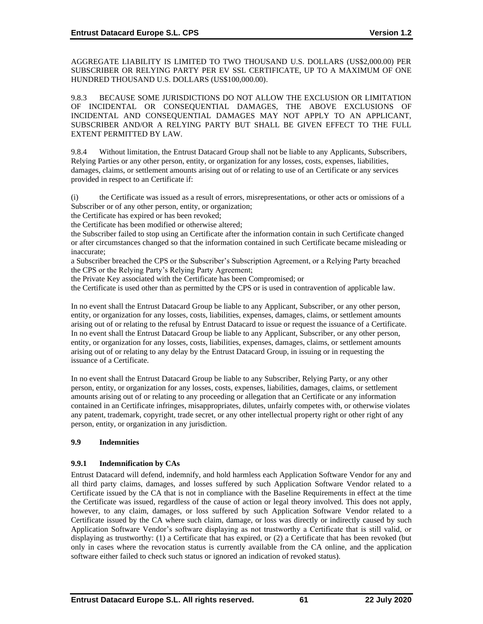AGGREGATE LIABILITY IS LIMITED TO TWO THOUSAND U.S. DOLLARS (US\$2,000.00) PER SUBSCRIBER OR RELYING PARTY PER EV SSL CERTIFICATE, UP TO A MAXIMUM OF ONE HUNDRED THOUSAND U.S. DOLLARS (US\$100,000.00).

9.8.3 BECAUSE SOME JURISDICTIONS DO NOT ALLOW THE EXCLUSION OR LIMITATION OF INCIDENTAL OR CONSEQUENTIAL DAMAGES, THE ABOVE EXCLUSIONS OF INCIDENTAL AND CONSEQUENTIAL DAMAGES MAY NOT APPLY TO AN APPLICANT, SUBSCRIBER AND/OR A RELYING PARTY BUT SHALL BE GIVEN EFFECT TO THE FULL EXTENT PERMITTED BY LAW.

9.8.4 Without limitation, the Entrust Datacard Group shall not be liable to any Applicants, Subscribers, Relying Parties or any other person, entity, or organization for any losses, costs, expenses, liabilities, damages, claims, or settlement amounts arising out of or relating to use of an Certificate or any services provided in respect to an Certificate if:

(i) the Certificate was issued as a result of errors, misrepresentations, or other acts or omissions of a Subscriber or of any other person, entity, or organization;

the Certificate has expired or has been revoked;

the Certificate has been modified or otherwise altered;

the Subscriber failed to stop using an Certificate after the information contain in such Certificate changed or after circumstances changed so that the information contained in such Certificate became misleading or inaccurate;

a Subscriber breached the CPS or the Subscriber's Subscription Agreement, or a Relying Party breached the CPS or the Relying Party's Relying Party Agreement;

the Private Key associated with the Certificate has been Compromised; or

the Certificate is used other than as permitted by the CPS or is used in contravention of applicable law.

In no event shall the Entrust Datacard Group be liable to any Applicant, Subscriber, or any other person, entity, or organization for any losses, costs, liabilities, expenses, damages, claims, or settlement amounts arising out of or relating to the refusal by Entrust Datacard to issue or request the issuance of a Certificate. In no event shall the Entrust Datacard Group be liable to any Applicant, Subscriber, or any other person, entity, or organization for any losses, costs, liabilities, expenses, damages, claims, or settlement amounts arising out of or relating to any delay by the Entrust Datacard Group, in issuing or in requesting the issuance of a Certificate.

In no event shall the Entrust Datacard Group be liable to any Subscriber, Relying Party, or any other person, entity, or organization for any losses, costs, expenses, liabilities, damages, claims, or settlement amounts arising out of or relating to any proceeding or allegation that an Certificate or any information contained in an Certificate infringes, misappropriates, dilutes, unfairly competes with, or otherwise violates any patent, trademark, copyright, trade secret, or any other intellectual property right or other right of any person, entity, or organization in any jurisdiction.

## **9.9 Indemnities**

## **9.9.1 Indemnification by CAs**

Entrust Datacard will defend, indemnify, and hold harmless each Application Software Vendor for any and all third party claims, damages, and losses suffered by such Application Software Vendor related to a Certificate issued by the CA that is not in compliance with the Baseline Requirements in effect at the time the Certificate was issued, regardless of the cause of action or legal theory involved. This does not apply, however, to any claim, damages, or loss suffered by such Application Software Vendor related to a Certificate issued by the CA where such claim, damage, or loss was directly or indirectly caused by such Application Software Vendor's software displaying as not trustworthy a Certificate that is still valid, or displaying as trustworthy: (1) a Certificate that has expired, or (2) a Certificate that has been revoked (but only in cases where the revocation status is currently available from the CA online, and the application software either failed to check such status or ignored an indication of revoked status).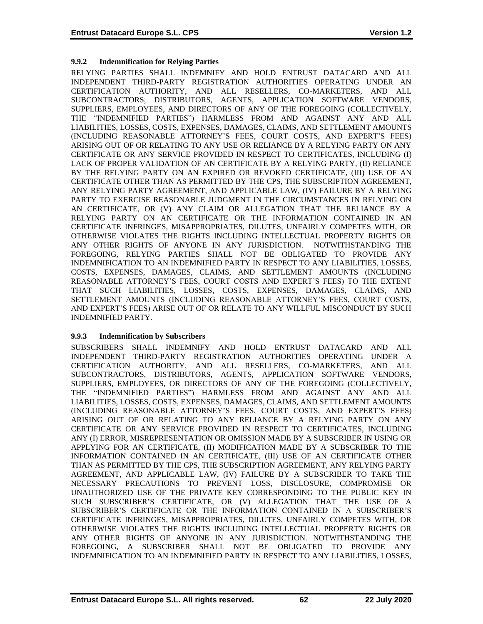## **9.9.2 Indemnification for Relying Parties**

RELYING PARTIES SHALL INDEMNIFY AND HOLD ENTRUST DATACARD AND ALL INDEPENDENT THIRD-PARTY REGISTRATION AUTHORITIES OPERATING UNDER AN CERTIFICATION AUTHORITY, AND ALL RESELLERS, CO-MARKETERS, AND ALL SUBCONTRACTORS, DISTRIBUTORS, AGENTS, APPLICATION SOFTWARE VENDORS, SUPPLIERS, EMPLOYEES, AND DIRECTORS OF ANY OF THE FOREGOING (COLLECTIVELY, THE "INDEMNIFIED PARTIES") HARMLESS FROM AND AGAINST ANY AND ALL LIABILITIES, LOSSES, COSTS, EXPENSES, DAMAGES, CLAIMS, AND SETTLEMENT AMOUNTS (INCLUDING REASONABLE ATTORNEY'S FEES, COURT COSTS, AND EXPERT'S FEES) ARISING OUT OF OR RELATING TO ANY USE OR RELIANCE BY A RELYING PARTY ON ANY CERTIFICATE OR ANY SERVICE PROVIDED IN RESPECT TO CERTIFICATES, INCLUDING (I) LACK OF PROPER VALIDATION OF AN CERTIFICATE BY A RELYING PARTY, (II) RELIANCE BY THE RELYING PARTY ON AN EXPIRED OR REVOKED CERTIFICATE, (III) USE OF AN CERTIFICATE OTHER THAN AS PERMITTED BY THE CPS, THE SUBSCRIPTION AGREEMENT, ANY RELYING PARTY AGREEMENT, AND APPLICABLE LAW, (IV) FAILURE BY A RELYING PARTY TO EXERCISE REASONABLE JUDGMENT IN THE CIRCUMSTANCES IN RELYING ON AN CERTIFICATE, OR (V) ANY CLAIM OR ALLEGATION THAT THE RELIANCE BY A RELYING PARTY ON AN CERTIFICATE OR THE INFORMATION CONTAINED IN AN CERTIFICATE INFRINGES, MISAPPROPRIATES, DILUTES, UNFAIRLY COMPETES WITH, OR OTHERWISE VIOLATES THE RIGHTS INCLUDING INTELLECTUAL PROPERTY RIGHTS OR ANY OTHER RIGHTS OF ANYONE IN ANY JURISDICTION. NOTWITHSTANDING THE FOREGOING, RELYING PARTIES SHALL NOT BE OBLIGATED TO PROVIDE ANY INDEMNIFICATION TO AN INDEMNIFIED PARTY IN RESPECT TO ANY LIABILITIES, LOSSES, COSTS, EXPENSES, DAMAGES, CLAIMS, AND SETTLEMENT AMOUNTS (INCLUDING REASONABLE ATTORNEY'S FEES, COURT COSTS AND EXPERT'S FEES) TO THE EXTENT THAT SUCH LIABILITIES, LOSSES, COSTS, EXPENSES, DAMAGES, CLAIMS, AND SETTLEMENT AMOUNTS (INCLUDING REASONABLE ATTORNEY'S FEES, COURT COSTS, AND EXPERT'S FEES) ARISE OUT OF OR RELATE TO ANY WILLFUL MISCONDUCT BY SUCH INDEMNIFIED PARTY.

#### **9.9.3 Indemnification by Subscribers**

SUBSCRIBERS SHALL INDEMNIFY AND HOLD ENTRUST DATACARD AND ALL INDEPENDENT THIRD-PARTY REGISTRATION AUTHORITIES OPERATING UNDER A CERTIFICATION AUTHORITY, AND ALL RESELLERS, CO-MARKETERS, AND ALL SUBCONTRACTORS, DISTRIBUTORS, AGENTS, APPLICATION SOFTWARE VENDORS, SUPPLIERS, EMPLOYEES, OR DIRECTORS OF ANY OF THE FOREGOING (COLLECTIVELY, THE "INDEMNIFIED PARTIES") HARMLESS FROM AND AGAINST ANY AND ALL LIABILITIES, LOSSES, COSTS, EXPENSES, DAMAGES, CLAIMS, AND SETTLEMENT AMOUNTS (INCLUDING REASONABLE ATTORNEY'S FEES, COURT COSTS, AND EXPERT'S FEES) ARISING OUT OF OR RELATING TO ANY RELIANCE BY A RELYING PARTY ON ANY CERTIFICATE OR ANY SERVICE PROVIDED IN RESPECT TO CERTIFICATES, INCLUDING ANY (I) ERROR, MISREPRESENTATION OR OMISSION MADE BY A SUBSCRIBER IN USING OR APPLYING FOR AN CERTIFICATE, (II) MODIFICATION MADE BY A SUBSCRIBER TO THE INFORMATION CONTAINED IN AN CERTIFICATE, (III) USE OF AN CERTIFICATE OTHER THAN AS PERMITTED BY THE CPS, THE SUBSCRIPTION AGREEMENT, ANY RELYING PARTY AGREEMENT, AND APPLICABLE LAW, (IV) FAILURE BY A SUBSCRIBER TO TAKE THE NECESSARY PRECAUTIONS TO PREVENT LOSS, DISCLOSURE, COMPROMISE OR UNAUTHORIZED USE OF THE PRIVATE KEY CORRESPONDING TO THE PUBLIC KEY IN SUCH SUBSCRIBER'S CERTIFICATE, OR (V) ALLEGATION THAT THE USE OF A SUBSCRIBER'S CERTIFICATE OR THE INFORMATION CONTAINED IN A SUBSCRIBER'S CERTIFICATE INFRINGES, MISAPPROPRIATES, DILUTES, UNFAIRLY COMPETES WITH, OR OTHERWISE VIOLATES THE RIGHTS INCLUDING INTELLECTUAL PROPERTY RIGHTS OR ANY OTHER RIGHTS OF ANYONE IN ANY JURISDICTION. NOTWITHSTANDING THE FOREGOING, A SUBSCRIBER SHALL NOT BE OBLIGATED TO PROVIDE ANY INDEMNIFICATION TO AN INDEMNIFIED PARTY IN RESPECT TO ANY LIABILITIES, LOSSES,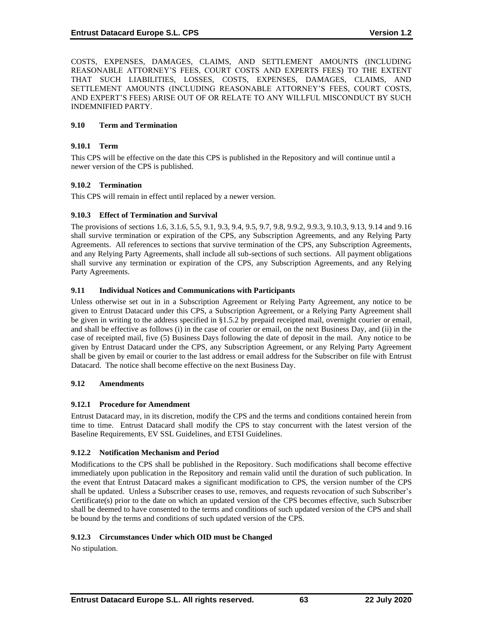COSTS, EXPENSES, DAMAGES, CLAIMS, AND SETTLEMENT AMOUNTS (INCLUDING REASONABLE ATTORNEY'S FEES, COURT COSTS AND EXPERTS FEES) TO THE EXTENT THAT SUCH LIABILITIES, LOSSES, COSTS, EXPENSES, DAMAGES, CLAIMS, AND SETTLEMENT AMOUNTS (INCLUDING REASONABLE ATTORNEY'S FEES, COURT COSTS, AND EXPERT'S FEES) ARISE OUT OF OR RELATE TO ANY WILLFUL MISCONDUCT BY SUCH INDEMNIFIED PARTY.

## **9.10 Term and Termination**

## **9.10.1 Term**

This CPS will be effective on the date this CPS is published in the Repository and will continue until a newer version of the CPS is published.

### **9.10.2 Termination**

This CPS will remain in effect until replaced by a newer version.

### **9.10.3 Effect of Termination and Survival**

The provisions of sections 1.6, 3.1.6, 5.5, 9.1, 9.3, 9.4, 9.5, 9.7, 9.8, 9.9.2, 9.9.3, 9.10.3, 9.13, 9.14 and 9.16 shall survive termination or expiration of the CPS, any Subscription Agreements, and any Relying Party Agreements. All references to sections that survive termination of the CPS, any Subscription Agreements, and any Relying Party Agreements, shall include all sub-sections of such sections. All payment obligations shall survive any termination or expiration of the CPS, any Subscription Agreements, and any Relying Party Agreements.

## **9.11 Individual Notices and Communications with Participants**

Unless otherwise set out in in a Subscription Agreement or Relying Party Agreement, any notice to be given to Entrust Datacard under this CPS, a Subscription Agreement, or a Relying Party Agreement shall be given in writing to the address specified in §1.5.2 by prepaid receipted mail, overnight courier or email, and shall be effective as follows (i) in the case of courier or email, on the next Business Day, and (ii) in the case of receipted mail, five (5) Business Days following the date of deposit in the mail. Any notice to be given by Entrust Datacard under the CPS, any Subscription Agreement, or any Relying Party Agreement shall be given by email or courier to the last address or email address for the Subscriber on file with Entrust Datacard. The notice shall become effective on the next Business Day.

## **9.12 Amendments**

## **9.12.1 Procedure for Amendment**

Entrust Datacard may, in its discretion, modify the CPS and the terms and conditions contained herein from time to time. Entrust Datacard shall modify the CPS to stay concurrent with the latest version of the Baseline Requirements, EV SSL Guidelines, and ETSI Guidelines.

## **9.12.2 Notification Mechanism and Period**

Modifications to the CPS shall be published in the Repository. Such modifications shall become effective immediately upon publication in the Repository and remain valid until the duration of such publication. In the event that Entrust Datacard makes a significant modification to CPS, the version number of the CPS shall be updated. Unless a Subscriber ceases to use, removes, and requests revocation of such Subscriber's Certificate(s) prior to the date on which an updated version of the CPS becomes effective, such Subscriber shall be deemed to have consented to the terms and conditions of such updated version of the CPS and shall be bound by the terms and conditions of such updated version of the CPS.

## **9.12.3 Circumstances Under which OID must be Changed**

No stipulation.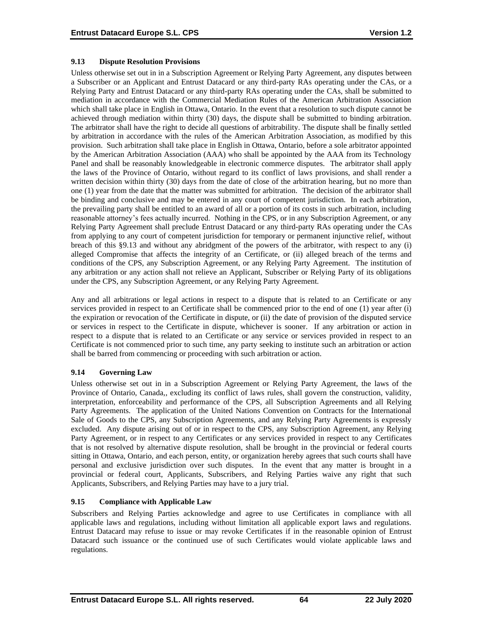### **9.13 Dispute Resolution Provisions**

Unless otherwise set out in in a Subscription Agreement or Relying Party Agreement, any disputes between a Subscriber or an Applicant and Entrust Datacard or any third-party RAs operating under the CAs, or a Relying Party and Entrust Datacard or any third-party RAs operating under the CAs, shall be submitted to mediation in accordance with the Commercial Mediation Rules of the American Arbitration Association which shall take place in English in Ottawa, Ontario. In the event that a resolution to such dispute cannot be achieved through mediation within thirty (30) days, the dispute shall be submitted to binding arbitration. The arbitrator shall have the right to decide all questions of arbitrability. The dispute shall be finally settled by arbitration in accordance with the rules of the American Arbitration Association, as modified by this provision. Such arbitration shall take place in English in Ottawa, Ontario, before a sole arbitrator appointed by the American Arbitration Association (AAA) who shall be appointed by the AAA from its Technology Panel and shall be reasonably knowledgeable in electronic commerce disputes. The arbitrator shall apply the laws of the Province of Ontario, without regard to its conflict of laws provisions, and shall render a written decision within thirty (30) days from the date of close of the arbitration hearing, but no more than one (1) year from the date that the matter was submitted for arbitration. The decision of the arbitrator shall be binding and conclusive and may be entered in any court of competent jurisdiction. In each arbitration, the prevailing party shall be entitled to an award of all or a portion of its costs in such arbitration, including reasonable attorney's fees actually incurred. Nothing in the CPS, or in any Subscription Agreement, or any Relying Party Agreement shall preclude Entrust Datacard or any third-party RAs operating under the CAs from applying to any court of competent jurisdiction for temporary or permanent injunctive relief, without breach of this §9.13 and without any abridgment of the powers of the arbitrator, with respect to any (i) alleged Compromise that affects the integrity of an Certificate, or (ii) alleged breach of the terms and conditions of the CPS, any Subscription Agreement, or any Relying Party Agreement. The institution of any arbitration or any action shall not relieve an Applicant, Subscriber or Relying Party of its obligations under the CPS, any Subscription Agreement, or any Relying Party Agreement.

Any and all arbitrations or legal actions in respect to a dispute that is related to an Certificate or any services provided in respect to an Certificate shall be commenced prior to the end of one (1) year after (i) the expiration or revocation of the Certificate in dispute, or (ii) the date of provision of the disputed service or services in respect to the Certificate in dispute, whichever is sooner. If any arbitration or action in respect to a dispute that is related to an Certificate or any service or services provided in respect to an Certificate is not commenced prior to such time, any party seeking to institute such an arbitration or action shall be barred from commencing or proceeding with such arbitration or action.

## **9.14 Governing Law**

Unless otherwise set out in in a Subscription Agreement or Relying Party Agreement, the laws of the Province of Ontario, Canada,, excluding its conflict of laws rules, shall govern the construction, validity, interpretation, enforceability and performance of the CPS, all Subscription Agreements and all Relying Party Agreements. The application of the United Nations Convention on Contracts for the International Sale of Goods to the CPS, any Subscription Agreements, and any Relying Party Agreements is expressly excluded. Any dispute arising out of or in respect to the CPS, any Subscription Agreement, any Relying Party Agreement, or in respect to any Certificates or any services provided in respect to any Certificates that is not resolved by alternative dispute resolution, shall be brought in the provincial or federal courts sitting in Ottawa, Ontario, and each person, entity, or organization hereby agrees that such courts shall have personal and exclusive jurisdiction over such disputes. In the event that any matter is brought in a provincial or federal court, Applicants, Subscribers, and Relying Parties waive any right that such Applicants, Subscribers, and Relying Parties may have to a jury trial.

## **9.15 Compliance with Applicable Law**

Subscribers and Relying Parties acknowledge and agree to use Certificates in compliance with all applicable laws and regulations, including without limitation all applicable export laws and regulations. Entrust Datacard may refuse to issue or may revoke Certificates if in the reasonable opinion of Entrust Datacard such issuance or the continued use of such Certificates would violate applicable laws and regulations.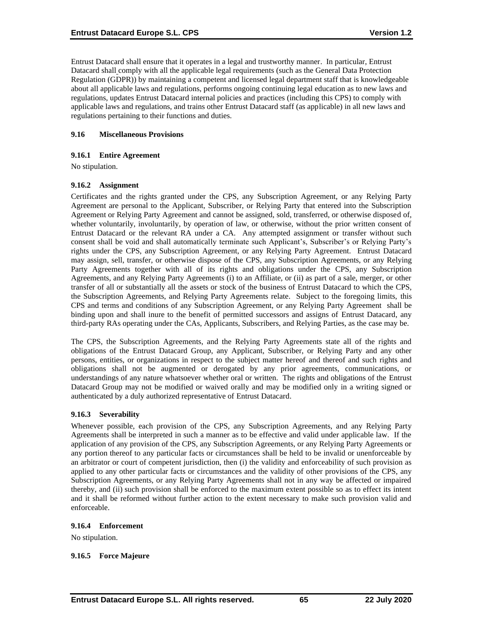Entrust Datacard shall ensure that it operates in a legal and trustworthy manner. In particular, Entrust Datacard shall comply with all the applicable legal requirements (such as the General Data Protection Regulation (GDPR)) by maintaining a competent and licensed legal department staff that is knowledgeable about all applicable laws and regulations, performs ongoing continuing legal education as to new laws and regulations, updates Entrust Datacard internal policies and practices (including this CPS) to comply with applicable laws and regulations, and trains other Entrust Datacard staff (as applicable) in all new laws and regulations pertaining to their functions and duties.

### **9.16 Miscellaneous Provisions**

#### **9.16.1 Entire Agreement**

No stipulation.

#### **9.16.2 Assignment**

Certificates and the rights granted under the CPS, any Subscription Agreement, or any Relying Party Agreement are personal to the Applicant, Subscriber, or Relying Party that entered into the Subscription Agreement or Relying Party Agreement and cannot be assigned, sold, transferred, or otherwise disposed of, whether voluntarily, involuntarily, by operation of law, or otherwise, without the prior written consent of Entrust Datacard or the relevant RA under a CA. Any attempted assignment or transfer without such consent shall be void and shall automatically terminate such Applicant's, Subscriber's or Relying Party's rights under the CPS, any Subscription Agreement, or any Relying Party Agreement. Entrust Datacard may assign, sell, transfer, or otherwise dispose of the CPS, any Subscription Agreements, or any Relying Party Agreements together with all of its rights and obligations under the CPS, any Subscription Agreements, and any Relying Party Agreements (i) to an Affiliate, or (ii) as part of a sale, merger, or other transfer of all or substantially all the assets or stock of the business of Entrust Datacard to which the CPS, the Subscription Agreements, and Relying Party Agreements relate. Subject to the foregoing limits, this CPS and terms and conditions of any Subscription Agreement, or any Relying Party Agreement shall be binding upon and shall inure to the benefit of permitted successors and assigns of Entrust Datacard, any third-party RAs operating under the CAs, Applicants, Subscribers, and Relying Parties, as the case may be.

The CPS, the Subscription Agreements, and the Relying Party Agreements state all of the rights and obligations of the Entrust Datacard Group, any Applicant, Subscriber, or Relying Party and any other persons, entities, or organizations in respect to the subject matter hereof and thereof and such rights and obligations shall not be augmented or derogated by any prior agreements, communications, or understandings of any nature whatsoever whether oral or written. The rights and obligations of the Entrust Datacard Group may not be modified or waived orally and may be modified only in a writing signed or authenticated by a duly authorized representative of Entrust Datacard.

#### **9.16.3 Severability**

Whenever possible, each provision of the CPS, any Subscription Agreements, and any Relying Party Agreements shall be interpreted in such a manner as to be effective and valid under applicable law. If the application of any provision of the CPS, any Subscription Agreements, or any Relying Party Agreements or any portion thereof to any particular facts or circumstances shall be held to be invalid or unenforceable by an arbitrator or court of competent jurisdiction, then (i) the validity and enforceability of such provision as applied to any other particular facts or circumstances and the validity of other provisions of the CPS, any Subscription Agreements, or any Relying Party Agreements shall not in any way be affected or impaired thereby, and (ii) such provision shall be enforced to the maximum extent possible so as to effect its intent and it shall be reformed without further action to the extent necessary to make such provision valid and enforceable.

#### **9.16.4 Enforcement**

No stipulation.

#### **9.16.5 Force Majeure**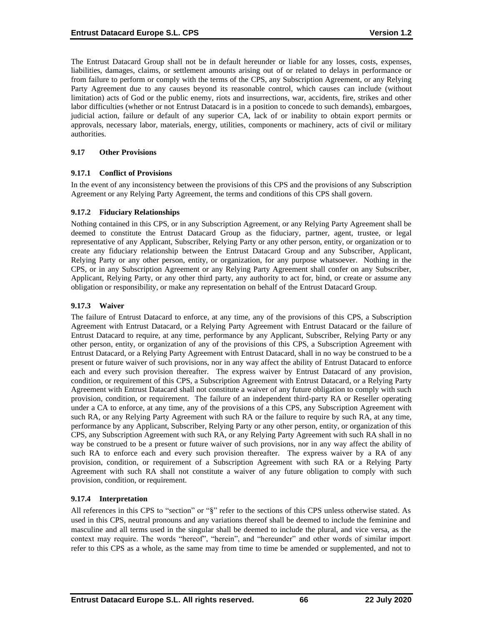The Entrust Datacard Group shall not be in default hereunder or liable for any losses, costs, expenses, liabilities, damages, claims, or settlement amounts arising out of or related to delays in performance or from failure to perform or comply with the terms of the CPS, any Subscription Agreement, or any Relying Party Agreement due to any causes beyond its reasonable control, which causes can include (without limitation) acts of God or the public enemy, riots and insurrections, war, accidents, fire, strikes and other labor difficulties (whether or not Entrust Datacard is in a position to concede to such demands), embargoes, judicial action, failure or default of any superior CA, lack of or inability to obtain export permits or approvals, necessary labor, materials, energy, utilities, components or machinery, acts of civil or military authorities.

### **9.17 Other Provisions**

#### **9.17.1 Conflict of Provisions**

In the event of any inconsistency between the provisions of this CPS and the provisions of any Subscription Agreement or any Relying Party Agreement, the terms and conditions of this CPS shall govern.

#### **9.17.2 Fiduciary Relationships**

Nothing contained in this CPS, or in any Subscription Agreement, or any Relying Party Agreement shall be deemed to constitute the Entrust Datacard Group as the fiduciary, partner, agent, trustee, or legal representative of any Applicant, Subscriber, Relying Party or any other person, entity, or organization or to create any fiduciary relationship between the Entrust Datacard Group and any Subscriber, Applicant, Relying Party or any other person, entity, or organization, for any purpose whatsoever. Nothing in the CPS, or in any Subscription Agreement or any Relying Party Agreement shall confer on any Subscriber, Applicant, Relying Party, or any other third party, any authority to act for, bind, or create or assume any obligation or responsibility, or make any representation on behalf of the Entrust Datacard Group.

#### **9.17.3 Waiver**

The failure of Entrust Datacard to enforce, at any time, any of the provisions of this CPS, a Subscription Agreement with Entrust Datacard, or a Relying Party Agreement with Entrust Datacard or the failure of Entrust Datacard to require, at any time, performance by any Applicant, Subscriber, Relying Party or any other person, entity, or organization of any of the provisions of this CPS, a Subscription Agreement with Entrust Datacard, or a Relying Party Agreement with Entrust Datacard, shall in no way be construed to be a present or future waiver of such provisions, nor in any way affect the ability of Entrust Datacard to enforce each and every such provision thereafter. The express waiver by Entrust Datacard of any provision, condition, or requirement of this CPS, a Subscription Agreement with Entrust Datacard, or a Relying Party Agreement with Entrust Datacard shall not constitute a waiver of any future obligation to comply with such provision, condition, or requirement. The failure of an independent third-party RA or Reseller operating under a CA to enforce, at any time, any of the provisions of a this CPS, any Subscription Agreement with such RA, or any Relying Party Agreement with such RA or the failure to require by such RA, at any time, performance by any Applicant, Subscriber, Relying Party or any other person, entity, or organization of this CPS, any Subscription Agreement with such RA, or any Relying Party Agreement with such RA shall in no way be construed to be a present or future waiver of such provisions, nor in any way affect the ability of such RA to enforce each and every such provision thereafter. The express waiver by a RA of any provision, condition, or requirement of a Subscription Agreement with such RA or a Relying Party Agreement with such RA shall not constitute a waiver of any future obligation to comply with such provision, condition, or requirement.

#### **9.17.4 Interpretation**

All references in this CPS to "section" or "§" refer to the sections of this CPS unless otherwise stated. As used in this CPS, neutral pronouns and any variations thereof shall be deemed to include the feminine and masculine and all terms used in the singular shall be deemed to include the plural, and vice versa, as the context may require. The words "hereof", "herein", and "hereunder" and other words of similar import refer to this CPS as a whole, as the same may from time to time be amended or supplemented, and not to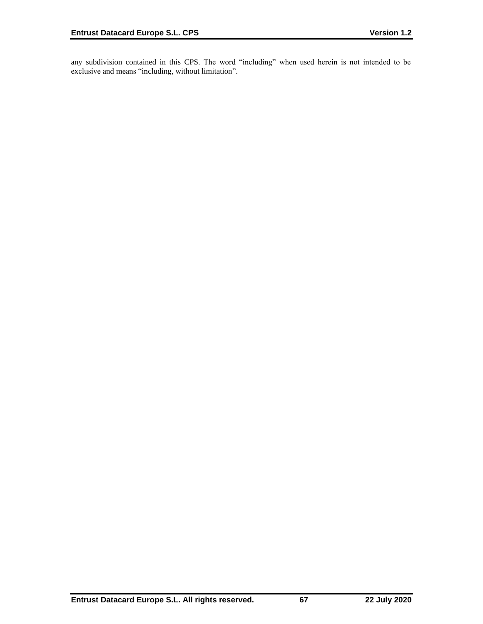any subdivision contained in this CPS. The word "including" when used herein is not intended to be exclusive and means "including, without limitation".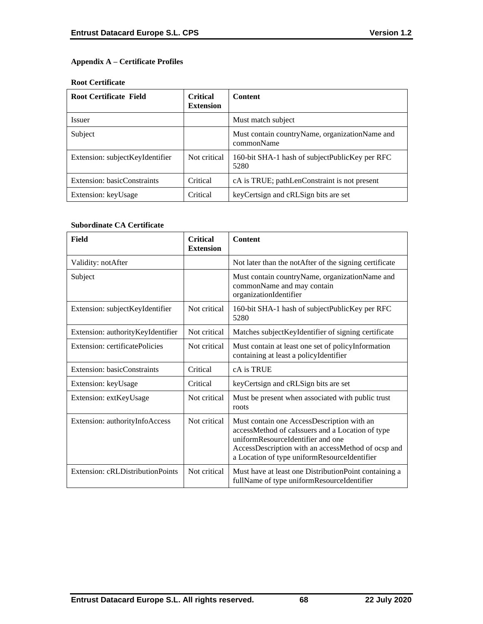# **Appendix A – Certificate Profiles**

### **Root Certificate**

| <b>Root Certificate Field</b>   | <b>Critical</b><br><b>Extension</b> | <b>Content</b>                                                 |
|---------------------------------|-------------------------------------|----------------------------------------------------------------|
| <i>Issuer</i>                   |                                     | Must match subject                                             |
| Subject                         |                                     | Must contain country Name, organization Name and<br>commonName |
| Extension: subjectKeyIdentifier | Not critical                        | 160-bit SHA-1 hash of subjectPublicKey per RFC<br>5280         |
| Extension: basicConstraints     | Critical                            | cA is TRUE; pathLenConstraint is not present                   |
| Extension: keyUsage             | Critical                            | key Certsign and cRLSign bits are set                          |

### **Subordinate CA Certificate**

| Field                             | <b>Critical</b><br><b>Extension</b> | <b>Content</b>                                                                                                                                                                                                                            |
|-----------------------------------|-------------------------------------|-------------------------------------------------------------------------------------------------------------------------------------------------------------------------------------------------------------------------------------------|
| Validity: notAfter                |                                     | Not later than the notAfter of the signing certificate                                                                                                                                                                                    |
| Subject                           |                                     | Must contain countryName, organizationName and<br>commonName and may contain<br>organizationIdentifier                                                                                                                                    |
| Extension: subjectKeyIdentifier   | Not critical                        | 160-bit SHA-1 hash of subjectPublicKey per RFC<br>5280                                                                                                                                                                                    |
| Extension: authorityKeyIdentifier | Not critical                        | Matches subject KeyIdentifier of signing certificate                                                                                                                                                                                      |
| Extension: certificatePolicies    | Not critical                        | Must contain at least one set of policyInformation<br>containing at least a policyIdentifier                                                                                                                                              |
| Extension: basicConstraints       | Critical                            | cA is TRUE                                                                                                                                                                                                                                |
| Extension: keyUsage               | Critical                            | keyCertsign and cRLSign bits are set                                                                                                                                                                                                      |
| Extension: extKeyUsage            | Not critical                        | Must be present when associated with public trust<br>roots                                                                                                                                                                                |
| Extension: authorityInfoAccess    | Not critical                        | Must contain one AccessDescription with an<br>accessMethod of caIssuers and a Location of type<br>uniformResourceIdentifier and one<br>AccessDescription with an accessMethod of ocsp and<br>a Location of type uniformResourceIdentifier |
| Extension: cRLDistributionPoints  | Not critical                        | Must have at least one DistributionPoint containing a<br>fullName of type uniformResourceIdentifier                                                                                                                                       |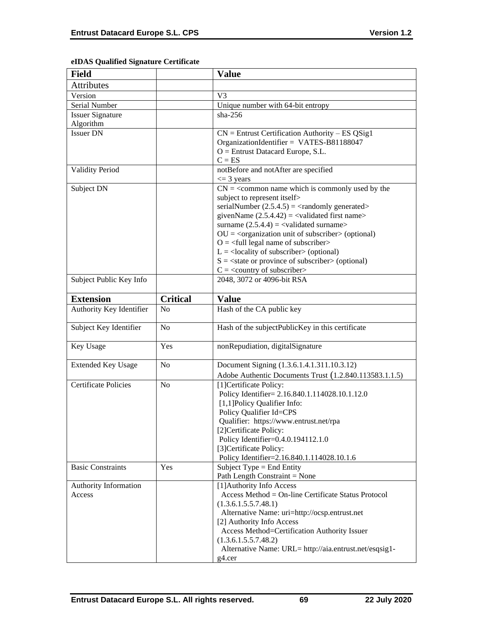# **eIDAS Qualified Signature Certificate**

| <b>Field</b>                    |                 | <b>Value</b>                                                                                                                                                                                                                                                                                                                                                                                                                                                                                                                                                          |
|---------------------------------|-----------------|-----------------------------------------------------------------------------------------------------------------------------------------------------------------------------------------------------------------------------------------------------------------------------------------------------------------------------------------------------------------------------------------------------------------------------------------------------------------------------------------------------------------------------------------------------------------------|
| <b>Attributes</b>               |                 |                                                                                                                                                                                                                                                                                                                                                                                                                                                                                                                                                                       |
| Version                         |                 | V <sub>3</sub>                                                                                                                                                                                                                                                                                                                                                                                                                                                                                                                                                        |
| Serial Number                   |                 | Unique number with 64-bit entropy                                                                                                                                                                                                                                                                                                                                                                                                                                                                                                                                     |
| <b>Issuer Signature</b>         |                 | $sha-256$                                                                                                                                                                                                                                                                                                                                                                                                                                                                                                                                                             |
| Algorithm                       |                 |                                                                                                                                                                                                                                                                                                                                                                                                                                                                                                                                                                       |
| <b>Issuer DN</b>                |                 | $CN =$ Entrust Certification Authority – ES QSig1<br>OrganizationIdentifier = VATES-B81188047<br>$O =$ Entrust Datacard Europe, S.L.<br>$C = ES$                                                                                                                                                                                                                                                                                                                                                                                                                      |
| <b>Validity Period</b>          |                 | notBefore and notAfter are specified<br>$\leq$ 3 years                                                                                                                                                                                                                                                                                                                                                                                                                                                                                                                |
| Subject DN                      |                 | $CN =$ < common name which is commonly used by the<br>subject to represent itself><br>serialNumber $(2.5.4.5) = \langle$ randomly generated><br>givenName $(2.5.4.42) = \langle$ validated first name><br>surname $(2.5.4.4) = \text{{{-}zalidated surname}}$<br>$OU = corganization unit of subscripter > (optional)$<br>$O = \frac{1}{2}$ legal name of subscriber<br>$L =$ <locality of="" subscriber=""> (optional)<br/><math>S = \text{state}</math> or province of subscriber &gt; (optional)<br/><math>C = \langle</math> country of subscriber&gt;</locality> |
| Subject Public Key Info         |                 | 2048, 3072 or 4096-bit RSA                                                                                                                                                                                                                                                                                                                                                                                                                                                                                                                                            |
| <b>Extension</b>                | <b>Critical</b> | <b>Value</b>                                                                                                                                                                                                                                                                                                                                                                                                                                                                                                                                                          |
| Authority Key Identifier        | N <sub>0</sub>  | Hash of the CA public key                                                                                                                                                                                                                                                                                                                                                                                                                                                                                                                                             |
|                                 |                 |                                                                                                                                                                                                                                                                                                                                                                                                                                                                                                                                                                       |
| Subject Key Identifier          | N <sub>o</sub>  | Hash of the subjectPublicKey in this certificate                                                                                                                                                                                                                                                                                                                                                                                                                                                                                                                      |
| Key Usage                       | Yes             | nonRepudiation, digitalSignature                                                                                                                                                                                                                                                                                                                                                                                                                                                                                                                                      |
| <b>Extended Key Usage</b>       | N <sub>o</sub>  | Document Signing (1.3.6.1.4.1.311.10.3.12)<br>Adobe Authentic Documents Trust (1.2.840.113583.1.1.5)                                                                                                                                                                                                                                                                                                                                                                                                                                                                  |
| <b>Certificate Policies</b>     | N <sub>o</sub>  | [1] Certificate Policy:<br>Policy Identifier= 2.16.840.1.114028.10.1.12.0<br>[1,1]Policy Qualifier Info:<br>Policy Qualifier Id=CPS<br>Qualifier: https://www.entrust.net/rpa<br>[2]Certificate Policy:<br>Policy Identifier=0.4.0.194112.1.0<br>[3]Certificate Policy:<br>Policy Identifier=2.16.840.1.114028.10.1.6                                                                                                                                                                                                                                                 |
| <b>Basic Constraints</b>        | Yes             | Subject Type = End Entity<br>Path Length Constraint = None                                                                                                                                                                                                                                                                                                                                                                                                                                                                                                            |
| Authority Information<br>Access |                 | [1] Authority Info Access<br>Access Method = On-line Certificate Status Protocol<br>(1.3.6.1.5.5.7.48.1)<br>Alternative Name: uri=http://ocsp.entrust.net<br>[2] Authority Info Access<br>Access Method=Certification Authority Issuer<br>(1.3.6.1.5.5.7.48.2)<br>Alternative Name: URL= http://aia.entrust.net/esqsig1-<br>$g4.$ cer                                                                                                                                                                                                                                 |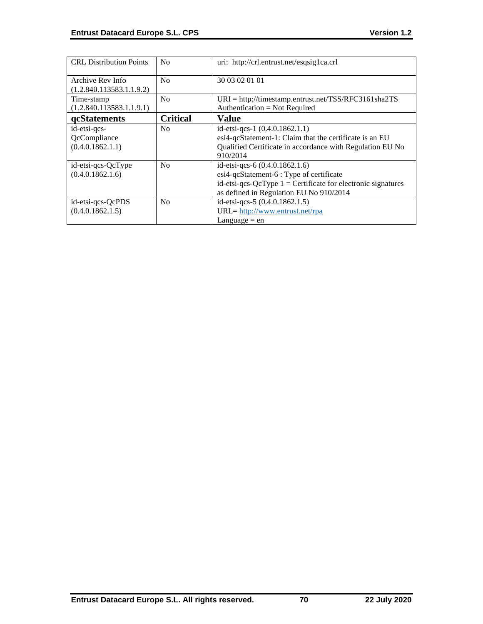| <b>CRL Distribution Points</b>                   | No              | uri: http://crl.entrust.net/esqsig1ca.crl                                                                                                                                               |
|--------------------------------------------------|-----------------|-----------------------------------------------------------------------------------------------------------------------------------------------------------------------------------------|
| Archive Rev Info<br>(1.2.840.113583.1.1.9.2)     | No              | 30 03 02 01 01                                                                                                                                                                          |
| Time-stamp<br>(1.2.840.113583.1.1.9.1)           | No              | $URI = \frac{http://timestamp.entrust.net/TSS/RFC3161sha2TS}{$<br>Authentication = Not Required                                                                                         |
| qcStatements                                     | <b>Critical</b> | <b>Value</b>                                                                                                                                                                            |
| id-etsi-qcs-<br>QcCompliance<br>(0.4.0.1862.1.1) | N <sub>0</sub>  | id-etsi-qcs-1 $(0.4.0.1862.1.1)$<br>esi4-qcStatement-1: Claim that the certificate is an EU<br>Qualified Certificate in accordance with Regulation EU No<br>910/2014                    |
| id-etsi-qcs-QcType<br>(0.4.0.1862.1.6)           | No              | id-etsi-qcs-6 (0.4.0.1862.1.6)<br>esi4-qcStatement-6 : Type of certificate<br>id-etsi-qcs-QcType $1 =$ Certificate for electronic signatures<br>as defined in Regulation EU No 910/2014 |
| id-etsi-qcs-QcPDS<br>(0.4.0.1862.1.5)            | No              | id-etsi-qcs-5 (0.4.0.1862.1.5)<br>URL= http://www.entrust.net/rpa<br>Language $=$ en                                                                                                    |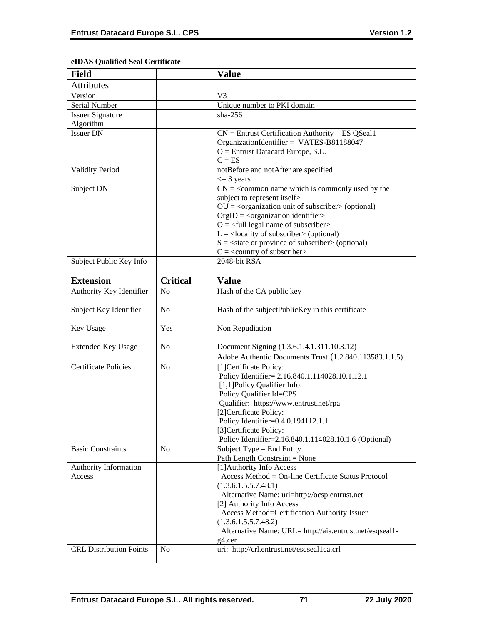# **eIDAS Qualified Seal Certificate**

| <b>Field</b>                   |                 | <b>Value</b>                                                                      |
|--------------------------------|-----------------|-----------------------------------------------------------------------------------|
| Attributes                     |                 |                                                                                   |
| Version                        |                 | V <sub>3</sub>                                                                    |
| Serial Number                  |                 | Unique number to PKI domain                                                       |
| <b>Issuer Signature</b>        |                 | $sha-256$                                                                         |
| Algorithm                      |                 |                                                                                   |
| <b>Issuer DN</b>               |                 | $CN =$ Entrust Certification Authority – ES QSeal1                                |
|                                |                 | OrganizationIdentifier = VATES-B81188047                                          |
|                                |                 | $O =$ Entrust Datacard Europe, S.L.                                               |
|                                |                 | $C = ES$                                                                          |
| <b>Validity Period</b>         |                 | notBefore and notAfter are specified<br>$\leq$ 3 years                            |
| Subject DN                     |                 | $CN = \s<$ common name which is commonly used by the                              |
|                                |                 | subject to represent itself>                                                      |
|                                |                 | $OU = corganization unit of subscripter > (optional)$                             |
|                                |                 | $OrgID = <$ organization identifier>                                              |
|                                |                 | $O = \left\langle \text{full legal name of subscripter} \right\rangle$            |
|                                |                 | $L =$ <locality of="" subscriber=""> (optional)</locality>                        |
|                                |                 | $S = \text{state}$ or province of subscriber > (optional)                         |
|                                |                 | $C = \langle country\ of\ subscript\ c$                                           |
| Subject Public Key Info        |                 | $2048$ -bit RSA                                                                   |
|                                |                 |                                                                                   |
| <b>Extension</b>               | <b>Critical</b> | <b>Value</b>                                                                      |
| Authority Key Identifier       | N <sub>o</sub>  | Hash of the CA public key                                                         |
| Subject Key Identifier         | N <sub>o</sub>  | Hash of the subjectPublicKey in this certificate                                  |
|                                |                 |                                                                                   |
| Key Usage                      | Yes             | Non Repudiation                                                                   |
|                                | N <sub>o</sub>  |                                                                                   |
| <b>Extended Key Usage</b>      |                 | Document Signing (1.3.6.1.4.1.311.10.3.12)                                        |
| <b>Certificate Policies</b>    | N <sub>o</sub>  | Adobe Authentic Documents Trust (1.2.840.113583.1.1.5)<br>[1] Certificate Policy: |
|                                |                 | Policy Identifier= 2.16.840.1.114028.10.1.12.1                                    |
|                                |                 | [1,1] Policy Qualifier Info:                                                      |
|                                |                 | Policy Qualifier Id=CPS                                                           |
|                                |                 | Qualifier: https://www.entrust.net/rpa                                            |
|                                |                 | [2]Certificate Policy:                                                            |
|                                |                 | Policy Identifier=0.4.0.194112.1.1                                                |
|                                |                 | [3] Certificate Policy:                                                           |
|                                |                 | Policy Identifier=2.16.840.1.114028.10.1.6 (Optional)                             |
| <b>Basic Constraints</b>       | N <sub>o</sub>  | Subject Type = End Entity                                                         |
|                                |                 | Path Length Constraint = None                                                     |
| Authority Information          |                 | [1] Authority Info Access                                                         |
| Access                         |                 | Access Method = On-line Certificate Status Protocol                               |
|                                |                 | (1.3.6.1.5.5.7.48.1)                                                              |
|                                |                 | Alternative Name: uri=http://ocsp.entrust.net                                     |
|                                |                 | [2] Authority Info Access                                                         |
|                                |                 | Access Method=Certification Authority Issuer                                      |
|                                |                 | (1.3.6.1.5.5.7.48.2)                                                              |
|                                |                 | Alternative Name: URL= http://aia.entrust.net/esqseal1-                           |
| <b>CRL Distribution Points</b> | N <sub>o</sub>  | g4.cer<br>uri: http://crl.entrust.net/esqseal1ca.crl                              |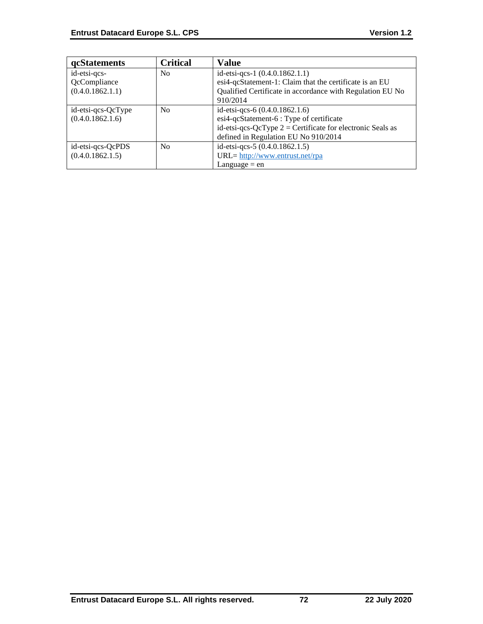| <b>qcStatements</b> | <b>Critical</b> | <b>Value</b>                                                 |
|---------------------|-----------------|--------------------------------------------------------------|
| id-etsi-qcs-        | N <sub>0</sub>  | id-etsi-qcs-1 (0.4.0.1862.1.1)                               |
| QcCompliance        |                 | esi4-qcStatement-1: Claim that the certificate is an EU      |
| (0.4.0.1862.1.1)    |                 | Qualified Certificate in accordance with Regulation EU No    |
|                     |                 | 910/2014                                                     |
| id-etsi-qcs-QcType  | N <sub>0</sub>  | id-etsi-qcs-6 (0.4.0.1862.1.6)                               |
| (0.4.0.1862.1.6)    |                 | esi4-qcStatement-6 : Type of certificate                     |
|                     |                 | id-etsi-qcs-QcType $2$ = Certificate for electronic Seals as |
|                     |                 | defined in Regulation EU No 910/2014                         |
| id-etsi-qcs-QcPDS   | No              | id-etsi-qcs-5 (0.4.0.1862.1.5)                               |
| (0.4.0.1862.1.5)    |                 | URL= http://www.entrust.net/rpa                              |
|                     |                 | Language $=$ en                                              |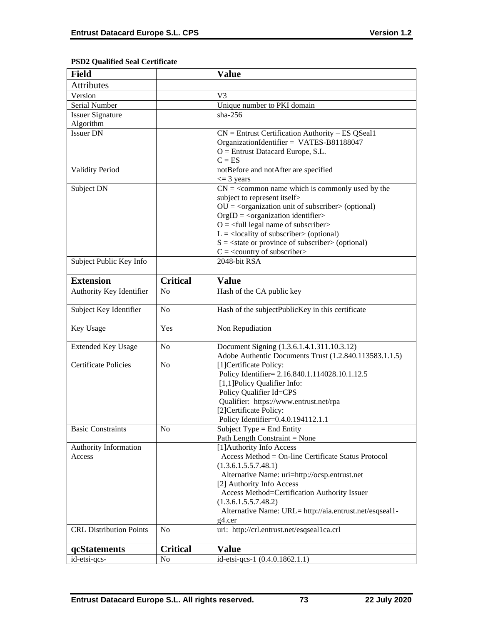# **PSD2 Qualified Seal Certificate**

| <b>Field</b>                   |                 | <b>Value</b>                                                                       |
|--------------------------------|-----------------|------------------------------------------------------------------------------------|
| <b>Attributes</b>              |                 |                                                                                    |
| Version                        |                 | V <sub>3</sub>                                                                     |
| Serial Number                  |                 | Unique number to PKI domain                                                        |
| <b>Issuer Signature</b>        |                 | $sha-256$                                                                          |
| Algorithm                      |                 |                                                                                    |
| <b>Issuer DN</b>               |                 | $CN =$ Entrust Certification Authority – ES QSeal1                                 |
|                                |                 | OrganizationIdentifier = VATES-B81188047                                           |
|                                |                 | $O =$ Entrust Datacard Europe, S.L.                                                |
|                                |                 | $C = ES$                                                                           |
| <b>Validity Period</b>         |                 | notBefore and notAfter are specified                                               |
| Subject DN                     |                 | $\leq$ 3 years                                                                     |
|                                |                 | $CN =$ < common name which is commonly used by the<br>subject to represent itself> |
|                                |                 | $OU = coganization unit of subscripter > (optional)$                               |
|                                |                 | $OrgID = <$ organization identifier>                                               |
|                                |                 | $O = \left\langle \text{full legal name of subscripter} \right\rangle$             |
|                                |                 | $L =$ <locality of="" subscriber=""> (optional)</locality>                         |
|                                |                 | $S = \text{state}$ or province of subscriber > (optional)                          |
|                                |                 | $C = \langle$ country of subscriber>                                               |
| Subject Public Key Info        |                 | 2048-bit RSA                                                                       |
| <b>Extension</b>               | <b>Critical</b> | <b>Value</b>                                                                       |
| Authority Key Identifier       | N <sub>o</sub>  | Hash of the CA public key                                                          |
|                                |                 |                                                                                    |
| Subject Key Identifier         | N <sub>o</sub>  | Hash of the subjectPublicKey in this certificate                                   |
| Key Usage                      | Yes             | Non Repudiation                                                                    |
| <b>Extended Key Usage</b>      | N <sub>o</sub>  | Document Signing (1.3.6.1.4.1.311.10.3.12)                                         |
|                                |                 | Adobe Authentic Documents Trust (1.2.840.113583.1.1.5)                             |
| <b>Certificate Policies</b>    | N <sub>o</sub>  | [1] Certificate Policy:                                                            |
|                                |                 | Policy Identifier= 2.16.840.1.114028.10.1.12.5                                     |
|                                |                 | [1,1] Policy Qualifier Info:                                                       |
|                                |                 | Policy Qualifier Id=CPS<br>Qualifier: https://www.entrust.net/rpa                  |
|                                |                 | [2]Certificate Policy:                                                             |
|                                |                 | Policy Identifier=0.4.0.194112.1.1                                                 |
| <b>Basic Constraints</b>       | N <sub>o</sub>  | Subject Type = End Entity                                                          |
|                                |                 | Path Length Constraint = None                                                      |
| Authority Information          |                 | [1] Authority Info Access                                                          |
| Access                         |                 | Access Method = On-line Certificate Status Protocol                                |
|                                |                 | (1.3.6.1.5.5.7.48.1)                                                               |
|                                |                 | Alternative Name: uri=http://ocsp.entrust.net                                      |
|                                |                 | [2] Authority Info Access                                                          |
|                                |                 | Access Method=Certification Authority Issuer                                       |
|                                |                 | (1.3.6.1.5.5.7.48.2)                                                               |
|                                |                 | Alternative Name: URL= http://aia.entrust.net/esqseal1-<br>g4.cer                  |
| <b>CRL Distribution Points</b> | N <sub>o</sub>  | uri: http://crl.entrust.net/esqseal1ca.crl                                         |
| qcStatements                   | <b>Critical</b> | <b>Value</b>                                                                       |
| id-etsi-qcs-                   | N <sub>0</sub>  | id-etsi-qcs-1 (0.4.0.1862.1.1)                                                     |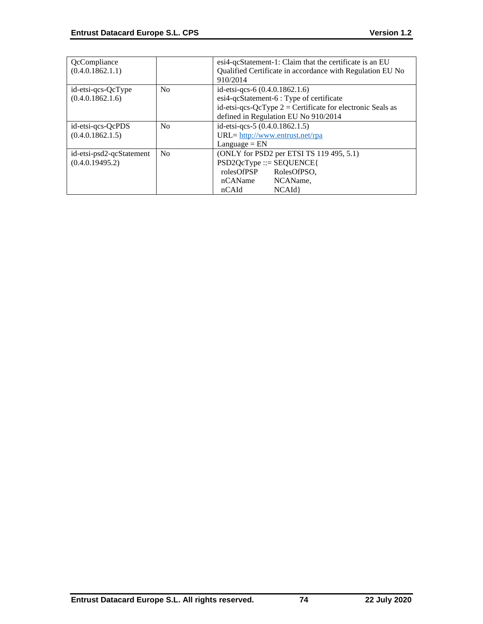| QcCompliance<br>(0.4.0.1862.1.1)            |    | esi4-qcStatement-1: Claim that the certificate is an EU<br>Qualified Certificate in accordance with Regulation EU No<br>910/2014                                                   |
|---------------------------------------------|----|------------------------------------------------------------------------------------------------------------------------------------------------------------------------------------|
| id-etsi-qcs-QcType<br>(0.4.0.1862.1.6)      | No | id-etsi-qcs-6 (0.4.0.1862.1.6)<br>esi4-qcStatement-6 : Type of certificate<br>id-etsi-qcs-QcType $2$ = Certificate for electronic Seals as<br>defined in Regulation EU No 910/2014 |
| id-etsi-qcs-QcPDS<br>(0.4.0.1862.1.5)       | No | id-etsi-qcs-5 (0.4.0.1862.1.5)<br>URL= http://www.entrust.net/rpa<br>$L$ anguage = $EN$                                                                                            |
| id-etsi-psd2-qcStatement<br>(0.4.0.19495.2) | No | (ONLY for PSD2 per ETSI TS 119 495, 5.1)<br>$PSD2QcType ::= SEQUENCE$<br>rolesOfPSP<br>RolesOfPSO.<br>NCAName,<br>nCAName<br>NCAId<br>nCAId                                        |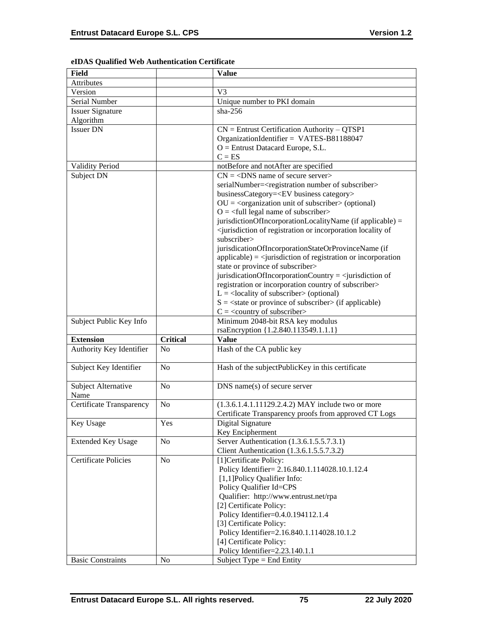| Field                       |                 | <b>Value</b>                                                                                        |
|-----------------------------|-----------------|-----------------------------------------------------------------------------------------------------|
| Attributes                  |                 |                                                                                                     |
| Version                     |                 | V <sub>3</sub>                                                                                      |
| Serial Number               |                 | Unique number to PKI domain                                                                         |
| <b>Issuer Signature</b>     |                 | $sha-256$                                                                                           |
| Algorithm                   |                 |                                                                                                     |
| <b>Issuer DN</b>            |                 | $CN =$ Entrust Certification Authority – QTSP1                                                      |
|                             |                 | OrganizationIdentifier = VATES-B81188047                                                            |
|                             |                 | $O =$ Entrust Datacard Europe, S.L.                                                                 |
|                             |                 | $C = ES$                                                                                            |
| <b>Validity Period</b>      |                 | notBefore and notAfter are specified                                                                |
| Subject DN                  |                 | $CN = <$ DNS name of secure server>                                                                 |
|                             |                 |                                                                                                     |
|                             |                 | serialNumber= <registration number="" of="" subscriber=""></registration>                           |
|                             |                 | businessCategory= <ev business="" category=""></ev>                                                 |
|                             |                 | $OU = coganization unit of subscripts (optional)$                                                   |
|                             |                 | $O = \frac{1}{2}$ legal name of subscriber                                                          |
|                             |                 | jurisdictionOfIncorporationLocalityName (if applicable) =                                           |
|                             |                 | <jurisdiction incorporation="" locality="" of="" of<="" or="" registration="" td=""></jurisdiction> |
|                             |                 | subscriber>                                                                                         |
|                             |                 | jurisdicationOfIncorporationStateOrProvinceName (if                                                 |
|                             |                 | $applicable) =$ invisible $i$ applicable) = $\langle$ square space of registration or incorporation |
|                             |                 | state or province of subscriber>                                                                    |
|                             |                 | jurisdicationOfIncorporationCountry = $\le$ jurisdiction of                                         |
|                             |                 | registration or incorporation country of subscriber>                                                |
|                             |                 | $L =$ <locality of="" subscriber=""> (optional)</locality>                                          |
|                             |                 | $S = \text{state}$ or province of subscriber $\text{in}$ (if applicable)                            |
|                             |                 | $C = \langle$ country of subscriber>                                                                |
| Subject Public Key Info     |                 | Minimum 2048-bit RSA key modulus                                                                    |
|                             |                 | rsaEncryption {1.2.840.113549.1.1.1}                                                                |
| <b>Extension</b>            | <b>Critical</b> | <b>Value</b>                                                                                        |
| Authority Key Identifier    | No              | Hash of the CA public key                                                                           |
| Subject Key Identifier      | N <sub>0</sub>  | Hash of the subjectPublicKey in this certificate                                                    |
| Subject Alternative         | N <sub>o</sub>  | $DNS$ name(s) of secure server                                                                      |
| Name                        |                 |                                                                                                     |
| Certificate Transparency    | No              | (1.3.6.1.4.1.11129.2.4.2) MAY include two or more                                                   |
|                             |                 | Certificate Transparency proofs from approved CT Logs                                               |
| Key Usage                   | Yes             | Digital Signature                                                                                   |
|                             |                 | Key Encipherment                                                                                    |
| <b>Extended Key Usage</b>   | No              |                                                                                                     |
|                             |                 | Server Authentication (1.3.6.1.5.5.7.3.1)                                                           |
|                             |                 | Client Authentication (1.3.6.1.5.5.7.3.2)                                                           |
| <b>Certificate Policies</b> | No              | [1] Certificate Policy:                                                                             |
|                             |                 | Policy Identifier= 2.16.840.1.114028.10.1.12.4                                                      |
|                             |                 | [1,1] Policy Qualifier Info:                                                                        |
|                             |                 | Policy Qualifier Id=CPS                                                                             |
|                             |                 | Qualifier: http://www.entrust.net/rpa                                                               |
|                             |                 | [2] Certificate Policy:                                                                             |
|                             |                 | Policy Identifier=0.4.0.194112.1.4                                                                  |
|                             |                 | [3] Certificate Policy:                                                                             |
|                             |                 | Policy Identifier=2.16.840.1.114028.10.1.2                                                          |
|                             |                 | [4] Certificate Policy:                                                                             |
|                             |                 | Policy Identifier=2.23.140.1.1                                                                      |

## **eIDAS Qualified Web Authentication Certificate**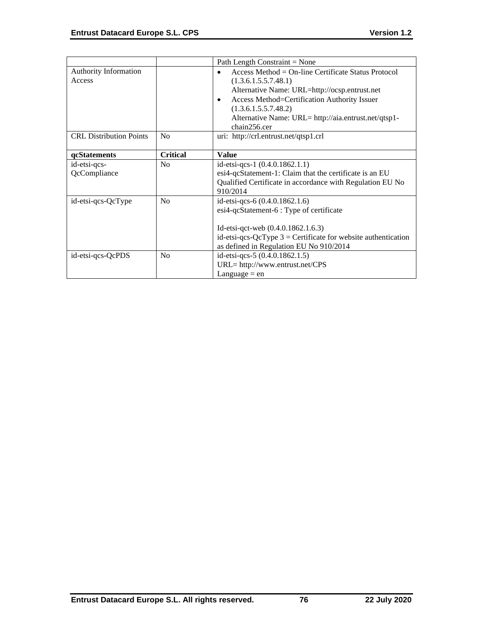|                                |                 | Path Length Constraint = None                                   |
|--------------------------------|-----------------|-----------------------------------------------------------------|
| <b>Authority Information</b>   |                 | Access Method = $On$ -line Certificate Status Protocol          |
| Access                         |                 | (1.3.6.1.5.5.7.48.1)                                            |
|                                |                 | Alternative Name: URL=http://ocsp.entrust.net                   |
|                                |                 | Access Method=Certification Authority Issuer<br>$\bullet$       |
|                                |                 | (1.3.6.1.5.5.7.48.2)                                            |
|                                |                 | Alternative Name: URL= http://aia.entrust.net/qtsp1-            |
|                                |                 | chain256.cer                                                    |
| <b>CRL</b> Distribution Points | No              | uri: http://crl.entrust.net/qtsp1.crl                           |
|                                |                 |                                                                 |
| qcStatements                   | <b>Critical</b> | <b>Value</b>                                                    |
| id-etsi-qcs-                   | N <sub>o</sub>  | id-etsi-qcs-1 (0.4.0.1862.1.1)                                  |
| QcCompliance                   |                 | esi4-qcStatement-1: Claim that the certificate is an EU         |
|                                |                 | Qualified Certificate in accordance with Regulation EU No       |
|                                |                 | 910/2014                                                        |
| id-etsi-qcs-QcType             | N <sub>0</sub>  | id-etsi-qcs-6 (0.4.0.1862.1.6)                                  |
|                                |                 | esi4-qcStatement-6 : Type of certificate                        |
|                                |                 |                                                                 |
|                                |                 | Id-etsi-qct-web (0.4.0.1862.1.6.3)                              |
|                                |                 | id-etsi-qcs-QcType $3$ = Certificate for website authentication |
|                                |                 | as defined in Regulation EU No 910/2014                         |
| id-etsi-qcs-QcPDS              | N <sub>o</sub>  | id-etsi-qcs-5 (0.4.0.1862.1.5)                                  |
|                                |                 | $URL = http://www.entrust.net/CPS$                              |
|                                |                 | Language $=$ en                                                 |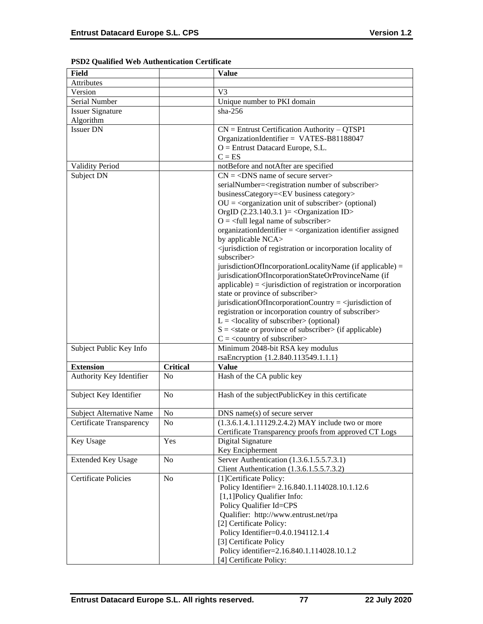| <b>Field</b>                    |                 | <b>Value</b>                                                                                                  |
|---------------------------------|-----------------|---------------------------------------------------------------------------------------------------------------|
| Attributes                      |                 |                                                                                                               |
| Version                         |                 | V <sub>3</sub>                                                                                                |
| Serial Number                   |                 | Unique number to PKI domain                                                                                   |
| <b>Issuer Signature</b>         |                 | $sha-256$                                                                                                     |
| Algorithm                       |                 |                                                                                                               |
| <b>Issuer DN</b>                |                 | $CN =$ Entrust Certification Authority – QTSP1                                                                |
|                                 |                 | OrganizationIdentifier = VATES-B81188047                                                                      |
|                                 |                 | $O =$ Entrust Datacard Europe, S.L.                                                                           |
|                                 |                 | $C = ES$                                                                                                      |
| <b>Validity Period</b>          |                 | notBefore and notAfter are specified                                                                          |
| Subject DN                      |                 | $CN = <$ DNS name of secure server>                                                                           |
|                                 |                 | serialNumber= <registration number="" of="" subscriber=""></registration>                                     |
|                                 |                 | businessCategory= <ev business="" category=""></ev>                                                           |
|                                 |                 | $OU = corganization unit of subscripter > (optional)$                                                         |
|                                 |                 | OrgID $(2.23.140.3.1)$ = < Organization ID>                                                                   |
|                                 |                 | $O = \frac{1}{2}$ legal name of subscriber                                                                    |
|                                 |                 |                                                                                                               |
|                                 |                 | organizationIdentifier = <organization assigned<="" identifier="" td=""></organization>                       |
|                                 |                 | by applicable NCA>                                                                                            |
|                                 |                 | <jurisdiction incorporation="" locality="" of="" of<br="" or="" registration="">subscriber&gt;</jurisdiction> |
|                                 |                 | jurisdictionOfIncorporationLocalityName (if applicable) =                                                     |
|                                 |                 | jurisdicationOfIncorporationStateOrProvinceName (if                                                           |
|                                 |                 | $applicable) = \langle$ invisible in of registration or incorporation                                         |
|                                 |                 | state or province of subscriber>                                                                              |
|                                 |                 | jurisdicationOfIncorporationCountry = $\le$ jurisdiction of                                                   |
|                                 |                 | registration or incorporation country of subscriber>                                                          |
|                                 |                 | $L =$ <locality of="" subscriber=""> (optional)</locality>                                                    |
|                                 |                 | $S = \text{state}$ or province of subscriber $\text{in}$ (if applicable)                                      |
|                                 |                 | $C = \langle$ country of subscriber>                                                                          |
| Subject Public Key Info         |                 | Minimum 2048-bit RSA key modulus                                                                              |
|                                 |                 | rsaEncryption {1.2.840.113549.1.1.1}                                                                          |
| <b>Extension</b>                | <b>Critical</b> | <b>Value</b>                                                                                                  |
| Authority Key Identifier        | N <sub>0</sub>  | Hash of the CA public key                                                                                     |
|                                 |                 |                                                                                                               |
| Subject Key Identifier          | N <sub>0</sub>  | Hash of the subjectPublicKey in this certificate                                                              |
| <b>Subject Alternative Name</b> | No              | DNS name(s) of secure server                                                                                  |
| Certificate Transparency        | N <sub>0</sub>  | $(1.3.6.1.4.1.11129.2.4.2)$ MAY include two or more                                                           |
|                                 |                 | Certificate Transparency proofs from approved CT Logs                                                         |
| Key Usage                       | Yes             | Digital Signature                                                                                             |
|                                 |                 | Key Encipherment                                                                                              |
|                                 | No              | Server Authentication (1.3.6.1.5.5.7.3.1)                                                                     |
| <b>Extended Key Usage</b>       |                 |                                                                                                               |
|                                 |                 | Client Authentication (1.3.6.1.5.5.7.3.2)                                                                     |
| <b>Certificate Policies</b>     | N <sub>o</sub>  | [1] Certificate Policy:                                                                                       |
|                                 |                 | Policy Identifier= 2.16.840.1.114028.10.1.12.6                                                                |
|                                 |                 | [1,1] Policy Qualifier Info:                                                                                  |
|                                 |                 | Policy Qualifier Id=CPS                                                                                       |
|                                 |                 | Qualifier: http://www.entrust.net/rpa                                                                         |
|                                 |                 | [2] Certificate Policy:                                                                                       |
|                                 |                 | Policy Identifier=0.4.0.194112.1.4                                                                            |
|                                 |                 | [3] Certificate Policy                                                                                        |
|                                 |                 | Policy identifier=2.16.840.1.114028.10.1.2                                                                    |
|                                 |                 | [4] Certificate Policy:                                                                                       |

# **PSD2 Qualified Web Authentication Certificate**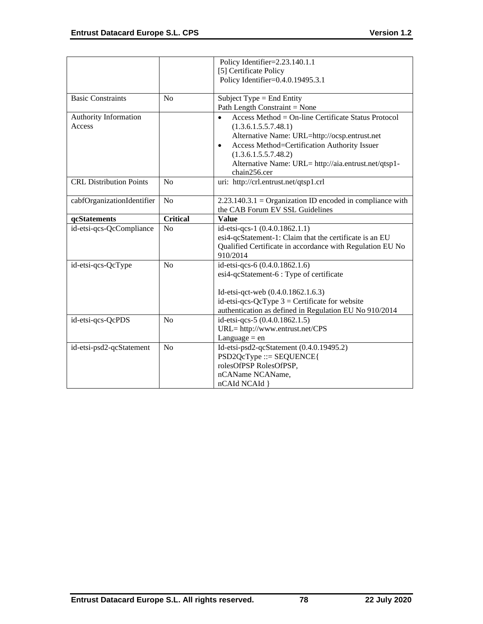|                                |                 | Policy Identifier=2.23.140.1.1                              |
|--------------------------------|-----------------|-------------------------------------------------------------|
|                                |                 | [5] Certificate Policy                                      |
|                                |                 | Policy Identifier=0.4.0.19495.3.1                           |
|                                |                 |                                                             |
| <b>Basic Constraints</b>       | N <sub>0</sub>  | Subject Type = End Entity                                   |
|                                |                 | Path Length Constraint = None                               |
| Authority Information          |                 | Access Method = $On$ -line Certificate Status Protocol      |
| Access                         |                 | (1.3.6.1.5.5.7.48.1)                                        |
|                                |                 | Alternative Name: URL=http://ocsp.entrust.net               |
|                                |                 | Access Method=Certification Authority Issuer<br>$\bullet$   |
|                                |                 | (1.3.6.1.5.5.7.48.2)                                        |
|                                |                 | Alternative Name: URL= http://aia.entrust.net/qtsp1-        |
|                                |                 | chain256.cer                                                |
| <b>CRL Distribution Points</b> | No              | uri: http://crl.entrust.net/qtsp1.crl                       |
|                                |                 |                                                             |
| cabfOrganizationIdentifier     | N <sub>o</sub>  | $2.23.140.3.1 =$ Organization ID encoded in compliance with |
|                                |                 | the CAB Forum EV SSL Guidelines                             |
| qcStatements                   | <b>Critical</b> | <b>Value</b>                                                |
| id-etsi-qcs-QcCompliance       | N <sub>o</sub>  | id-etsi-qcs-1 (0.4.0.1862.1.1)                              |
|                                |                 | esi4-qcStatement-1: Claim that the certificate is an EU     |
|                                |                 | Qualified Certificate in accordance with Regulation EU No   |
|                                |                 | 910/2014                                                    |
| id-etsi-qcs-QcType             | N <sub>o</sub>  | id-etsi-qcs-6 (0.4.0.1862.1.6)                              |
|                                |                 | esi4-qcStatement-6 : Type of certificate                    |
|                                |                 |                                                             |
|                                |                 | Id-etsi-qct-web (0.4.0.1862.1.6.3)                          |
|                                |                 | id-etsi-qcs-QcType $3$ = Certificate for website            |
|                                |                 | authentication as defined in Regulation EU No 910/2014      |
| id-etsi-qcs-QcPDS              | N <sub>o</sub>  | id-etsi-qcs-5 (0.4.0.1862.1.5)                              |
|                                |                 | URL= http://www.entrust.net/CPS                             |
|                                |                 | Language $=$ en                                             |
| id-etsi-psd2-qcStatement       | N <sub>o</sub>  | Id-etsi-psd2-qcStatement (0.4.0.19495.2)                    |
|                                |                 | $PSD2QcType ::= SEQUENCE$                                   |
|                                |                 | rolesOfPSP RolesOfPSP,                                      |
|                                |                 | nCAName NCAName,                                            |
|                                |                 | nCAId NCAId }                                               |